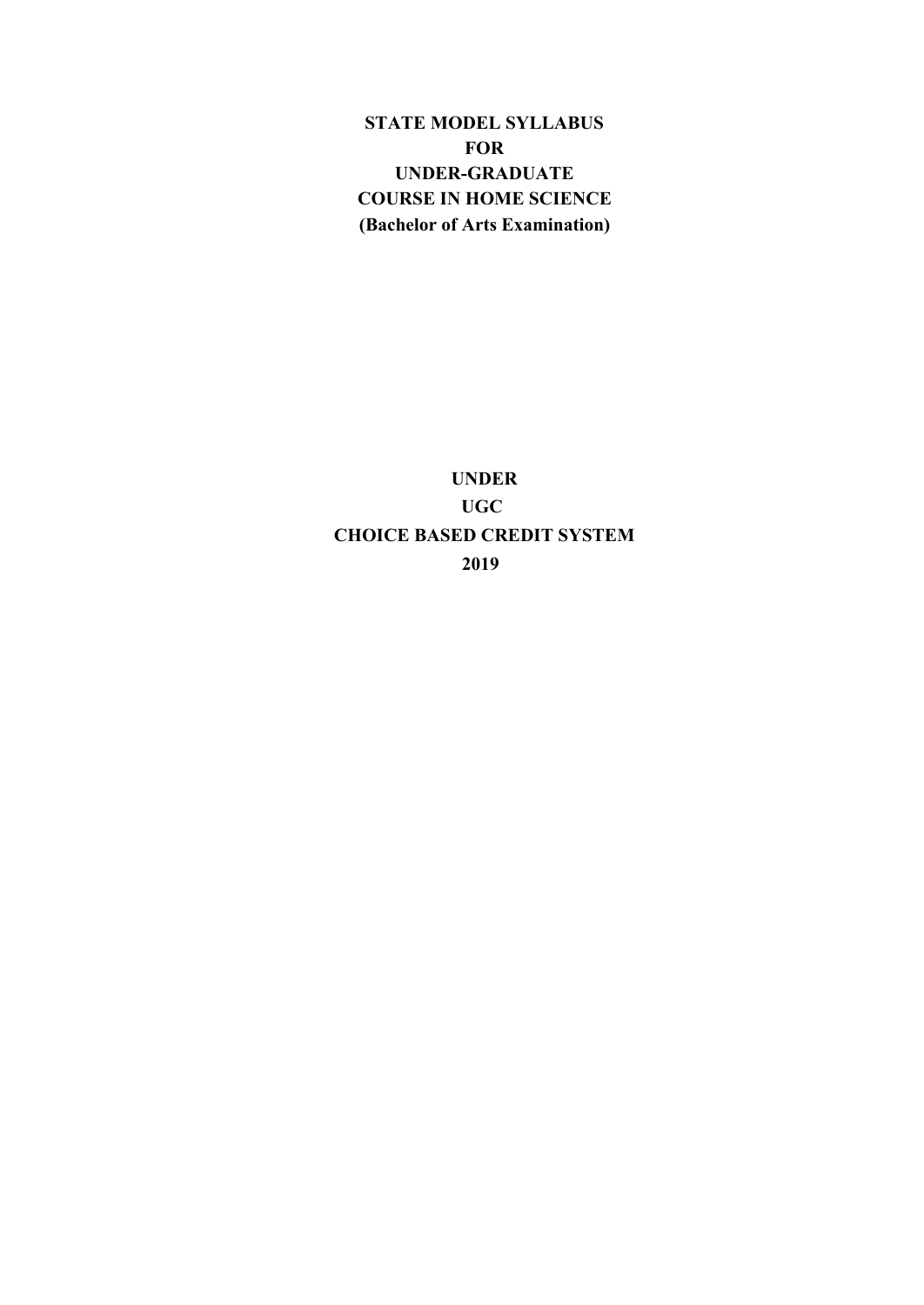**STATE MODEL SYLLABUS FOR UNDER-GRADUATE COURSE IN HOME SCIENCE (Bachelor of Arts Examination)**

**UNDER UGC CHOICE BASED CREDIT SYSTEM 2019**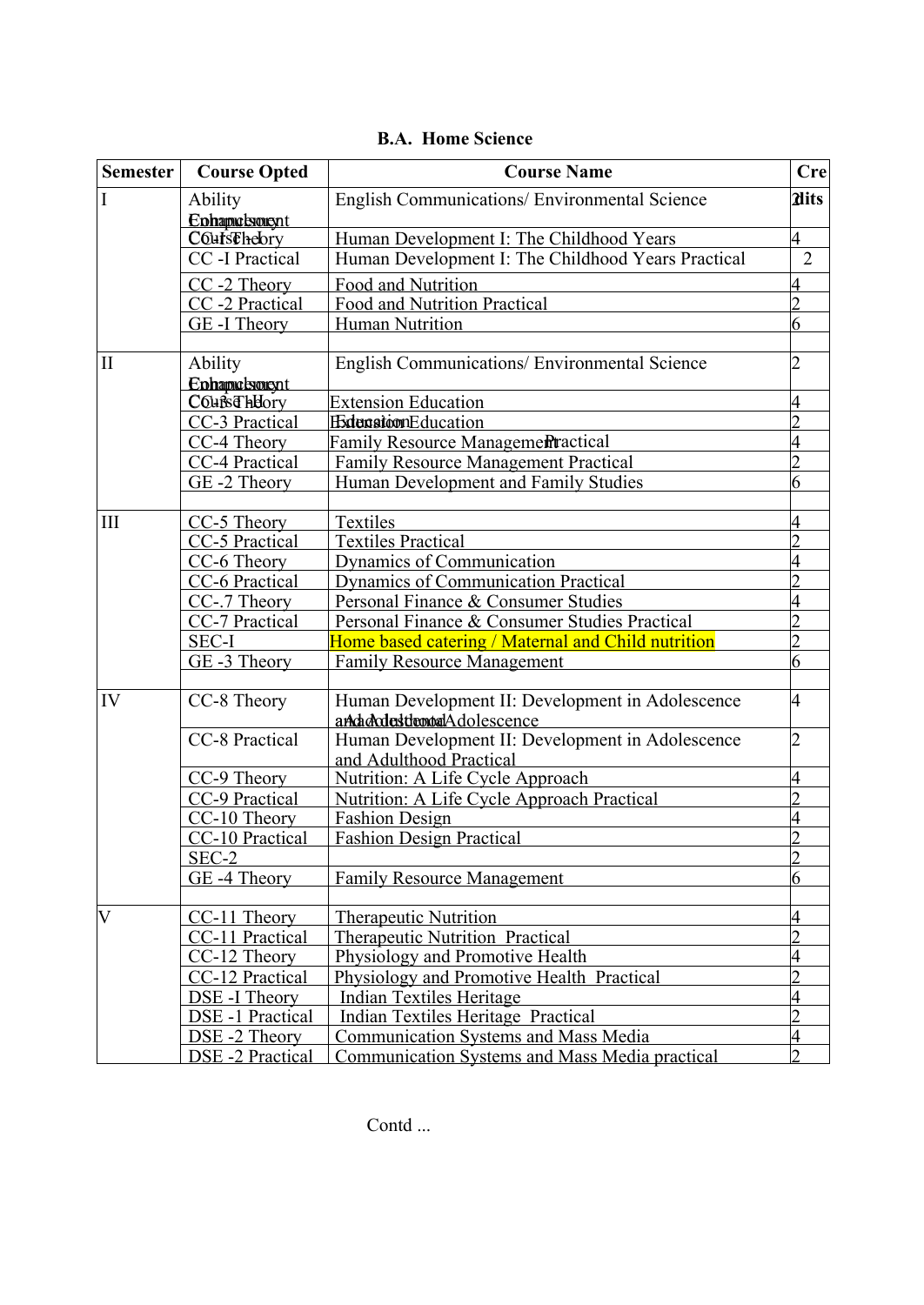| <b>Semester</b>       | <b>Course Opted</b>    | <b>Course Name</b>                                    | <b>Cre</b>                                                                                                                                         |
|-----------------------|------------------------|-------------------------------------------------------|----------------------------------------------------------------------------------------------------------------------------------------------------|
| I                     | Ability                | English Communications/ Environmental Science         | <b>Alits</b>                                                                                                                                       |
|                       | Ephapudsment           |                                                       |                                                                                                                                                    |
|                       | <b>COursEhebry</b>     | Human Development I: The Childhood Years              | 4                                                                                                                                                  |
|                       | CC -I Practical        | Human Development I: The Childhood Years Practical    | $\overline{2}$                                                                                                                                     |
|                       | CC-2 Theory            | Food and Nutrition                                    |                                                                                                                                                    |
|                       | CC-2 Practical         | Food and Nutrition Practical                          | າ                                                                                                                                                  |
|                       | GE-I Theory            | <b>Human Nutrition</b>                                | 6                                                                                                                                                  |
|                       |                        |                                                       |                                                                                                                                                    |
| $\mathbf{I}$          | Ability                | <b>English Communications/ Environmental Science</b>  | 4<br>$\mathcal{D}$<br>6<br>4<br>4<br>$\mathfrak{D}$<br>$\overline{2}$<br>6<br>4                                                                    |
|                       | Enhapudsment           |                                                       |                                                                                                                                                    |
|                       | <b>COURGHHOTY</b>      | <b>Extension Education</b>                            |                                                                                                                                                    |
|                       | CC-3 Practical         | <b>ExtensionEducation</b>                             |                                                                                                                                                    |
|                       | CC-4 Theory            | <b>Family Resource Managementractical</b>             |                                                                                                                                                    |
|                       | CC-4 Practical         | <b>Family Resource Management Practical</b>           |                                                                                                                                                    |
|                       | GE-2 Theory            | Human Development and Family Studies                  |                                                                                                                                                    |
|                       |                        |                                                       |                                                                                                                                                    |
| III                   | CC-5 Theory            | Textiles                                              |                                                                                                                                                    |
|                       | CC-5 Practical         | <b>Textiles Practical</b>                             |                                                                                                                                                    |
|                       | CC-6 Theory            | Dynamics of Communication                             |                                                                                                                                                    |
|                       | CC-6 Practical         | <b>Dynamics of Communication Practical</b>            |                                                                                                                                                    |
|                       | CC-.7 Theory           | Personal Finance & Consumer Studies                   |                                                                                                                                                    |
|                       | CC-7 Practical         | Personal Finance & Consumer Studies Practical         |                                                                                                                                                    |
|                       | <b>SEC-I</b>           | Home based catering / Maternal and Child nutrition    |                                                                                                                                                    |
|                       | GE-3 Theory            | <b>Family Resource Management</b>                     |                                                                                                                                                    |
| IV                    | CC-8 Theory            | Human Development II: Development in Adolescence      | 4<br>$\overline{2}$<br>4<br>$\overline{2}$<br>6<br>4<br>$\overline{\mathcal{L}}$<br>4<br>$\overline{2}$<br>4<br>$\overline{\mathcal{L}}$<br>4<br>C |
|                       |                        | andadrdesttemoalAdolescence                           |                                                                                                                                                    |
|                       | CC-8 Practical         | Human Development II: Development in Adolescence      |                                                                                                                                                    |
|                       |                        | and Adulthood Practical                               |                                                                                                                                                    |
|                       | CC-9 Theory            | Nutrition: A Life Cycle Approach                      |                                                                                                                                                    |
|                       | CC-9 Practical         | Nutrition: A Life Cycle Approach Practical            |                                                                                                                                                    |
|                       | CC-10 Theory           | <b>Fashion Design</b>                                 |                                                                                                                                                    |
|                       | CC-10 Practical        | <b>Fashion Design Practical</b>                       |                                                                                                                                                    |
|                       | SEC-2                  |                                                       |                                                                                                                                                    |
|                       | GE-4 Theory            | <b>Family Resource Management</b>                     |                                                                                                                                                    |
| $\overline{\text{V}}$ | CC-11 Theory           | <b>Therapeutic Nutrition</b>                          |                                                                                                                                                    |
|                       | CC-11 Practical        | <b>Therapeutic Nutrition Practical</b>                |                                                                                                                                                    |
|                       | CC-12 Theory           | Physiology and Promotive Health                       |                                                                                                                                                    |
|                       | CC-12 Practical        | Physiology and Promotive Health Practical             |                                                                                                                                                    |
|                       | <b>DSE-I Theory</b>    | <b>Indian Textiles Heritage</b>                       |                                                                                                                                                    |
|                       | DSE-1 Practical        | <b>Indian Textiles Heritage Practical</b>             |                                                                                                                                                    |
|                       | DSE-2 Theory           | <b>Communication Systems and Mass Media</b>           |                                                                                                                                                    |
|                       | <b>DSE-2 Practical</b> | <b>Communication Systems and Mass Media practical</b> |                                                                                                                                                    |

## **B.A. Home Science**

Contd ...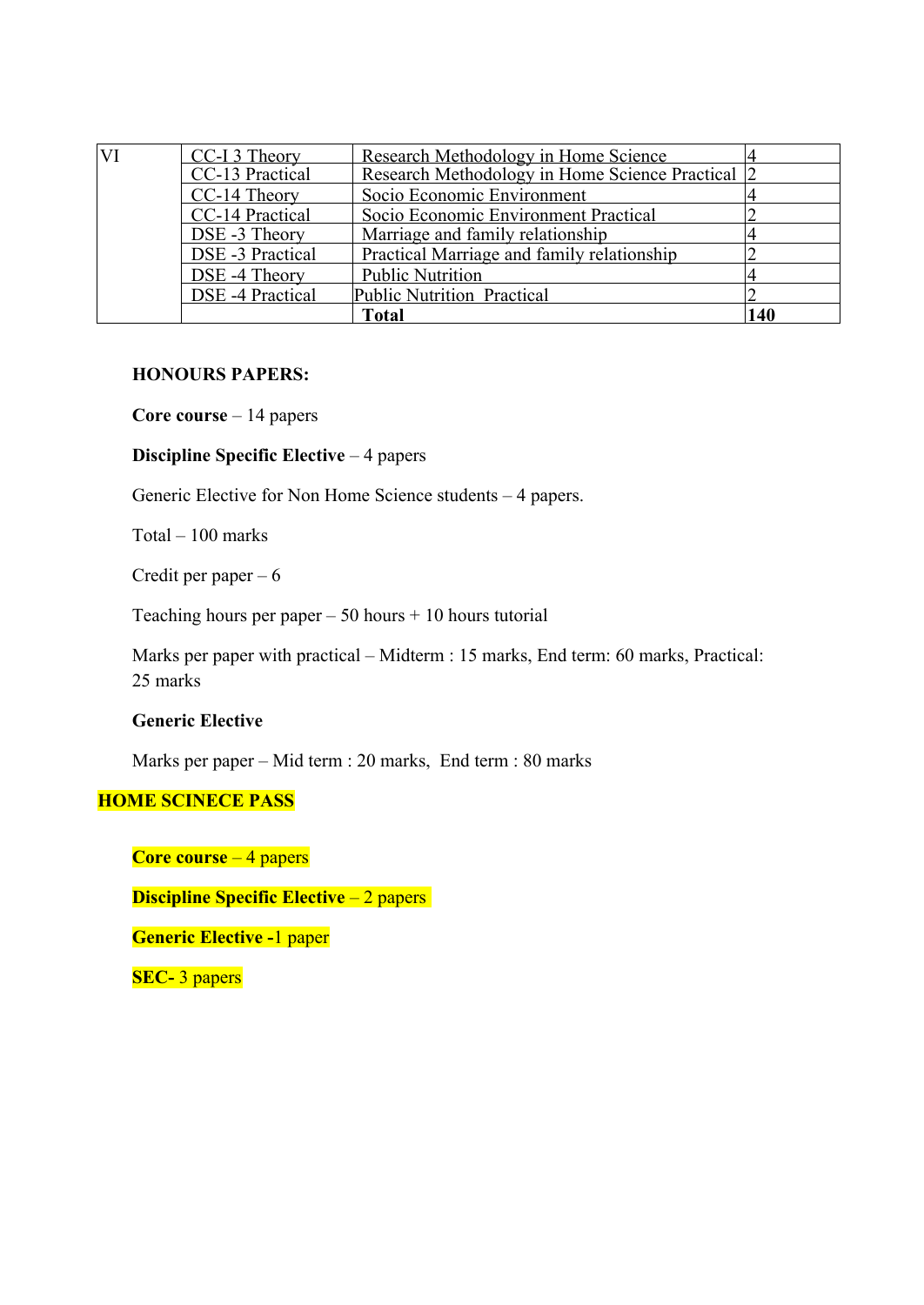| VI | CC-I 3 Theory    | <b>Research Methodology in Home Science</b>      |     |
|----|------------------|--------------------------------------------------|-----|
|    | CC-13 Practical  | Research Methodology in Home Science Practical 2 |     |
|    | CC-14 Theory     | Socio Economic Environment                       |     |
|    | CC-14 Practical  | Socio Economic Environment Practical             |     |
|    | DSE-3 Theory     | Marriage and family relationship                 |     |
|    | DSE -3 Practical | Practical Marriage and family relationship       |     |
|    | DSE -4 Theory    | <b>Public Nutrition</b>                          |     |
|    | DSE -4 Practical | Public Nutrition Practical                       |     |
|    |                  | <b>Total</b>                                     | 140 |

## **HONOURS PAPERS:**

**Core course** – 14 papers

#### **Discipline Specific Elective** – 4 papers

Generic Elective for Non Home Science students – 4 papers.

Total – 100 marks

Credit per paper – 6

Teaching hours per paper  $-50$  hours  $+10$  hours tutorial

Marks per paper with practical – Midterm : 15 marks, End term: 60 marks, Practical: 25 marks

## **Generic Elective**

Marks per paper – Mid term : 20 marks, End term : 80 marks

## **HOME SCINECE PASS**

**Core course** – 4 papers

**Discipline Specific Elective** – 2 papers

**Generic Elective -**1 paper

**SEC-** 3 papers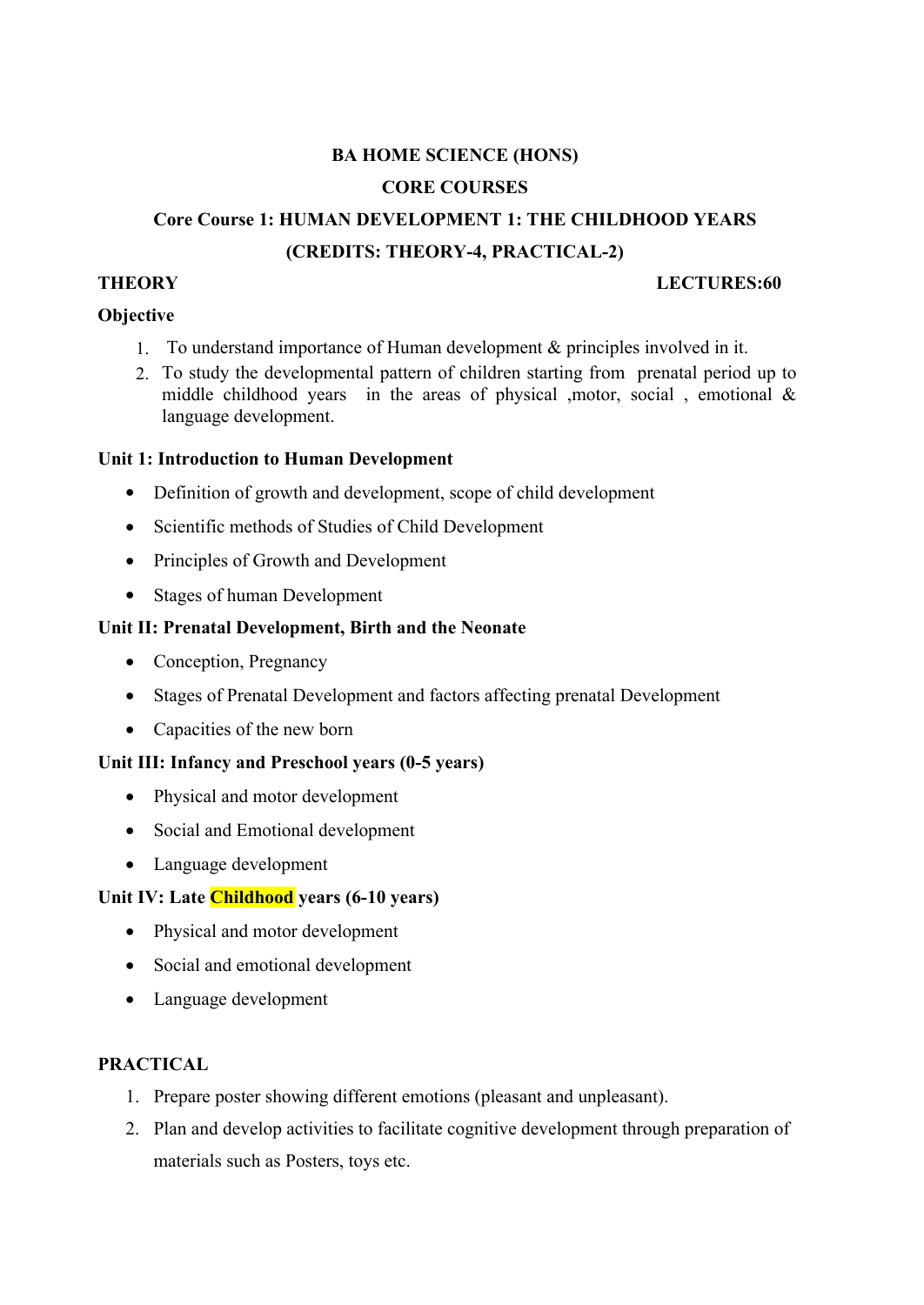# **BA HOME SCIENCE (HONS) CORE COURSES**

# **Core Course 1: HUMAN DEVELOPMENT 1: THE CHILDHOOD YEARS (CREDITS: THEORY-4, PRACTICAL-2)**

#### **THEORY LECTURES:60**

## **Objective**

- 1. To understand importance of Human development & principles involved in it.
- 2. To study the developmental pattern of children starting from prenatal period up to middle childhood years in the areas of physical ,motor, social , emotional  $\&$ language development.

## **Unit 1: Introduction to Human Development**

- Definition of growth and development, scope of child development
- Scientific methods of Studies of Child Development
- Principles of Growth and Development
- Stages of human Development

## **Unit II: Prenatal Development, Birth and the Neonate**

- Conception, Pregnancy
- Stages of Prenatal Development and factors affecting prenatal Development
- Capacities of the new born

## **Unit III: Infancy and Preschool years (0-5 years)**

- Physical and motor development
- Social and Emotional development
- Language development

## **Unit IV: Late Childhood years (6-10 years)**

- Physical and motor development
- Social and emotional development
- Language development

## **PRACTICAL**

- 1. Prepare poster showing different emotions (pleasant and unpleasant).
- 2. Plan and develop activities to facilitate cognitive development through preparation of materials such as Posters, toys etc.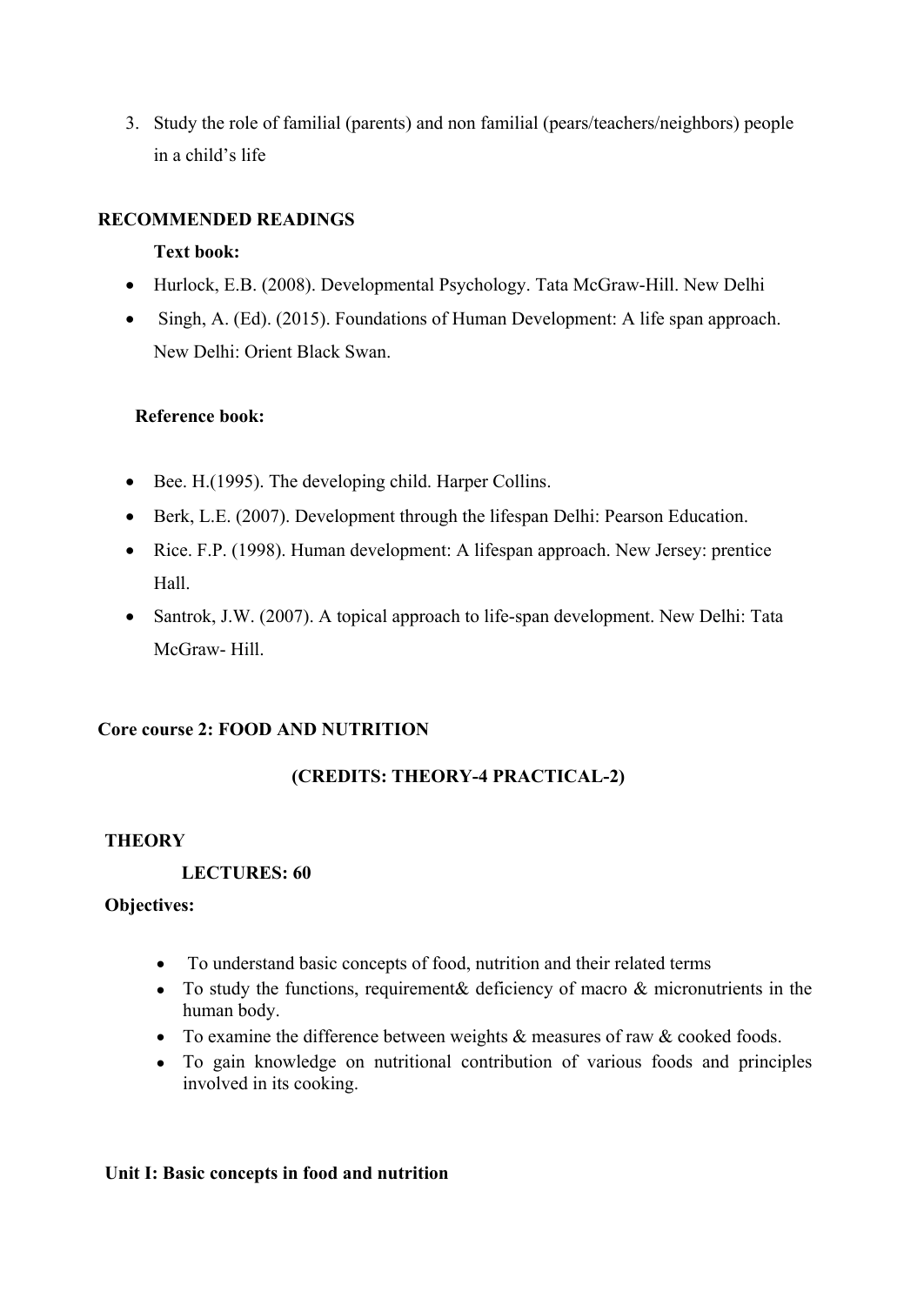3. Study the role of familial (parents) and non familial (pears/teachers/neighbors) people in a child's life

## **RECOMMENDED READINGS**

#### **Text book:**

- Hurlock, E.B. (2008). Developmental Psychology. Tata McGraw-Hill. New Delhi
- Singh, A. (Ed). (2015). Foundations of Human Development: A life span approach. New Delhi: Orient Black Swan.

#### **Reference book:**

- Bee. H.(1995). The developing child. Harper Collins.
- Berk, L.E. (2007). Development through the lifespan Delhi: Pearson Education.
- Rice. F.P. (1998). Human development: A lifespan approach. New Jersey: prentice Hall.
- Santrok, J.W. (2007). A topical approach to life-span development. New Delhi: Tata McGraw- Hill.

## **Core course 2: FOOD AND NUTRITION**

## **(CREDITS: THEORY-4 PRACTICAL-2)**

## **THEORY**

## **LECTURES: 60**

## **Objectives:**

- To understand basic concepts of food, nutrition and their related terms
- To study the functions, requirement & deficiency of macro & micronutrients in the human body.
- To examine the difference between weights & measures of raw & cooked foods.
- To gain knowledge on nutritional contribution of various foods and principles involved in its cooking.

#### **Unit I: Basic concepts in food and nutrition**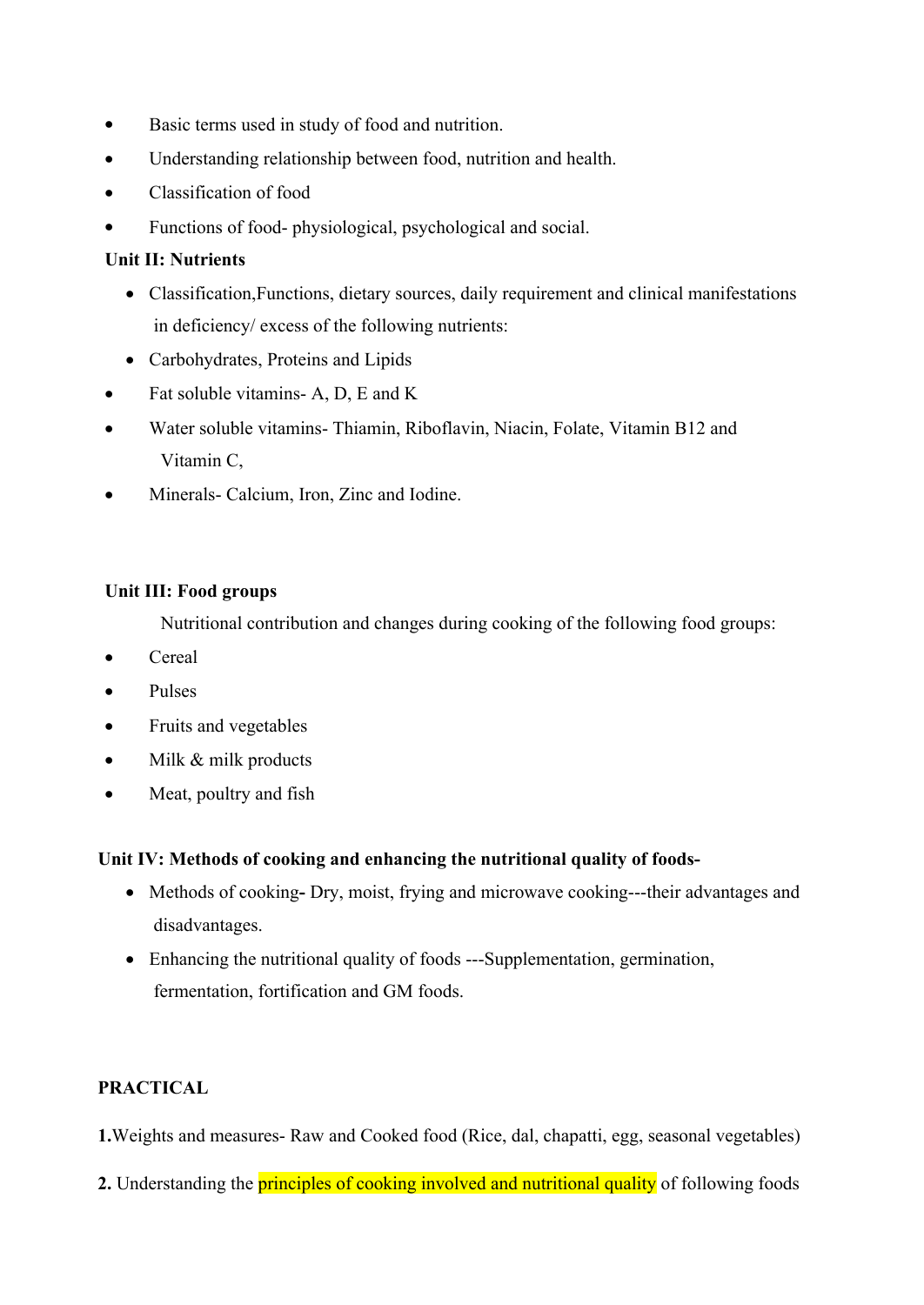- Basic terms used in study of food and nutrition.
- Understanding relationship between food, nutrition and health.
- Classification of food
- Functions of food- physiological, psychological and social.

## **Unit II: Nutrients**

- Classification,Functions, dietary sources, daily requirement and clinical manifestations in deficiency/ excess of the following nutrients:
- Carbohydrates, Proteins and Lipids
- Fat soluble vitamins- A, D, E and K
- Water soluble vitamins- Thiamin, Riboflavin, Niacin, Folate, Vitamin B12 and Vitamin C,
- Minerals- Calcium, Iron, Zinc and Iodine.

#### **Unit III: Food groups**

Nutritional contribution and changes during cooking of the following food groups:

- Cereal
- Pulses
- Fruits and vegetables
- Milk & milk products
- Meat, poultry and fish

## **Unit IV: Methods of cooking and enhancing the nutritional quality of foods-**

- Methods of cookingDry, moist, frying and microwave cooking---their advantages and disadvantages.
- Enhancing the nutritional quality of foods ---Supplementation, germination, fermentation, fortification and GM foods.

## **PRACTICAL**

**1.**Weights and measures- Raw and Cooked food (Rice, dal, chapatti, egg, seasonal vegetables)

**2.** Understanding the **principles of cooking involved and nutritional quality** of following foods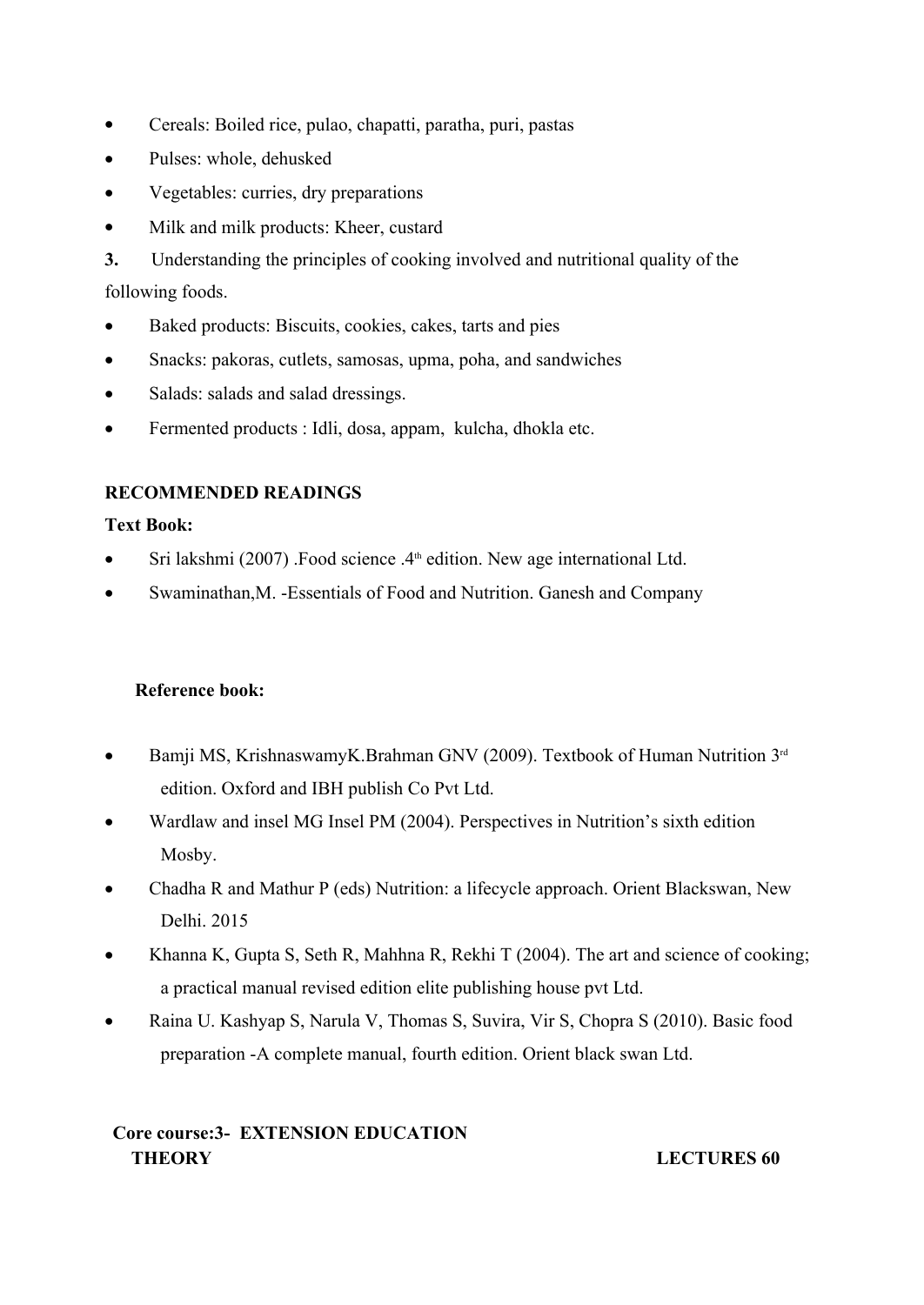- Cereals: Boiled rice, pulao, chapatti, paratha, puri, pastas
- Pulses: whole, dehusked
- Vegetables: curries, dry preparations
- Milk and milk products: Kheer, custard

**3.** Understanding the principles of cooking involved and nutritional quality of the following foods.

- Baked products: Biscuits, cookies, cakes, tarts and pies
- Snacks: pakoras, cutlets, samosas, upma, poha, and sandwiches
- Salads: salads and salad dressings.
- Fermented products : Idli, dosa, appam, kulcha, dhokla etc.

## **RECOMMENDED READINGS**

## **Text Book:**

- Sri lakshmi (2007) .Food science  $.4<sup>th</sup>$  edition. New age international Ltd.
- Swaminathan,M. -Essentials of Food and Nutrition. Ganesh and Company

## **Reference book:**

- Bamji MS, KrishnaswamyK.Brahman GNV (2009). Textbook of Human Nutrition  $3^{rd}$ edition. Oxford and IBH publish Co Pvt Ltd.
- Wardlaw and insel MG Insel PM (2004). Perspectives in Nutrition's sixth edition Mosby.
- Chadha R and Mathur P (eds) Nutrition: a lifecycle approach. Orient Blackswan, New Delhi. 2015
- Khanna K, Gupta S, Seth R, Mahhna R, Rekhi T (2004). The art and science of cooking; a practical manual revised edition elite publishing house pvt Ltd.
- Raina U. Kashyap S, Narula V, Thomas S, Suvira, Vir S, Chopra S (2010). Basic food preparation -A complete manual, fourth edition. Orient black swan Ltd.

## **Core course:3- EXTENSION EDUCATION THEORY LECTURES 60**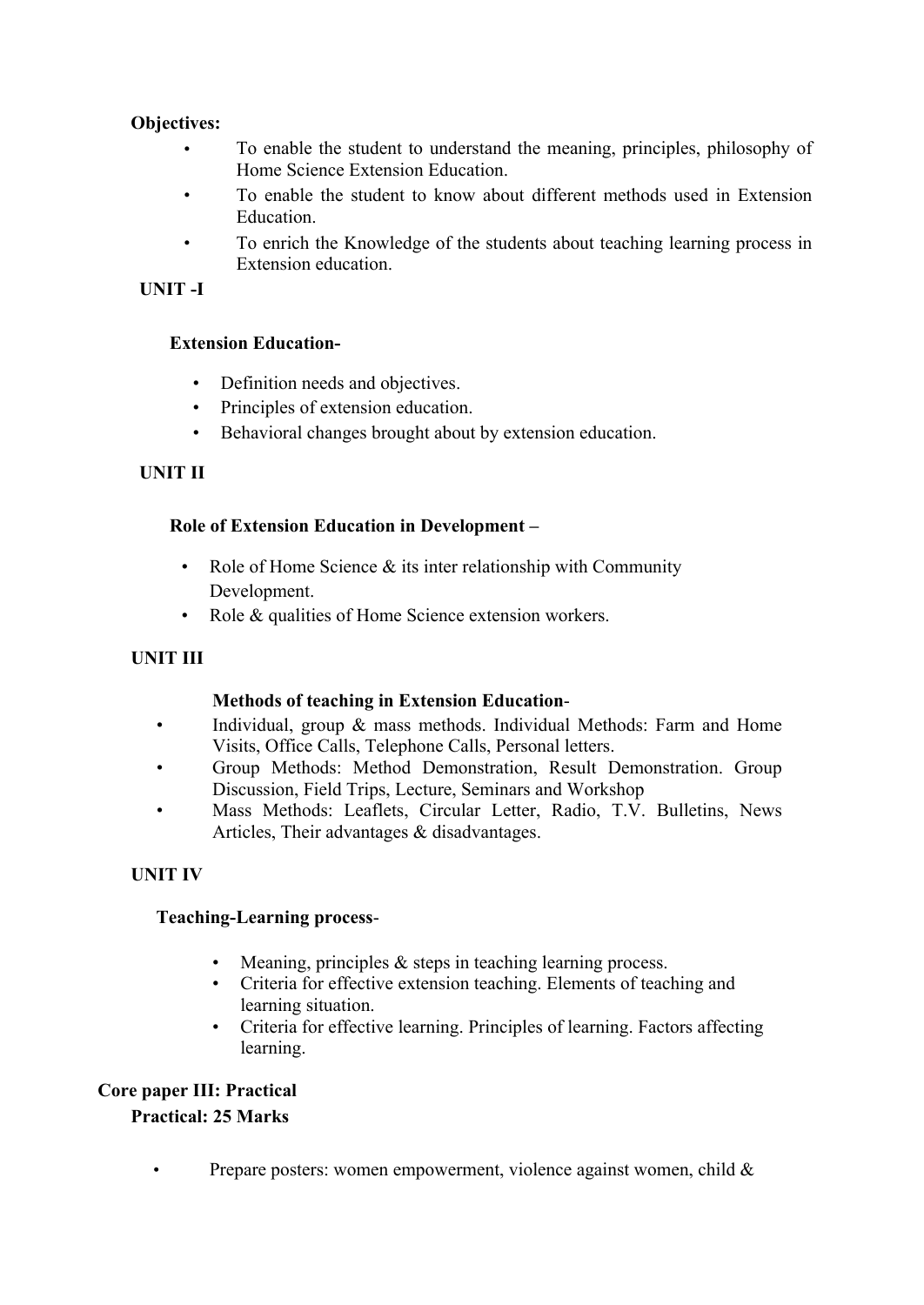## **Objectives:**

- To enable the student to understand the meaning, principles, philosophy of Home Science Extension Education.
- To enable the student to know about different methods used in Extension Education.
- To enrich the Knowledge of the students about teaching learning process in Extension education.

## **UNIT -I**

- **Extension Education-** Definition needs and objectives.
	-
	- Principles of extension education.<br>• Behavioral changes brought about by extension education.

## **UNIT II**

## **Role of Extension Education in Development –**

- Role of Home Science & its inter relationship with Community Development.
- Role & qualities of Home Science extension workers.

## **UNIT III**

## **Methods of teaching in Extension Education**-

- Individual, group & mass methods. Individual Methods: Farm and Home Visits, Office Calls, Telephone Calls, Personal letters. • Group Methods: Method Demonstration, Result Demonstration. Group
- Discussion, Field Trips, Lecture, Seminars and Workshop<br>Mass Methods: Leaflets, Circular Letter, Radio, T.V. Bulletins, News
- Articles, Their advantages & disadvantages.

## **UNIT IV**

- **Teaching-Learning process-**<br>• Meaning, principles & steps in teaching learning process.
	- Criteria for effective extension teaching. Elements of teaching and
	- learning situation. Criteria for effective learning. Principles of learning. Factors affecting learning.

## **Core paper III: Practical**

## **Practical: 25 Marks**

• Prepare posters: women empowerment, violence against women, child  $\&$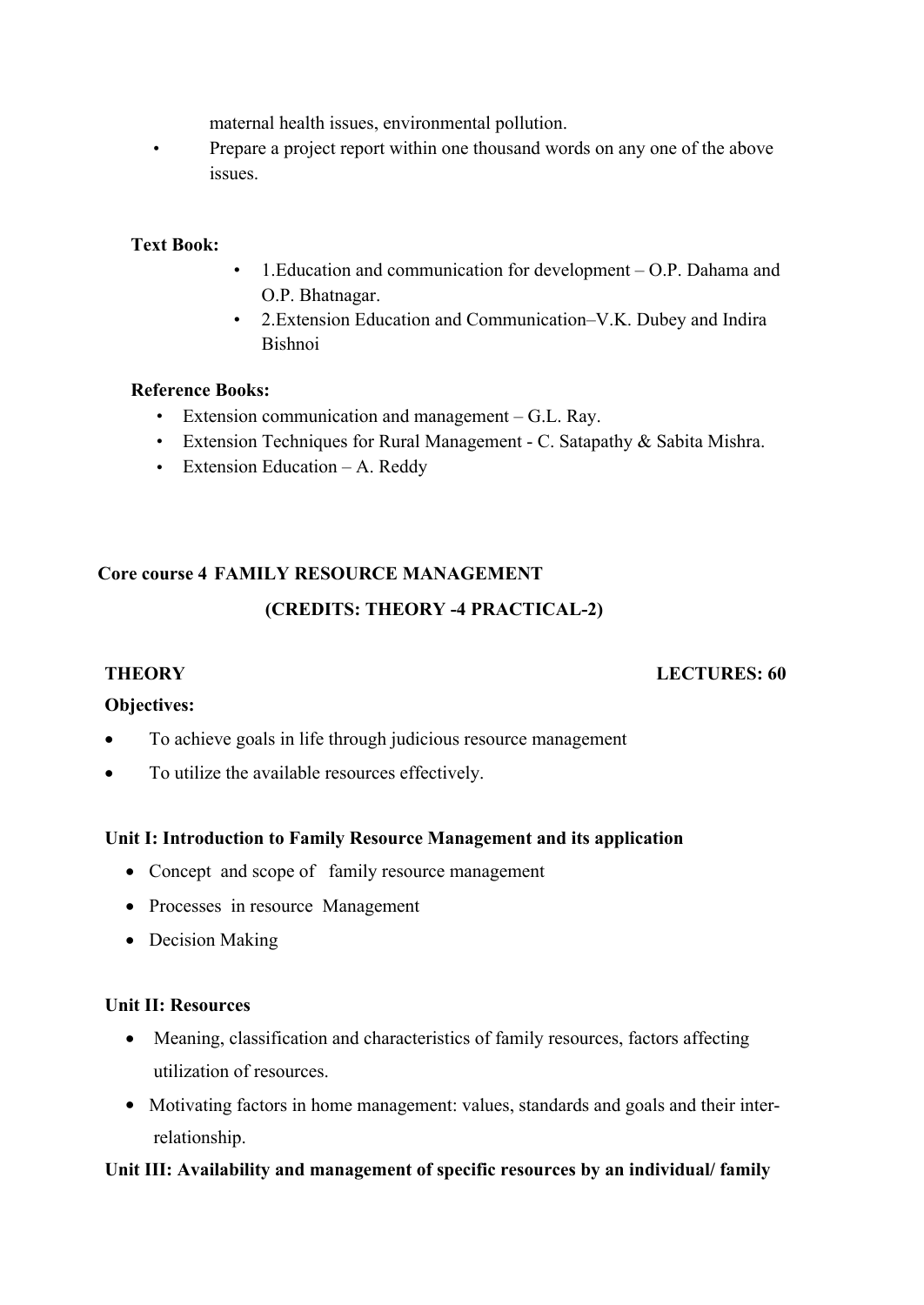maternal health issues, environmental pollution.

• Prepare a project report within one thousand words on any one of the above issues.

## **Text Book:**

- 1.Education and communication for development O.P. Dahama and O.P. Bhatnagar.
- 2.Extension Education and Communication–V.K. Dubey and Indira Bishnoi

#### **Reference Books:**

- Extension communication and management G.L. Ray.
- Extension Techniques for Rural Management C. Satapathy & Sabita Mishra.
- Extension Education A. Reddy

## **Core course 4 FAMILY RESOURCE MANAGEMENT**

## **(CREDITS: THEORY -4 PRACTICAL-2)**

## **THEORY LECTURES: 60**

## **Objectives:**

- To achieve goals in life through judicious resource management
- To utilize the available resources effectively.

## **Unit I: Introduction to Family Resource Management and its application**

- Concept and scope of family resource management
- Processes in resource Management
- Decision Making

#### **Unit II: Resources**

- Meaning, classification and characteristics of family resources, factors affecting utilization of resources.
- Motivating factors in home management: values, standards and goals and their interrelationship.

## **Unit III: Availability and management of specific resources by an individual/ family**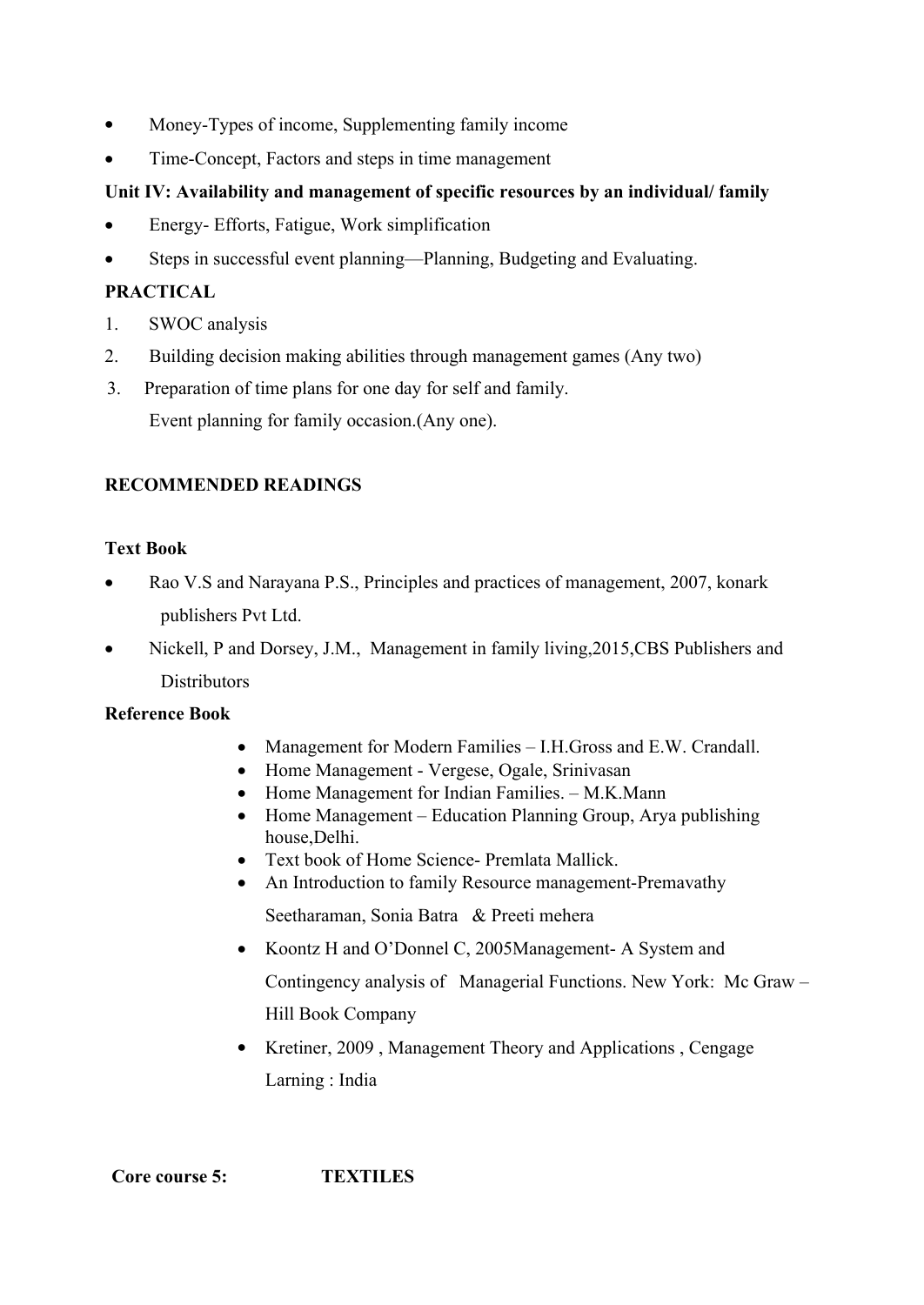- Money-Types of income, Supplementing family income
- Time-Concept, Factors and steps in time management

## **Unit IV: Availability and management of specific resources by an individual/ family**

- Energy- Efforts, Fatigue, Work simplification
- Steps in successful event planning—Planning, Budgeting and Evaluating.

## **PRACTICAL**

- 1. SWOC analysis
- 2. Building decision making abilities through management games (Any two)
- 3. Preparation of time plans for one day for self and family. Event planning for family occasion.(Any one).

## **RECOMMENDED READINGS**

## **Text Book**

- Rao V.S and Narayana P.S., Principles and practices of management, 2007, konark publishers Pvt Ltd.
- Nickell, P and Dorsey, J.M., Management in family living,2015,CBS Publishers and **Distributors**

## **Reference Book**

- Management for Modern Families I.H.Gross and E.W. Crandall.
- Home Management Vergese, Ogale, Srinivasan
- Home Management for Indian Families. M.K.Mann
- Home Management Education Planning Group, Arya publishing house,Delhi.
- Text book of Home Science- Premlata Mallick.
- An Introduction to family Resource management-Premavathy Seetharaman, Sonia Batra & Preeti mehera
- Koontz H and O'Donnel C, 2005Management- A System and Contingency analysis of Managerial Functions. New York: Mc Graw – Hill Book Company
- Kretiner, 2009, Management Theory and Applications, Cengage Larning : India

 **Core course 5: TEXTILES**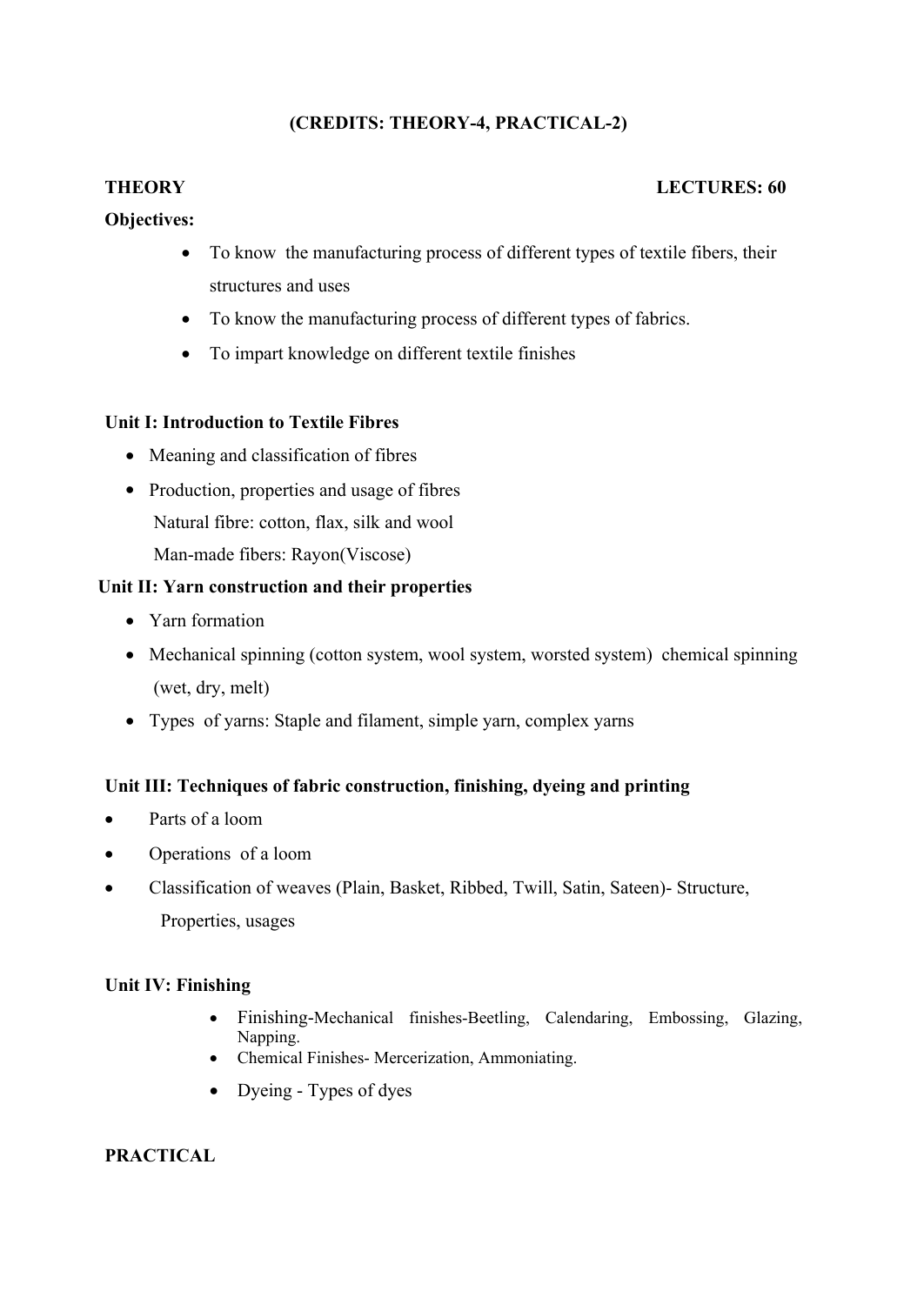## **(CREDITS: THEORY-4, PRACTICAL-2)**

## **THEORY LECTURES: 60**

## **Objectives:**

- To know the manufacturing process of different types of textile fibers, their structures and uses
- To know the manufacturing process of different types of fabrics.
- To impart knowledge on different textile finishes

## **Unit I: Introduction to Textile Fibres**

- Meaning and classification of fibres
- Production, properties and usage of fibres Natural fibre: cotton, flax, silk and wool Man-made fibers: Rayon(Viscose)

## **Unit II: Yarn construction and their properties**

- Yarn formation
- Mechanical spinning (cotton system, wool system, worsted system) chemical spinning (wet, dry, melt)
- Types of yarns: Staple and filament, simple yarn, complex yarns

## **Unit III: Techniques of fabric construction, finishing, dyeing and printing**

- Parts of a loom
- Operations of a loom
- Classification of weaves (Plain, Basket, Ribbed, Twill, Satin, Sateen)- Structure, Properties, usages

## **Unit IV: Finishing**

- Finishing-Mechanical finishes-Beetling, Calendaring, Embossing, Glazing, Napping.
- Chemical Finishes- Mercerization, Ammoniating.
- Dyeing Types of dyes

## **PRACTICAL**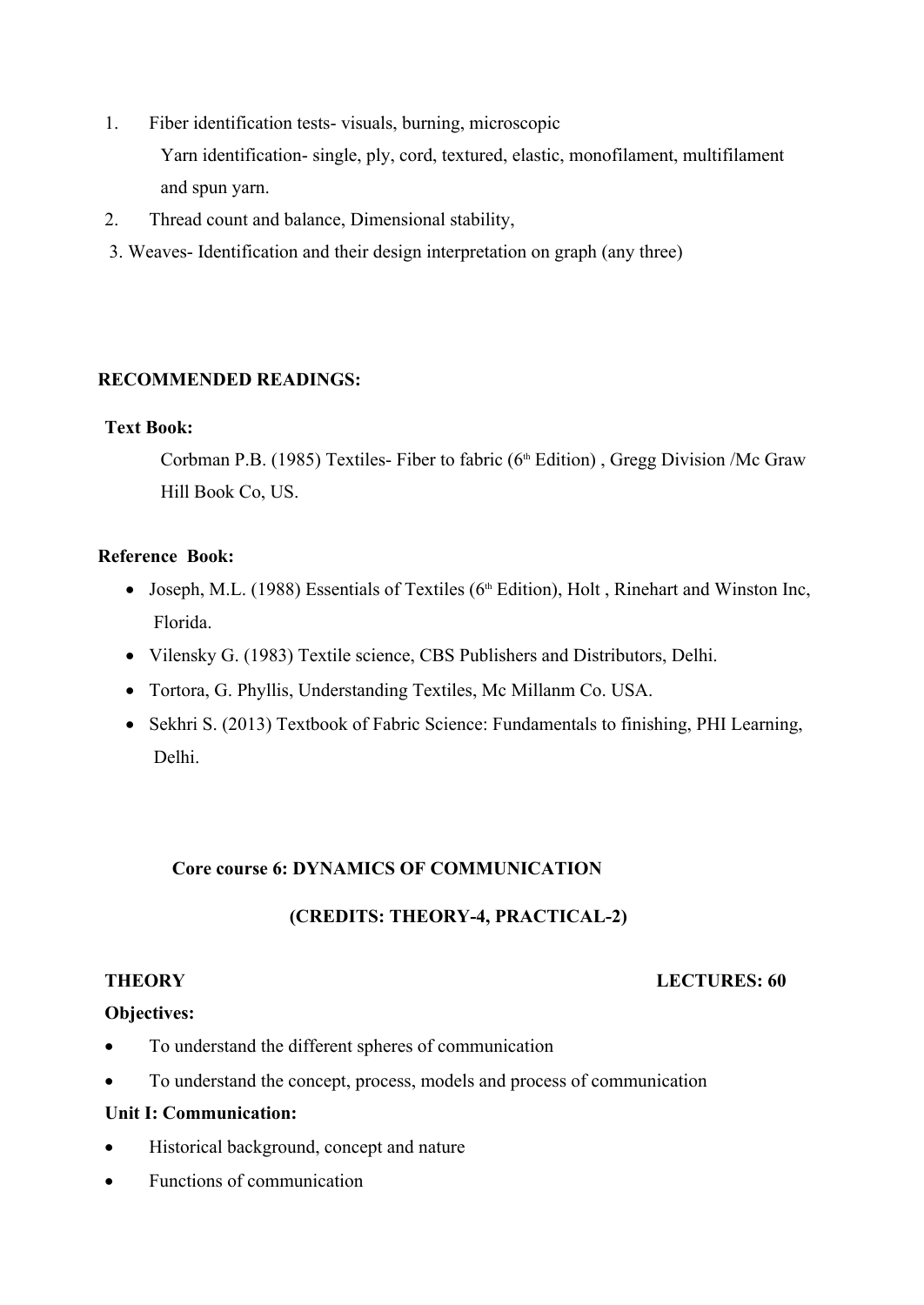1. Fiber identification tests- visuals, burning, microscopic

Yarn identification- single, ply, cord, textured, elastic, monofilament, multifilament and spun yarn.

- 2. Thread count and balance, Dimensional stability,
- 3. Weaves- Identification and their design interpretation on graph (any three)

## **RECOMMENDED READINGS:**

## **Text Book:**

Corbman P.B. (1985) Textiles- Fiber to fabric  $(6<sup>th</sup> Edition)$ , Gregg Division /Mc Graw Hill Book Co, US.

## **Reference Book:**

- Joseph, M.L. (1988) Essentials of Textiles ( $6<sup>th</sup>$  Edition), Holt, Rinehart and Winston Inc, Florida.
- Vilensky G. (1983) Textile science, CBS Publishers and Distributors, Delhi.
- Tortora, G. Phyllis, Understanding Textiles, Mc Millanm Co. USA.
- Sekhri S. (2013) Textbook of Fabric Science: Fundamentals to finishing, PHI Learning, Delhi.

## **Core course 6: DYNAMICS OF COMMUNICATION**

## **(CREDITS: THEORY-4, PRACTICAL-2)**

#### **THEORY LECTURES: 60**

## **Objectives:**

- To understand the different spheres of communication
- To understand the concept, process, models and process of communication

#### **Unit I: Communication:**

- Historical background, concept and nature
- Functions of communication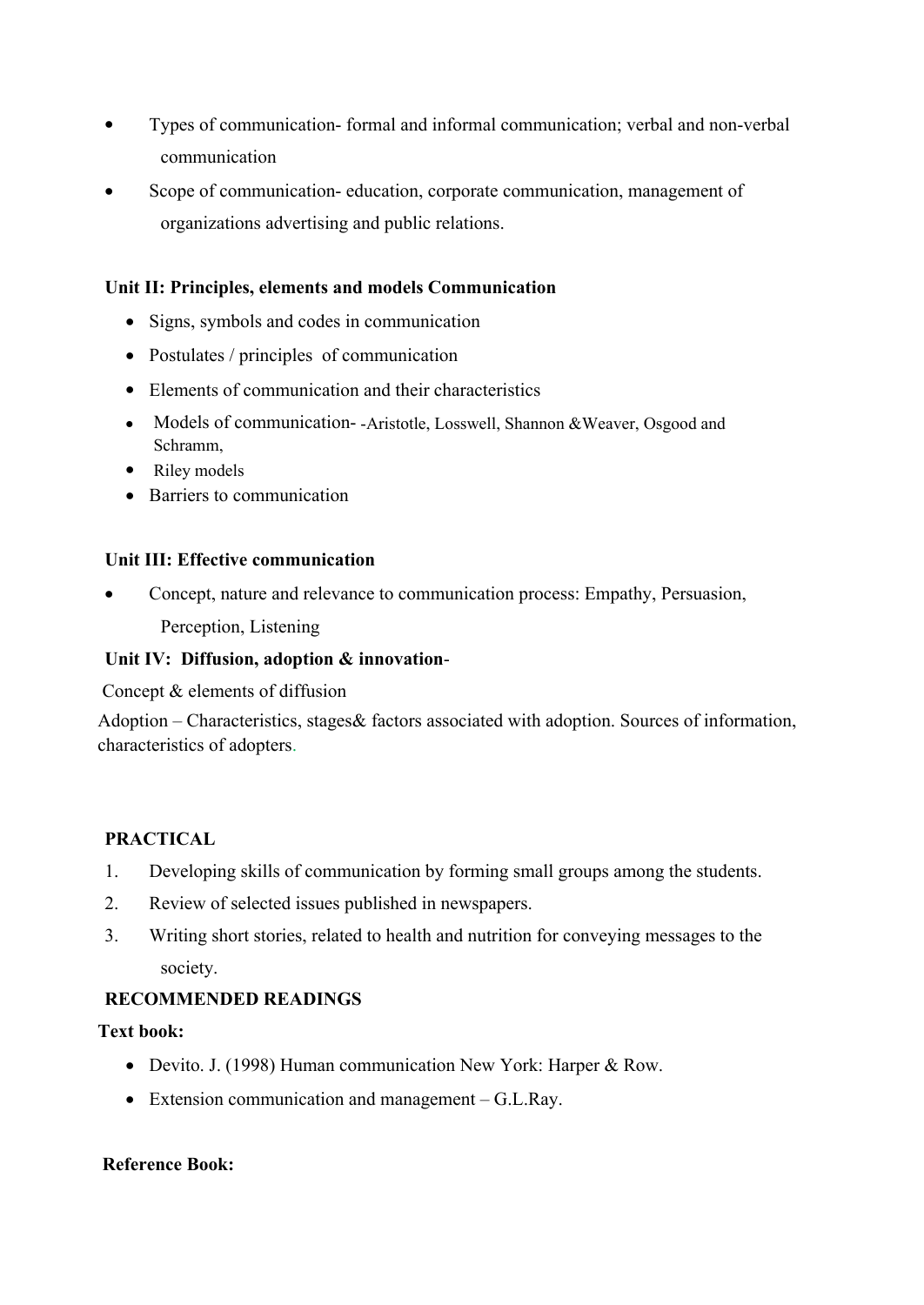- Types of communication- formal and informal communication; verbal and non-verbal communication
- Scope of communication- education, corporate communication, management of organizations advertising and public relations.

## **Unit II: Principles, elements and models Communication**

- Signs, symbols and codes in communication
- Postulates / principles of communication
- Elements of communication and their characteristics
- Models of communication--Aristotle, Losswell, Shannon &Weaver, Osgood and Schramm,
- Riley models
- Barriers to communication

#### **Unit III: Effective communication**

 Concept, nature and relevance to communication process: Empathy, Persuasion, Perception, Listening

## **Unit IV: Diffusion, adoption & innovation**-

Concept & elements of diffusion

Adoption – Characteristics, stages& factors associated with adoption. Sources of information, characteristics of adopters.

## **PRACTICAL**

- 1. Developing skills of communication by forming small groups among the students.
- 2. Review of selected issues published in newspapers.
- 3. Writing short stories, related to health and nutrition for conveying messages to the society.

## **RECOMMENDED READINGS**

## **Text book:**

- Devito. J. (1998) Human communication New York: Harper & Row.
- Extension communication and management G.L.Ray.

## **Reference Book:**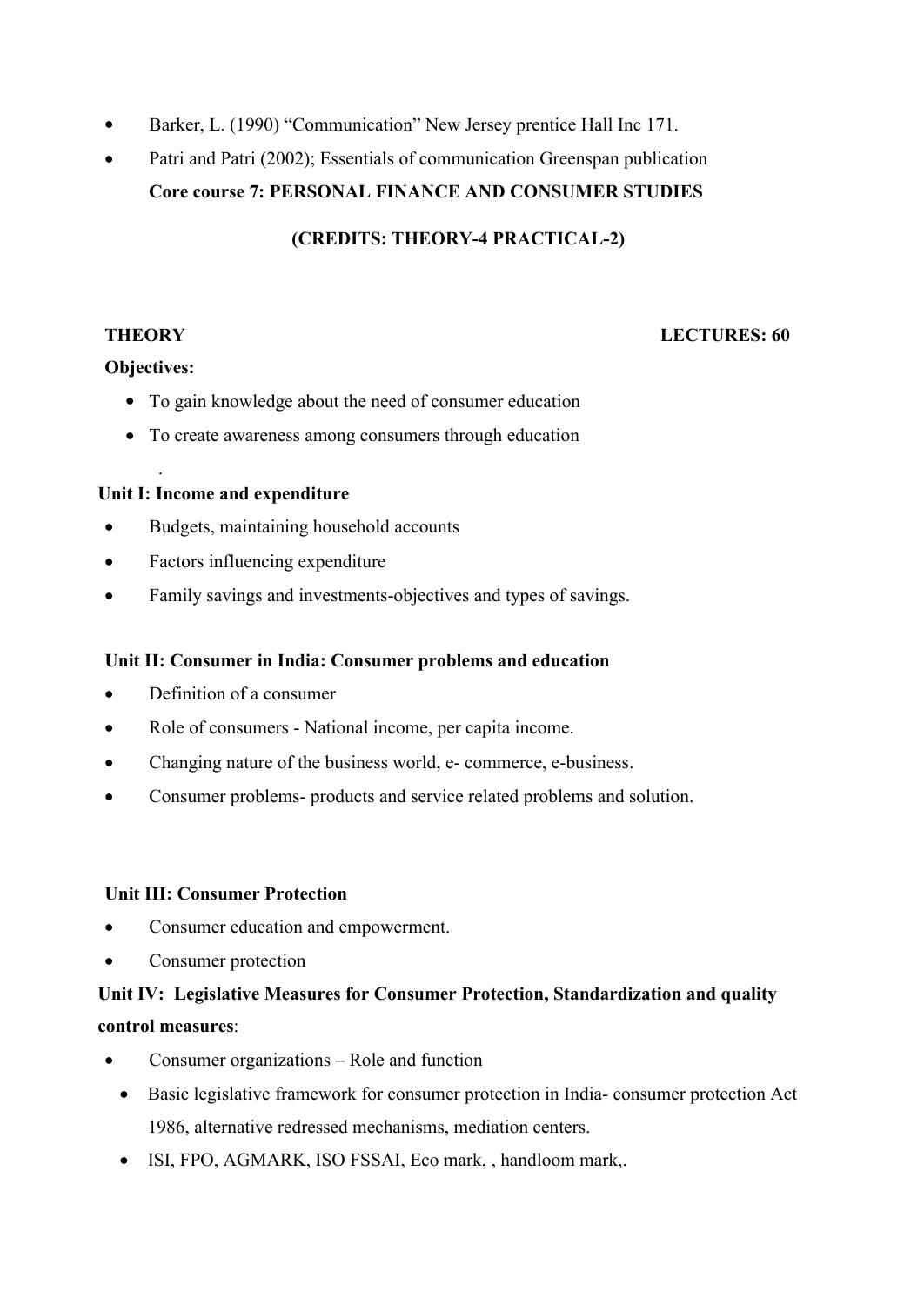- Barker, L. (1990) "Communication" New Jersey prentice Hall Inc 171.
- Patri and Patri (2002); Essentials of communication Greenspan publication  **Core course 7: PERSONAL FINANCE AND CONSUMER STUDIES**

**(CREDITS: THEORY-4 PRACTICAL-2)**

## **THEORY LECTURES: 60**

## **Objectives:**

.

- To gain knowledge about the need of consumer education
- To create awareness among consumers through education

## **Unit I: Income and expenditure**

- Budgets, maintaining household accounts
- Factors influencing expenditure
- Family savings and investments-objectives and types of savings.

## **Unit II: Consumer in India: Consumer problems and education**

- Definition of a consumer
- Role of consumers National income, per capita income.
- Changing nature of the business world, e- commerce, e-business.
- Consumer problems- products and service related problems and solution.

## **Unit III: Consumer Protection**

- Consumer education and empowerment.
- Consumer protection

# **Unit IV: Legislative Measures for Consumer Protection, Standardization and quality control measures**:

- Consumer organizations Role and function
	- Basic legislative framework for consumer protection in India- consumer protection Act 1986, alternative redressed mechanisms, mediation centers.
	- ISI, FPO, AGMARK, ISO FSSAI, Eco mark, , handloom mark,.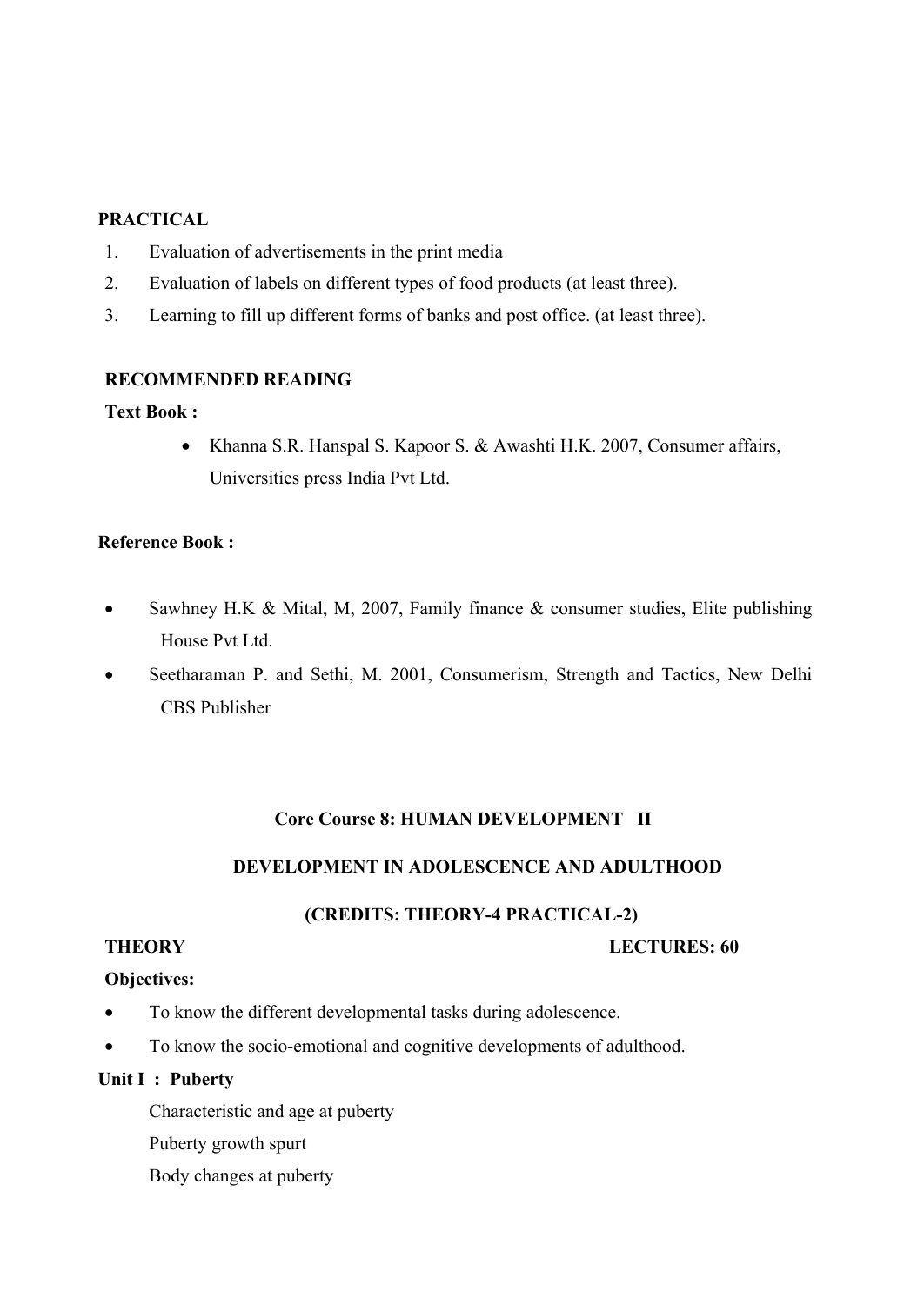## **PRACTICAL**

- 1. Evaluation of advertisements in the print media
- 2. Evaluation of labels on different types of food products (at least three).
- 3. Learning to fill up different forms of banks and post office. (at least three).

#### **RECOMMENDED READING**

#### **Text Book :**

• Khanna S.R. Hanspal S. Kapoor S. & Awashti H.K. 2007, Consumer affairs, Universities press India Pvt Ltd.

#### **Reference Book :**

- Sawhney H.K & Mital, M, 2007, Family finance & consumer studies, Elite publishing House Pvt Ltd.
- Seetharaman P. and Sethi, M. 2001, Consumerism, Strength and Tactics, New Delhi CBS Publisher

## **Core Course 8: HUMAN DEVELOPMENT II**

## **DEVELOPMENT IN ADOLESCENCE AND ADULTHOOD**

#### **(CREDITS: THEORY-4 PRACTICAL-2)**

#### **THEORY LECTURES: 60**

#### **Objectives:**

- To know the different developmental tasks during adolescence.
- To know the socio-emotional and cognitive developments of adulthood.

#### **Unit I : Puberty**

Characteristic and age at puberty

- Puberty growth spurt
- Body changes at puberty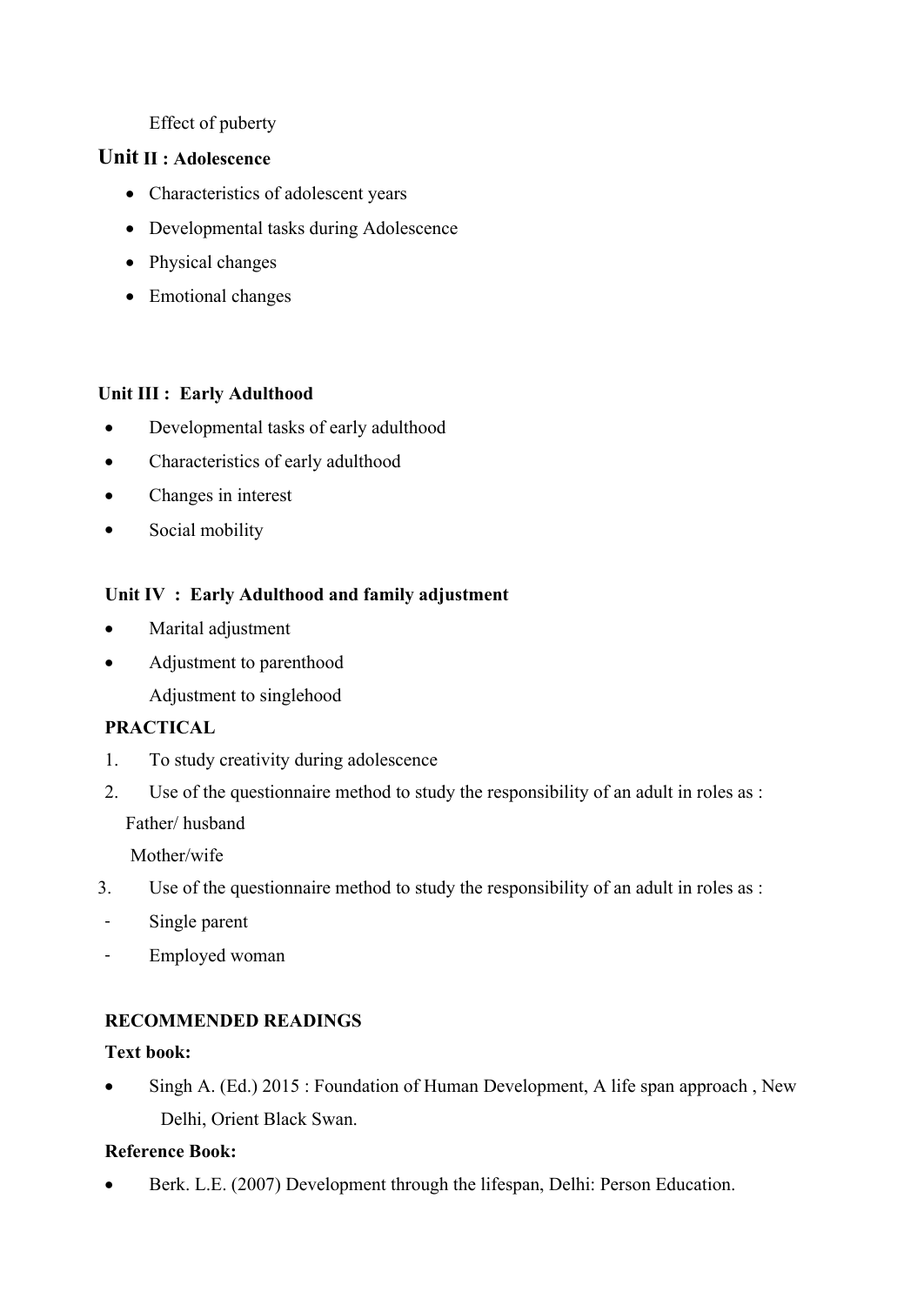## Effect of puberty

## **Unit II : Adolescence**

- Characteristics of adolescent years
- Developmental tasks during Adolescence
- Physical changes
- Emotional changes

## **Unit III : Early Adulthood**

- Developmental tasks of early adulthood
- Characteristics of early adulthood
- Changes in interest
- Social mobility

## **Unit IV : Early Adulthood and family adjustment**

- Marital adjustment
- Adjustment to parenthood
	- Adjustment to singlehood

## **PRACTICAL**

- 1. To study creativity during adolescence
- 2. Use of the questionnaire method to study the responsibility of an adult in roles as :

Father/ husband

Mother/wife

- 3. Use of the questionnaire method to study the responsibility of an adult in roles as :
- Single parent
- Employed woman

## **RECOMMENDED READINGS**

## **Text book:**

• Singh A. (Ed.) 2015 : Foundation of Human Development, A life span approach, New Delhi, Orient Black Swan.

## **Reference Book:**

Berk. L.E. (2007) Development through the lifespan, Delhi: Person Education.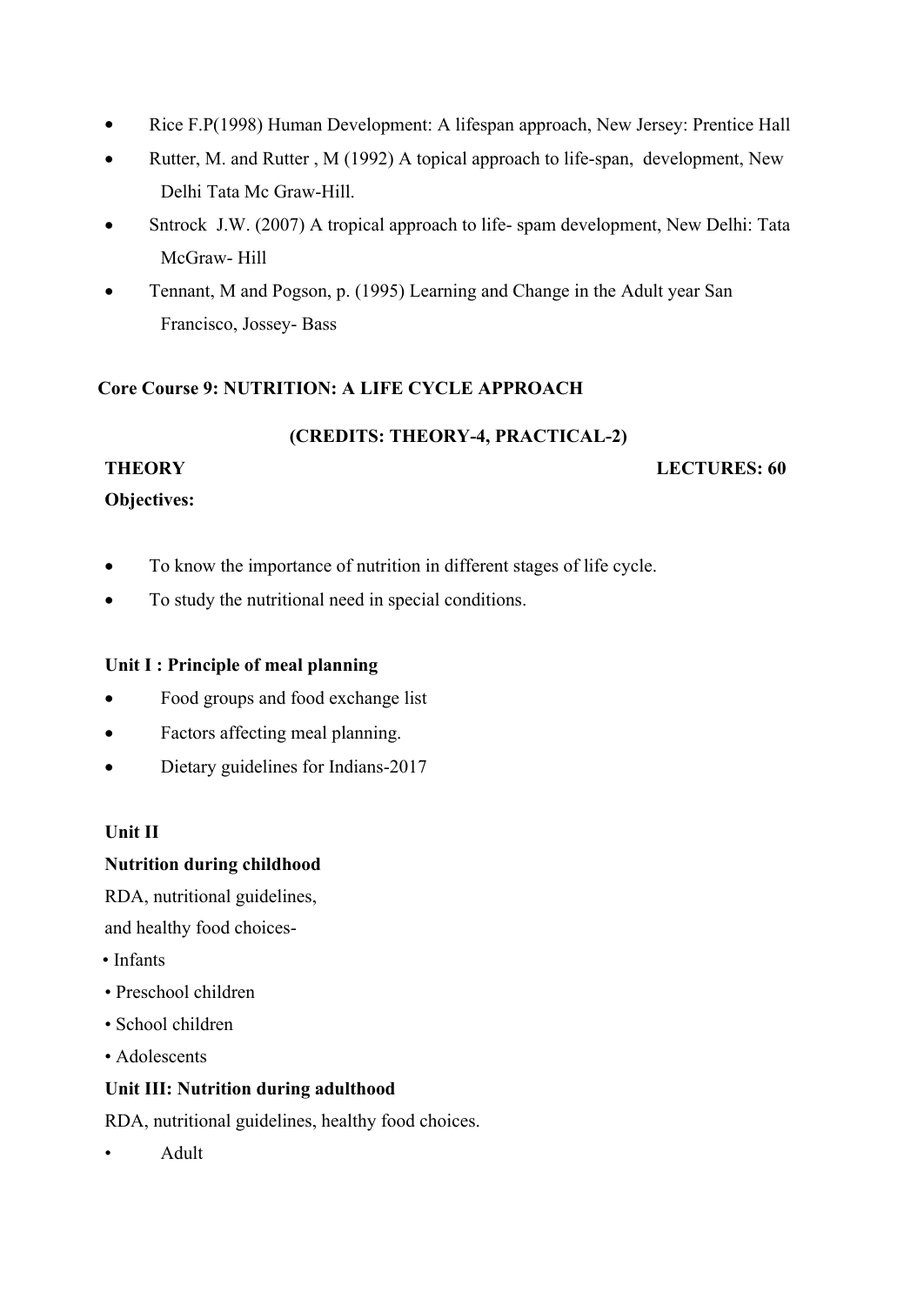- Rice F.P(1998) Human Development: A lifespan approach, New Jersey: Prentice Hall
- Rutter, M. and Rutter, M (1992) A topical approach to life-span, development, New Delhi Tata Mc Graw-Hill.
- Sntrock J.W. (2007) A tropical approach to life- spam development, New Delhi: Tata McGraw- Hill
- Tennant, M and Pogson, p. (1995) Learning and Change in the Adult year San Francisco, Jossey- Bass

## **Core Course 9: NUTRITION: A LIFE CYCLE APPROACH**

#### **(CREDITS: THEORY-4, PRACTICAL-2)**

## **THEORY LECTURES: 60**

## **Objectives:**

- To know the importance of nutrition in different stages of life cycle.
- To study the nutritional need in special conditions.

## **Unit I : Principle of meal planning**

- Food groups and food exchange list
- Factors affecting meal planning.
- Dietary guidelines for Indians-2017

## **Unit II**

## **Nutrition during childhood**

RDA, nutritional guidelines,

and healthy food choices-

- Infants
- Preschool children
- School children
- Adolescents

## **Unit III: Nutrition during adulthood**

RDA, nutritional guidelines, healthy food choices.

• Adult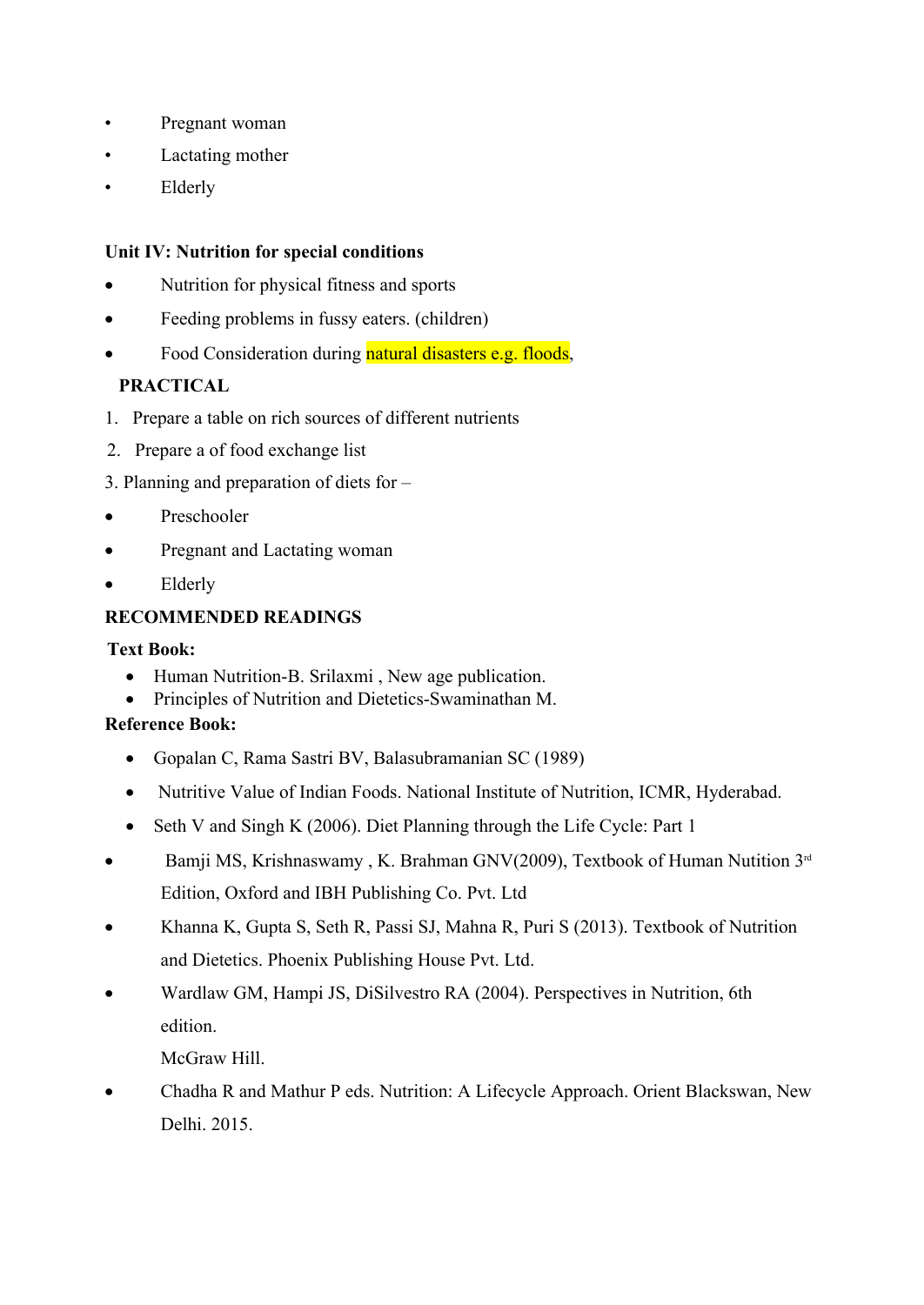- Pregnant woman
- Lactating mother
- Elderly

## **Unit IV: Nutrition for special conditions**

- Nutrition for physical fitness and sports
- Feeding problems in fussy eaters. (children)
- Food Consideration during natural disasters e.g. floods,

## **PRACTICAL**

- 1. Prepare a table on rich sources of different nutrients
- 2. Prepare a of food exchange list
- 3. Planning and preparation of diets for –
- Preschooler
- Pregnant and Lactating woman
- Elderly

## **RECOMMENDED READINGS**

## **Text Book:**

- Human Nutrition-B. Srilaxmi , New age publication.
- Principles of Nutrition and Dietetics-Swaminathan M.

## **Reference Book:**

- Gopalan C, Rama Sastri BV, Balasubramanian SC (1989)
- Nutritive Value of Indian Foods. National Institute of Nutrition, ICMR, Hyderabad.
- Seth V and Singh K (2006). Diet Planning through the Life Cycle: Part 1
- Bamji MS, Krishnaswamy, K. Brahman GNV(2009), Textbook of Human Nutition 3<sup>rd</sup> Edition, Oxford and IBH Publishing Co. Pvt. Ltd
- Khanna K, Gupta S, Seth R, Passi SJ, Mahna R, Puri S (2013). Textbook of Nutrition and Dietetics. Phoenix Publishing House Pvt. Ltd.
- Wardlaw GM, Hampi JS, DiSilvestro RA (2004). Perspectives in Nutrition, 6th edition.

McGraw Hill.

 Chadha R and Mathur P eds. Nutrition: A Lifecycle Approach. Orient Blackswan, New Delhi. 2015.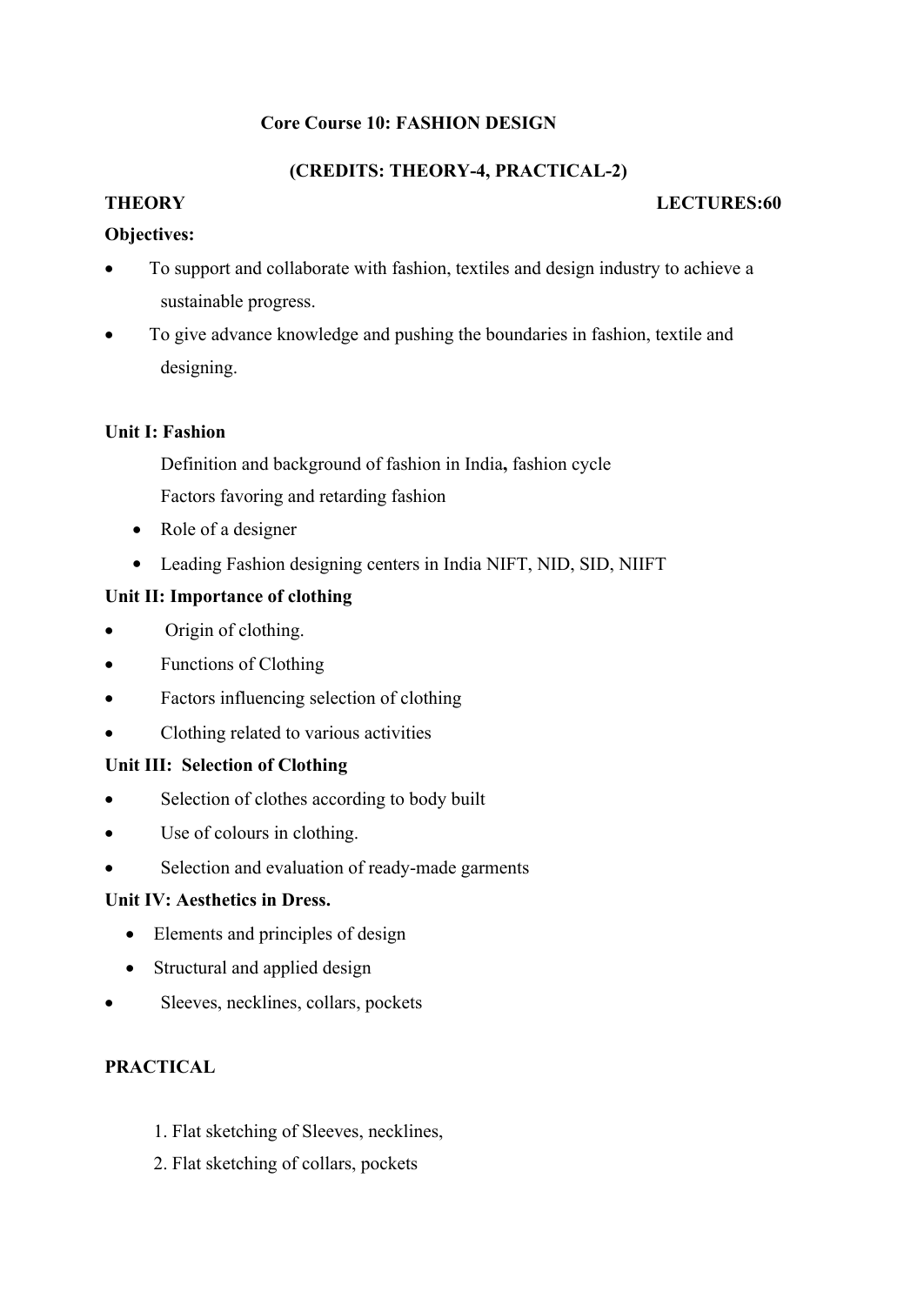## **Core Course 10: FASHION DESIGN**

## **(CREDITS: THEORY-4, PRACTICAL-2)**

## **THEORY LECTURES:60**

## **Objectives:**

- To support and collaborate with fashion, textiles and design industry to achieve a sustainable progress.
- To give advance knowledge and pushing the boundaries in fashion, textile and designing.

## **Unit I: Fashion**

Definition and background of fashion in India**,** fashion cycle

Factors favoring and retarding fashion

- Role of a designer
- Leading Fashion designing centers in India NIFT, NID, SID, NIIFT

## **Unit II: Importance of clothing**

- Origin of clothing.
- Functions of Clothing
- Factors influencing selection of clothing
- Clothing related to various activities

## **Unit III: Selection of Clothing**

- Selection of clothes according to body built
- Use of colours in clothing.
- Selection and evaluation of ready-made garments

## **Unit IV: Aesthetics in Dress.**

- Elements and principles of design
- Structural and applied design
- Sleeves, necklines, collars, pockets

## **PRACTICAL**

- 1. Flat sketching of Sleeves, necklines,
- 2. Flat sketching of collars, pockets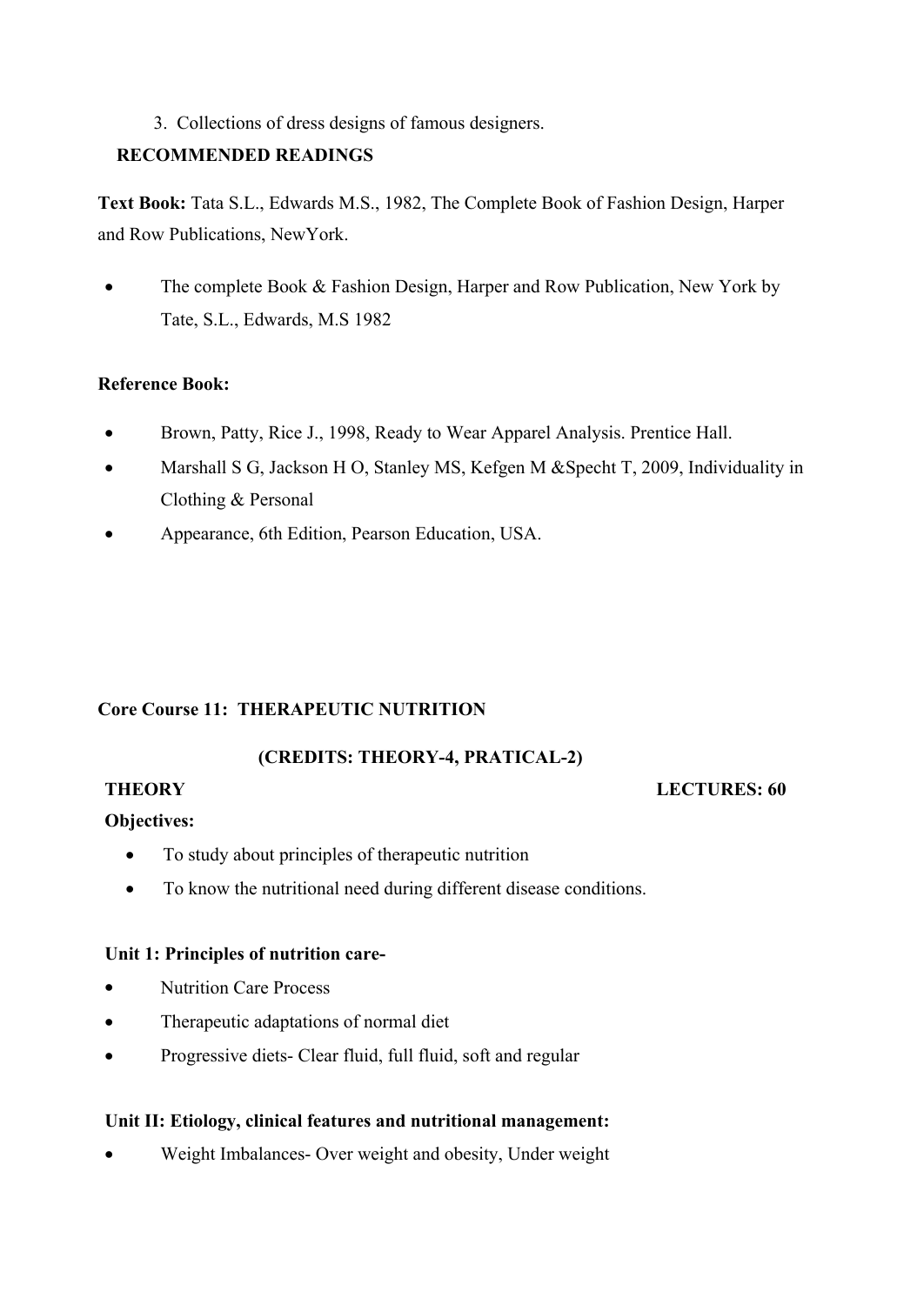## 3. Collections of dress designs of famous designers.

## **RECOMMENDED READINGS**

**Text Book:** Tata S.L., Edwards M.S., 1982, The Complete Book of Fashion Design, Harper and Row Publications, NewYork.

• The complete Book & Fashion Design, Harper and Row Publication, New York by Tate, S.L., Edwards, M.S 1982

## **Reference Book:**

- Brown, Patty, Rice J., 1998, Ready to Wear Apparel Analysis. Prentice Hall.
- Marshall S G, Jackson H O, Stanley MS, Kefgen M &Specht T, 2009, Individuality in Clothing & Personal
- Appearance, 6th Edition, Pearson Education, USA.

## **Core Course 11: THERAPEUTIC NUTRITION**

## **(CREDITS: THEORY-4, PRATICAL-2)**

#### **THEORY LECTURES: 60**

## **Objectives:**

- To study about principles of the rapeutic nutrition
- To know the nutritional need during different disease conditions.

## **Unit 1: Principles of nutrition care-**

- Nutrition Care Process
- Therapeutic adaptations of normal diet
- Progressive diets- Clear fluid, full fluid, soft and regular

## **Unit II: Etiology, clinical features and nutritional management:**

Weight Imbalances- Over weight and obesity, Under weight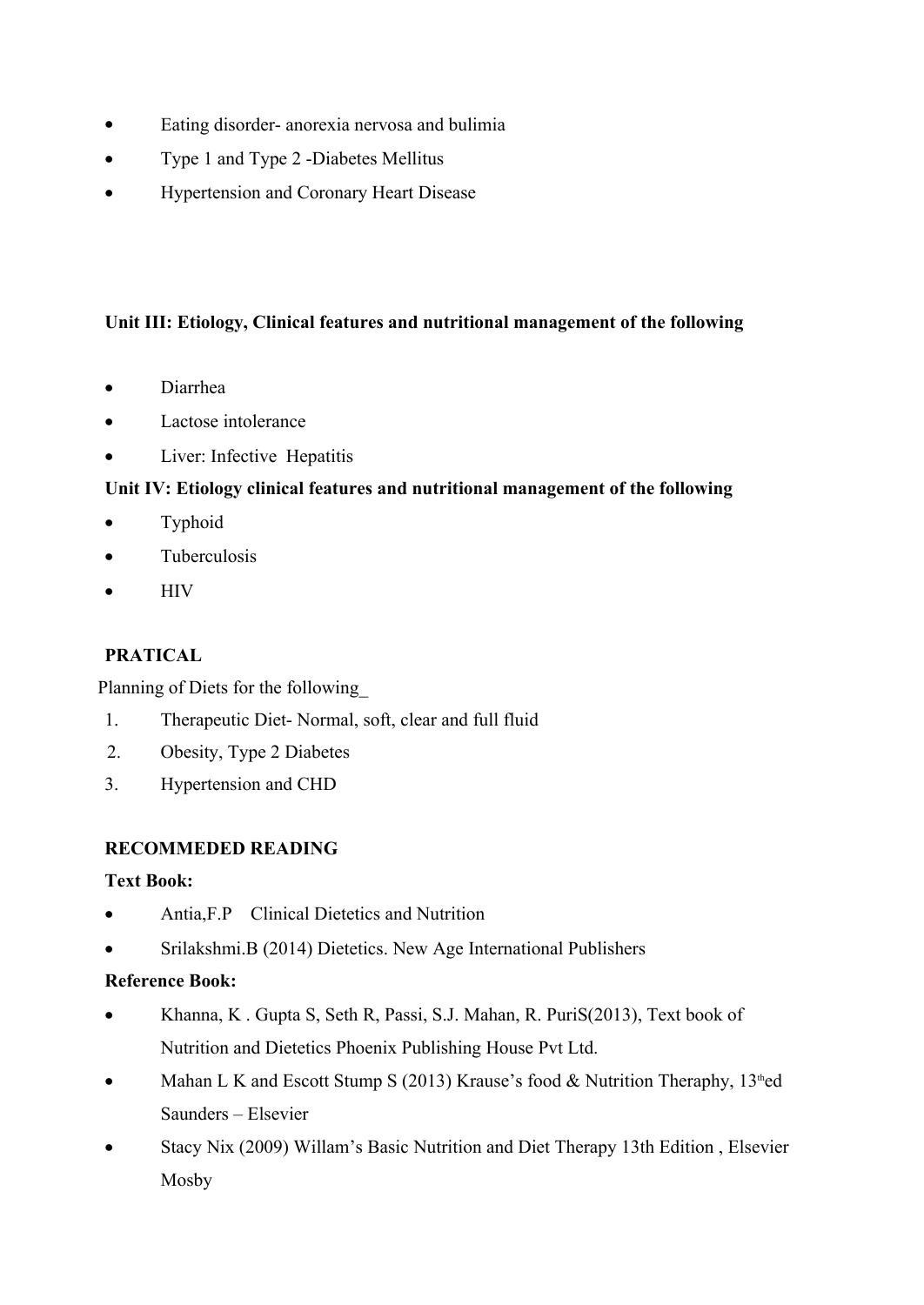- Eating disorder- anorexia nervosa and bulimia
- Type 1 and Type 2 -Diabetes Mellitus
- Hypertension and Coronary Heart Disease

## **Unit III: Etiology, Clinical features and nutritional management of the following**

- Diarrhea
- Lactose intolerance
- Liver: Infective Hepatitis

## **Unit IV: Etiology clinical features and nutritional management of the following**

- Typhoid
- Tuberculosis
- $\bullet$  HIV

## **PRATICAL**

Planning of Diets for the following\_

- 1. Therapeutic Diet- Normal, soft, clear and full fluid
- 2. Obesity, Type 2 Diabetes
- 3. Hypertension and CHD

## **RECOMMEDED READING**

## **Text Book:**

- Antia,F.P Clinical Dietetics and Nutrition
- Srilakshmi.B (2014) Dietetics. New Age International Publishers

## **Reference Book:**

- Khanna, K. Gupta S, Seth R, Passi, S.J. Mahan, R. PuriS(2013), Text book of Nutrition and Dietetics Phoenix Publishing House Pvt Ltd.
- Mahan L K and Escott Stump S (2013) Krause's food  $&$  Nutrition Theraphy, 13<sup>th</sup>ed Saunders – Elsevier
- Stacy Nix (2009) Willam's Basic Nutrition and Diet Therapy 13th Edition , Elsevier Mosby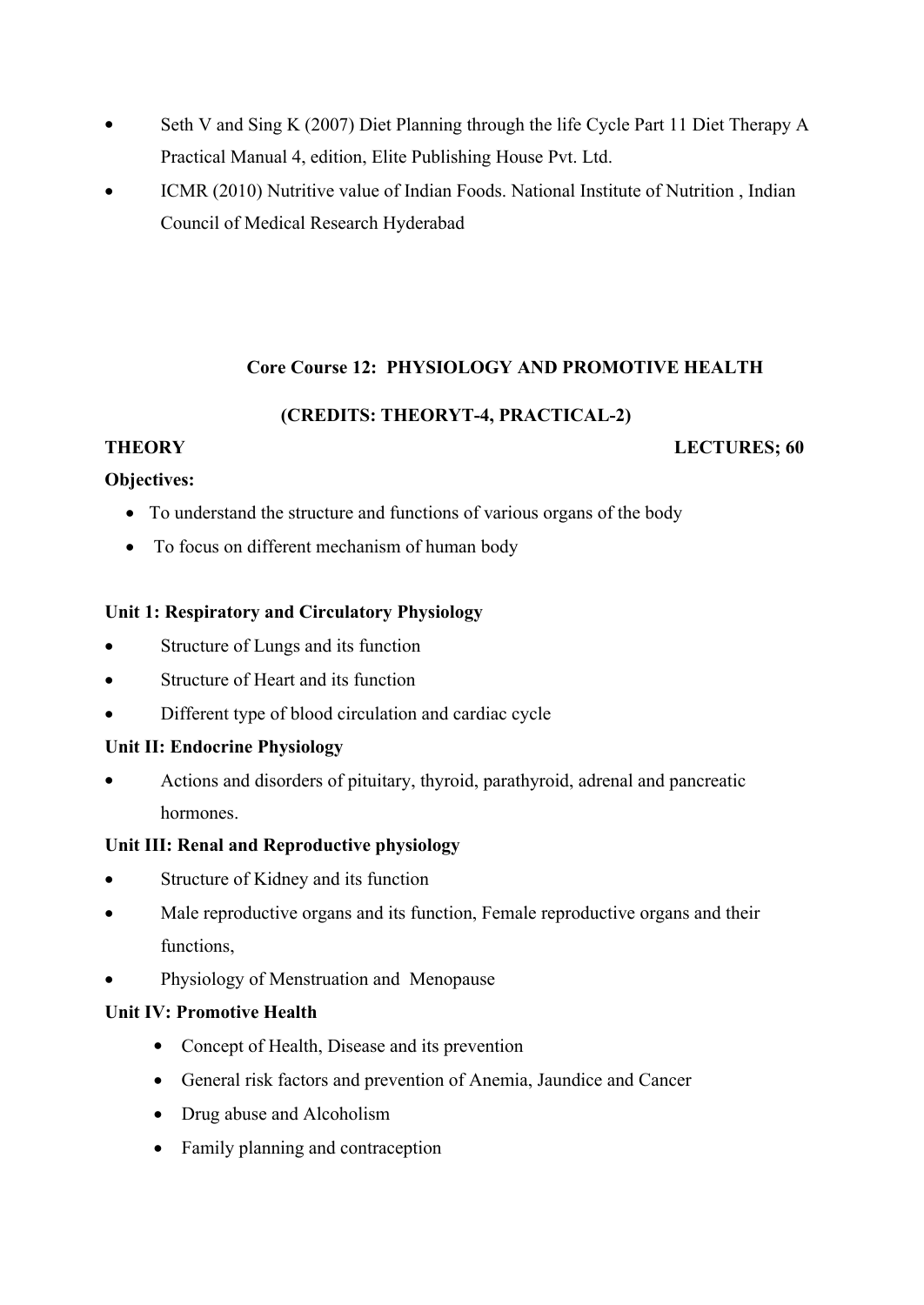- Seth V and Sing K (2007) Diet Planning through the life Cycle Part 11 Diet Therapy A Practical Manual 4, edition, Elite Publishing House Pvt. Ltd.
- ICMR (2010) Nutritive value of Indian Foods. National Institute of Nutrition , Indian Council of Medical Research Hyderabad

## **Core Course 12: PHYSIOLOGY AND PROMOTIVE HEALTH**

## **(CREDITS: THEORYT-4, PRACTICAL-2)**

## **THEORY LECTURES; 60**

## **Objectives:**

- To understand the structure and functions of various organs of the body
- To focus on different mechanism of human body

## **Unit 1: Respiratory and Circulatory Physiology**

- Structure of Lungs and its function
- Structure of Heart and its function
- Different type of blood circulation and cardiac cycle

## **Unit II: Endocrine Physiology**

 Actions and disorders of pituitary, thyroid, parathyroid, adrenal and pancreatic hormones.

## **Unit III: Renal and Reproductive physiology**

- Structure of Kidney and its function
- Male reproductive organs and its function, Female reproductive organs and their functions,
- Physiology of Menstruation and Menopause

## **Unit IV: Promotive Health**

- Concept of Health, Disease and its prevention
- General risk factors and prevention of Anemia, Jaundice and Cancer
- Drug abuse and Alcoholism
- Family planning and contraception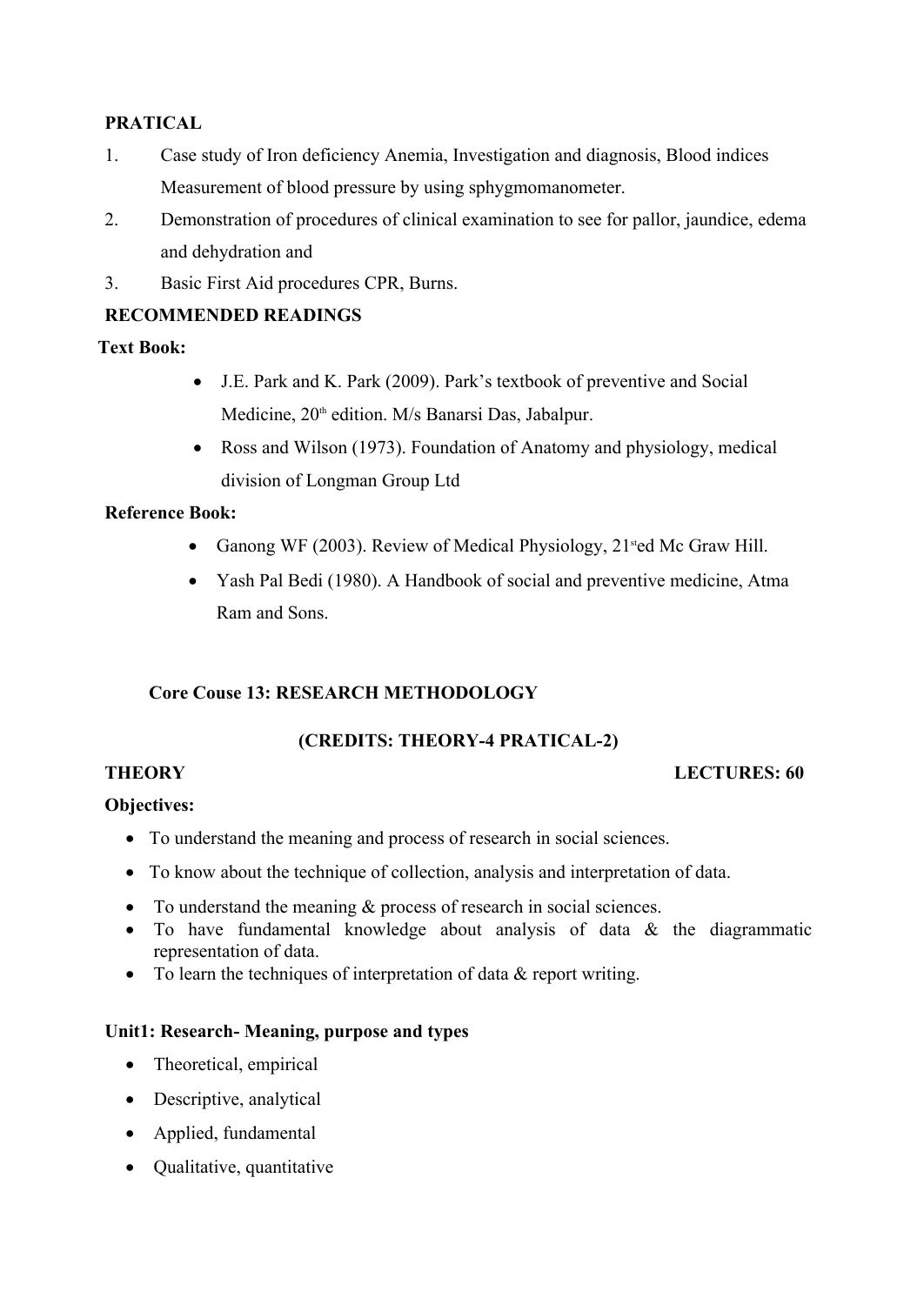## **PRATICAL**

- 1. Case study of Iron deficiency Anemia, Investigation and diagnosis, Blood indices Measurement of blood pressure by using sphygmomanometer.
- 2. Demonstration of procedures of clinical examination to see for pallor, jaundice, edema and dehydration and
- 3. Basic First Aid procedures CPR, Burns.

## **RECOMMENDED READINGS**

## **Text Book:**

- J.E. Park and K. Park (2009). Park's textbook of preventive and Social Medicine, 20<sup>th</sup> edition. M/s Banarsi Das, Jabalpur.
- Ross and Wilson (1973). Foundation of Anatomy and physiology, medical division of Longman Group Ltd

## **Reference Book:**

- Ganong WF (2003). Review of Medical Physiology, 21<sup>st</sup>ed Mc Graw Hill.
- Yash Pal Bedi (1980). A Handbook of social and preventive medicine, Atma Ram and Sons.

## **Core Couse 13: RESEARCH METHODOLOGY**

## **(CREDITS: THEORY-4 PRATICAL-2)**

## **THEORY** LECTURES: 60

## **Objectives:**

- To understand the meaning and process of research in social sciences.
- To know about the technique of collection, analysis and interpretation of data.
- To understand the meaning  $&$  process of research in social sciences.
- $\bullet$  To have fundamental knowledge about analysis of data  $\&$  the diagrammatic representation of data.
- To learn the techniques of interpretation of data & report writing.

#### **Unit1: Research- Meaning, purpose and types**

- Theoretical, empirical
- Descriptive, analytical
- Applied, fundamental
- Qualitative, quantitative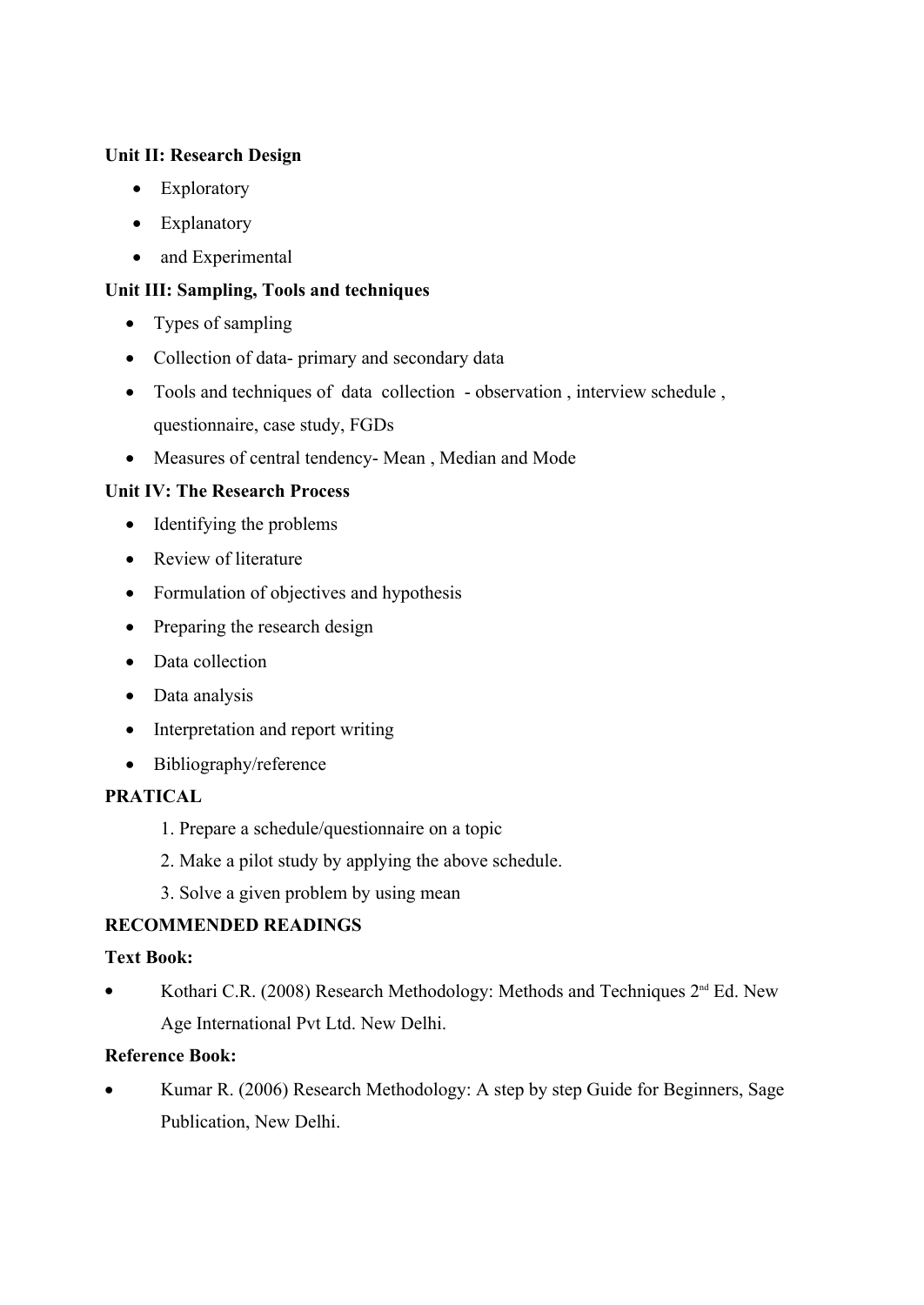## **Unit II: Research Design**

- Exploratory
- Explanatory
- and Experimental

## **Unit III: Sampling, Tools and techniques**

- Types of sampling
- Collection of data- primary and secondary data
- Tools and techniques of data collection observation , interview schedule , questionnaire, case study, FGDs
- Measures of central tendency- Mean , Median and Mode

## **Unit IV: The Research Process**

- Identifying the problems
- Review of literature
- Formulation of objectives and hypothesis
- Preparing the research design
- Data collection
- Data analysis
- Interpretation and report writing
- Bibliography/reference

## **PRATICAL**

- 1. Prepare a schedule/questionnaire on a topic
- 2. Make a pilot study by applying the above schedule.
- 3. Solve a given problem by using mean

## **RECOMMENDED READINGS**

## **Text Book:**

Kothari C.R. (2008) Research Methodology: Methods and Techniques  $2<sup>nd</sup>$  Ed. New Age International Pvt Ltd. New Delhi.

## **Reference Book:**

• Kumar R. (2006) Research Methodology: A step by step Guide for Beginners, Sage Publication, New Delhi.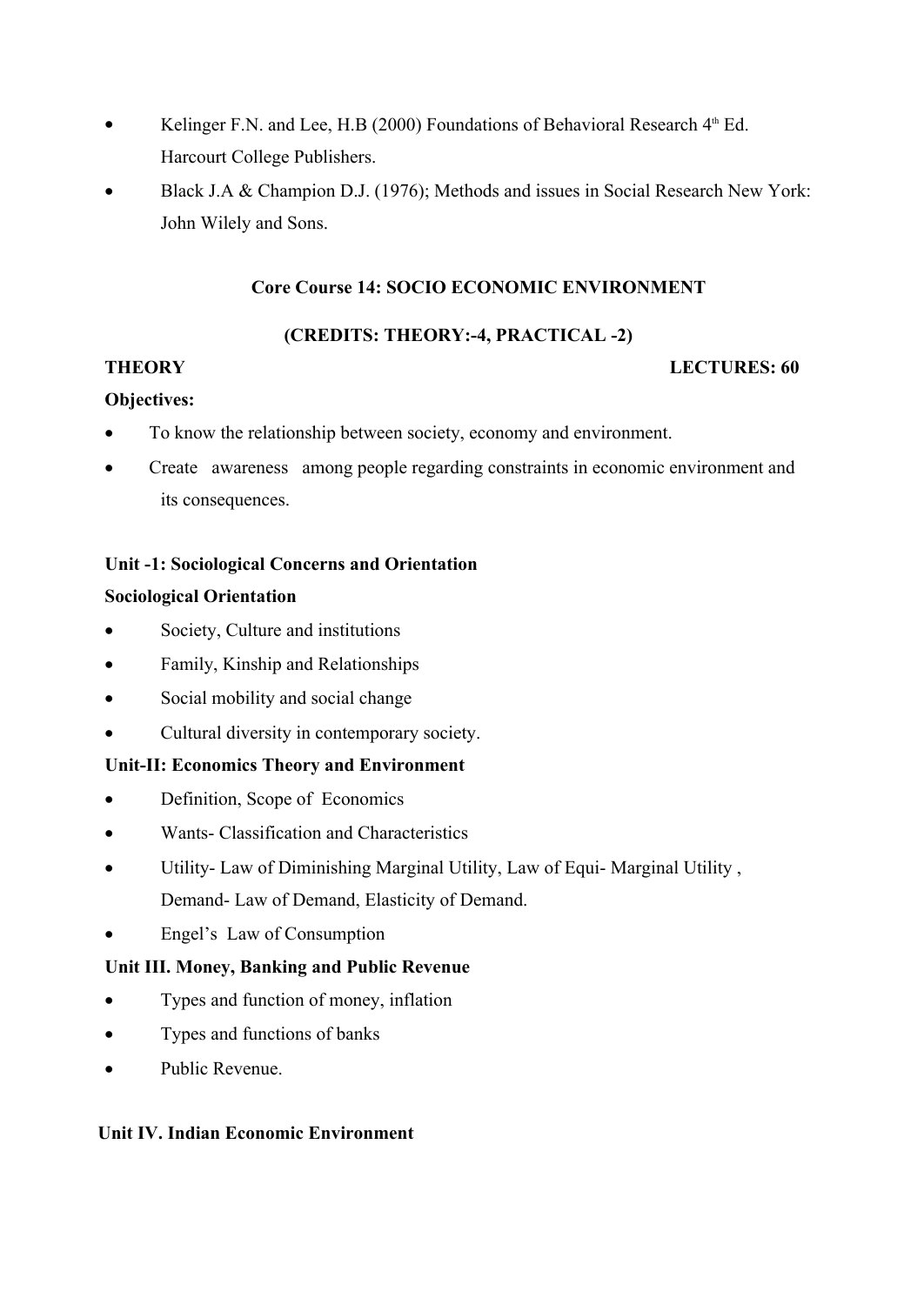- Kelinger F.N. and Lee, H.B (2000) Foundations of Behavioral Research  $4<sup>th</sup>$  Ed. Harcourt College Publishers.
- Black J.A & Champion D.J. (1976); Methods and issues in Social Research New York: John Wilely and Sons.

## **Core Course 14: SOCIO ECONOMIC ENVIRONMENT**

## **(CREDITS: THEORY:-4, PRACTICAL -2)**

#### **THEORY LECTURES: 60**

## **Objectives:**

- To know the relationship between society, economy and environment.
- Create awareness among people regarding constraints in economic environment and its consequences.

## **Unit -1: Sociological Concerns and Orientation**

#### **Sociological Orientation**

- Society, Culture and institutions
- Family, Kinship and Relationships
- Social mobility and social change
- Cultural diversity in contemporary society.

## **Unit-II: Economics Theory and Environment**

- Definition, Scope of Economics
- Wants- Classification and Characteristics
- Utility- Law of Diminishing Marginal Utility, Law of Equi- Marginal Utility , Demand- Law of Demand, Elasticity of Demand.
- Engel's Law of Consumption

## **Unit III. Money, Banking and Public Revenue**

- Types and function of money, inflation
- Types and functions of banks
- Public Revenue.

## **Unit IV. Indian Economic Environment**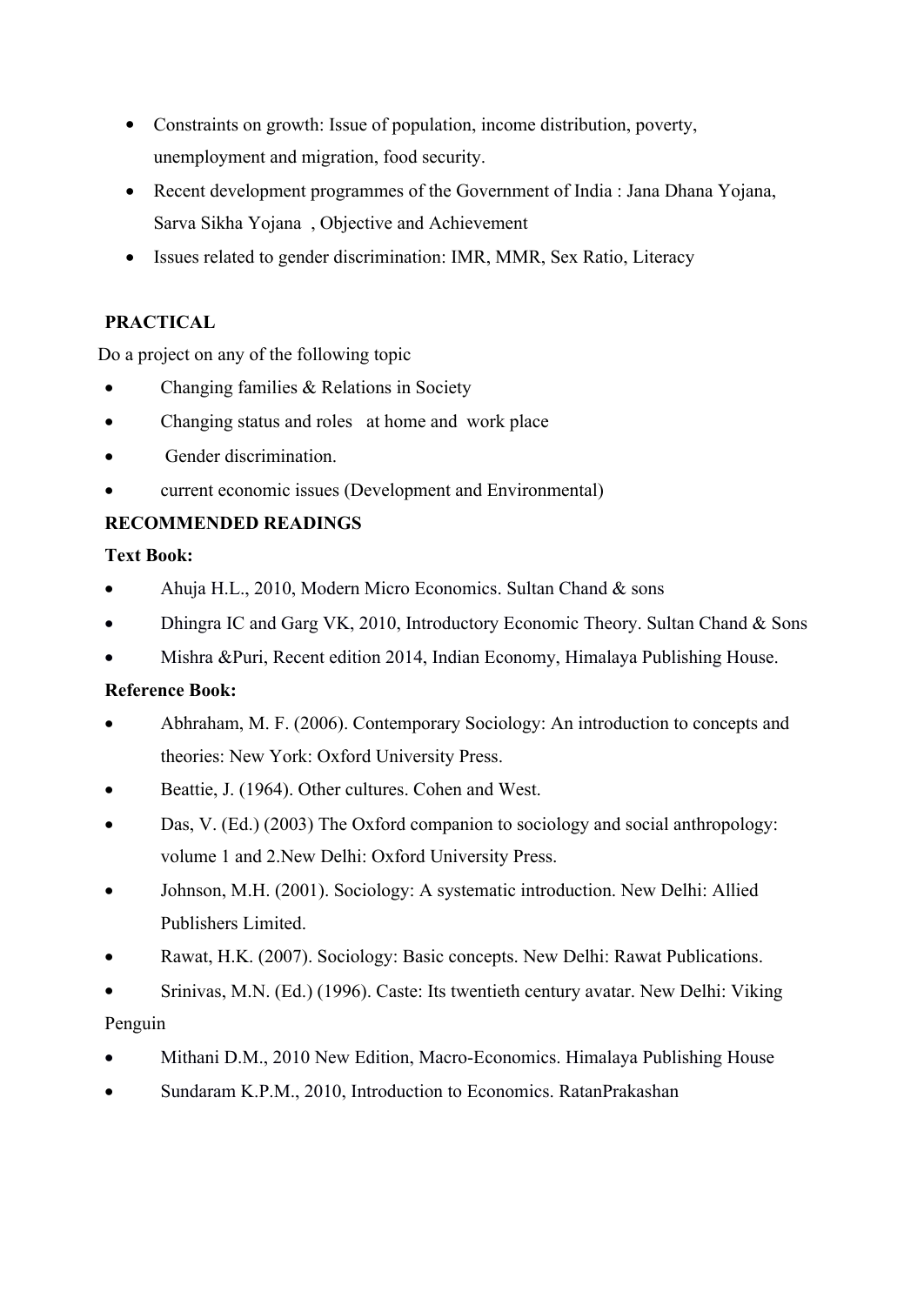- Constraints on growth: Issue of population, income distribution, poverty, unemployment and migration, food security.
- Recent development programmes of the Government of India : Jana Dhana Yojana, Sarva Sikha Yojana , Objective and Achievement
- Issues related to gender discrimination: IMR, MMR, Sex Ratio, Literacy

## **PRACTICAL**

Do a project on any of the following topic

- Changing families & Relations in Society
- Changing status and roles at home and work place
- Gender discrimination.
- current economic issues (Development and Environmental)

## **RECOMMENDED READINGS**

## **Text Book:**

- Ahuja H.L., 2010, Modern Micro Economics. Sultan Chand & sons
- Dhingra IC and Garg VK, 2010, Introductory Economic Theory. Sultan Chand & Sons
- Mishra &Puri, Recent edition 2014, Indian Economy, Himalaya Publishing House.

## **Reference Book:**

- Abhraham, M. F. (2006). Contemporary Sociology: An introduction to concepts and theories: New York: Oxford University Press.
- Beattie, J. (1964). Other cultures. Cohen and West.
- Das, V. (Ed.) (2003) The Oxford companion to sociology and social anthropology: volume 1 and 2.New Delhi: Oxford University Press.
- Johnson, M.H. (2001). Sociology: A systematic introduction. New Delhi: Allied Publishers Limited.
- Rawat, H.K. (2007). Sociology: Basic concepts. New Delhi: Rawat Publications.
- Srinivas, M.N. (Ed.) (1996). Caste: Its twentieth century avatar. New Delhi: Viking Penguin
- Mithani D.M., 2010 New Edition, Macro-Economics. Himalaya Publishing House
- Sundaram K.P.M., 2010, Introduction to Economics. RatanPrakashan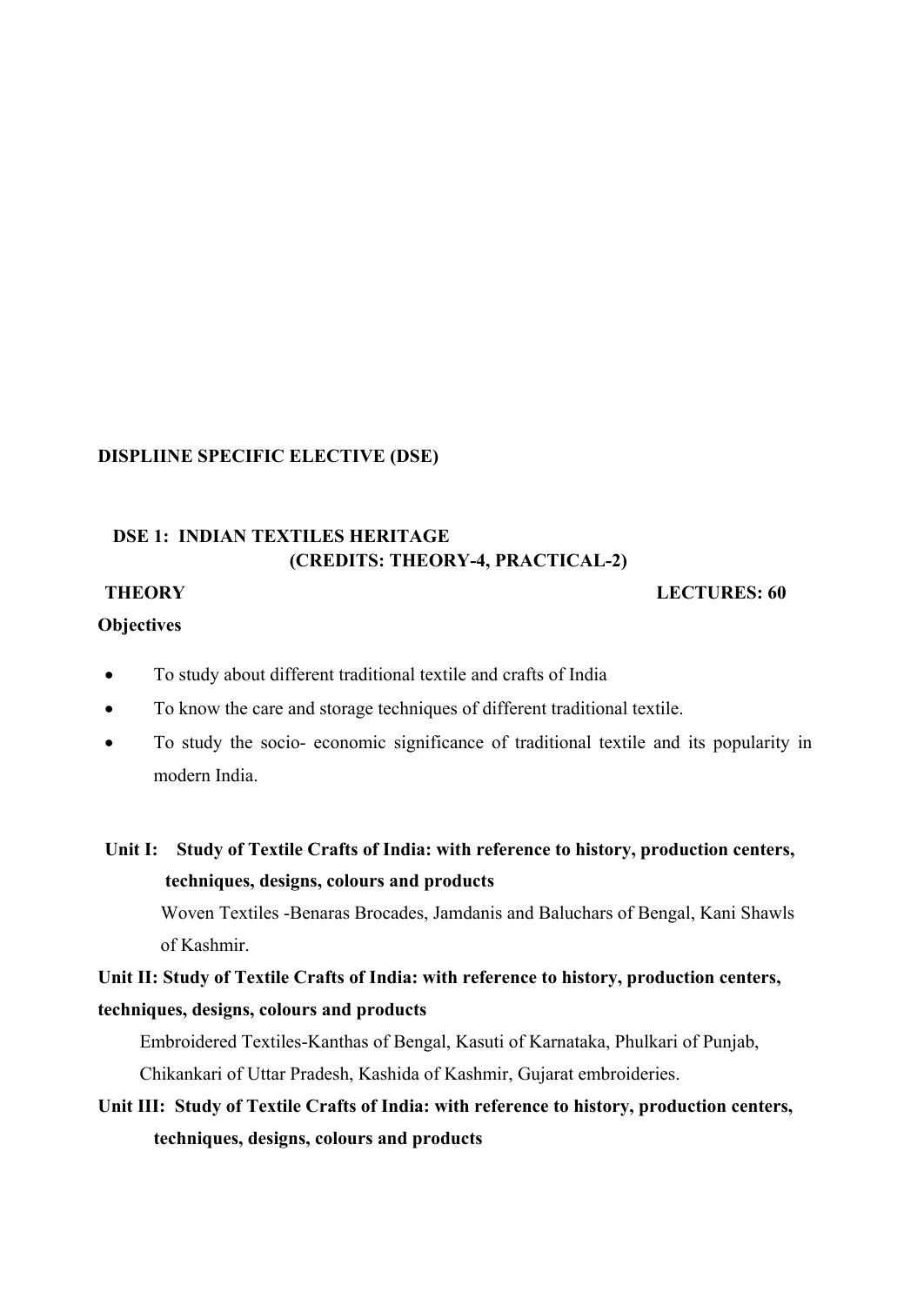#### **DISPLIINE SPECIFIC ELECTIVE (DSE)**

## **DSE 1: INDIAN TEXTILES HERITAGE (CREDITS: THEORY-4, PRACTICAL-2)**

#### **THEORY** LECTURES: 60

#### **Objectives**

- To study about different traditional textile and crafts of India
- To know the care and storage techniques of different traditional textile.
- To study the socio- economic significance of traditional textile and its popularity in modern India.
- **Unit I: Study of Textile Crafts of India: with reference to history, production centers, techniques, designs, colours and products**

Woven Textiles -Benaras Brocades, Jamdanis and Baluchars of Bengal, Kani Shawls of Kashmir.

**Unit II: Study of Textile Crafts of India: with reference to history, production centers, techniques, designs, colours and products**

Embroidered Textiles-Kanthas of Bengal, Kasuti of Karnataka, Phulkari of Punjab, Chikankari of Uttar Pradesh, Kashida of Kashmir, Gujarat embroideries.

**Unit III: Study of Textile Crafts of India: with reference to history, production centers, techniques, designs, colours and products**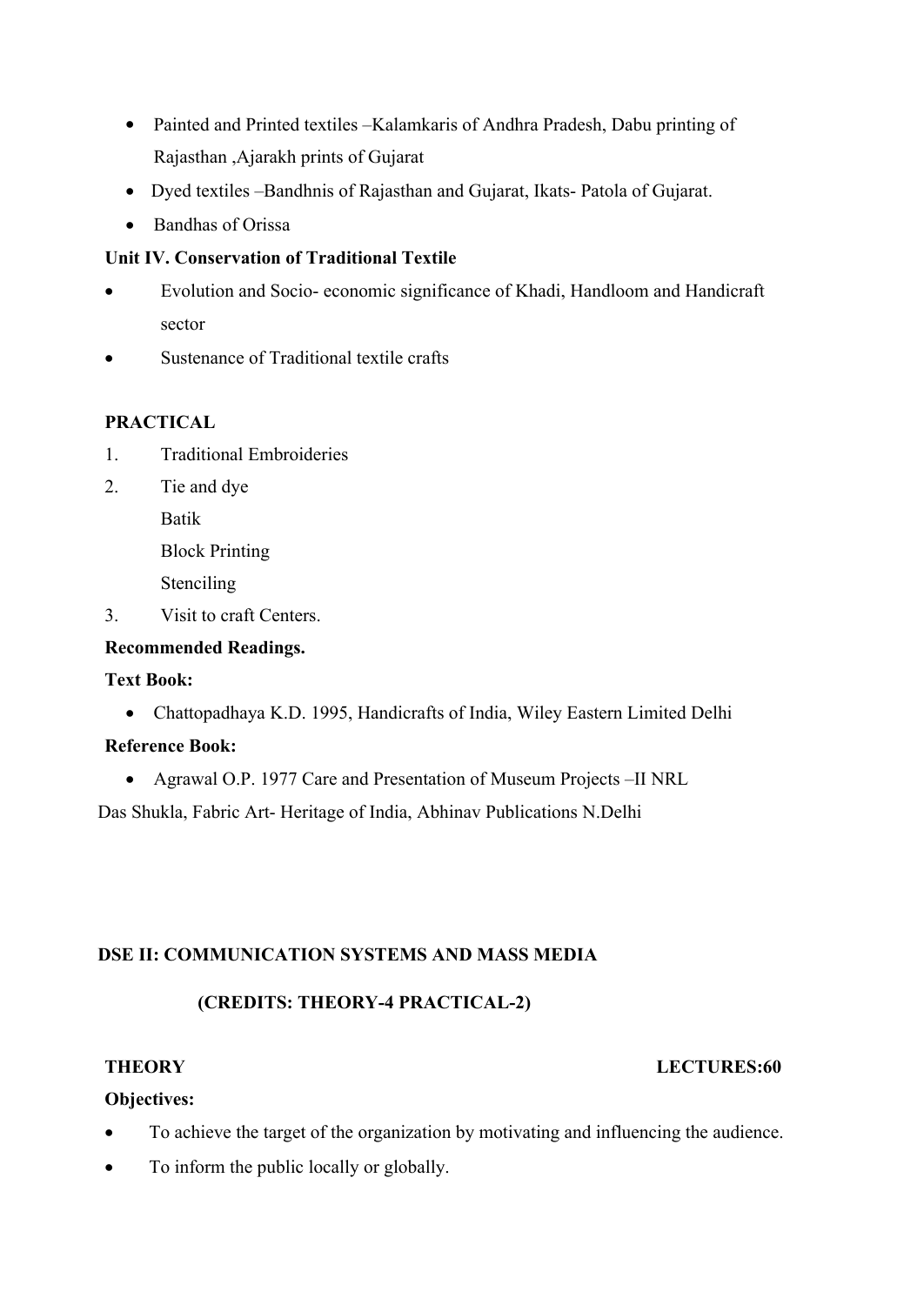- Painted and Printed textiles –Kalamkaris of Andhra Pradesh, Dabu printing of Rajasthan ,Ajarakh prints of Gujarat
- Dyed textiles –Bandhnis of Rajasthan and Gujarat, Ikats- Patola of Gujarat.
- Bandhas of Orissa

## **Unit IV. Conservation of Traditional Textile**

- Evolution and Socio- economic significance of Khadi, Handloom and Handicraft sector
- Sustenance of Traditional textile crafts

#### **PRACTICAL**

- 1. Traditional Embroideries
- 2. Tie and dye

Batik

Block Printing

Stenciling

3. Visit to craft Centers.

#### **Recommended Readings.**

#### **Text Book:**

Chattopadhaya K.D. 1995, Handicrafts of India, Wiley Eastern Limited Delhi

#### **Reference Book:**

Agrawal O.P. 1977 Care and Presentation of Museum Projects –II NRL

Das Shukla, Fabric Art- Heritage of India, Abhinav Publications N.Delhi

## **DSE II: COMMUNICATION SYSTEMS AND MASS MEDIA**

## **(CREDITS: THEORY-4 PRACTICAL-2)**

## **THEORY LECTURES:60**

## **Objectives:**

- To achieve the target of the organization by motivating and influencing the audience.
- To inform the public locally or globally.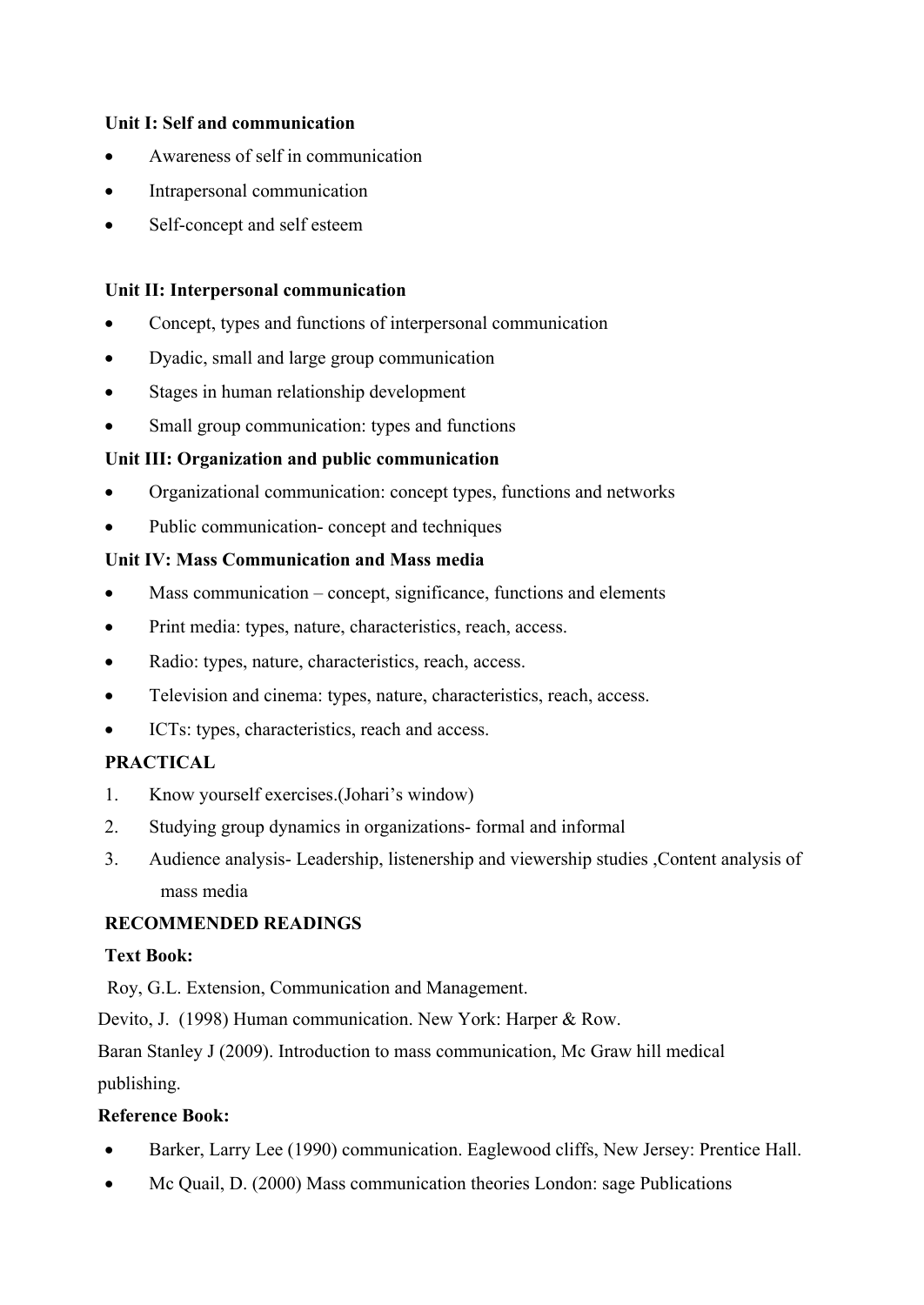## **Unit I: Self and communication**

- Awareness of self in communication
- Intrapersonal communication
- Self-concept and self esteem

## **Unit II: Interpersonal communication**

- Concept, types and functions of interpersonal communication
- Dyadic, small and large group communication
- Stages in human relationship development
- Small group communication: types and functions

## **Unit III: Organization and public communication**

- Organizational communication: concept types, functions and networks
- Public communication- concept and techniques

## **Unit IV: Mass Communication and Mass media**

- Mass communication concept, significance, functions and elements
- Print media: types, nature, characteristics, reach, access.
- Radio: types, nature, characteristics, reach, access.
- Television and cinema: types, nature, characteristics, reach, access.
- ICTs: types, characteristics, reach and access.

## **PRACTICAL**

- 1. Know yourself exercises.(Johari's window)
- 2. Studying group dynamics in organizations- formal and informal
- 3. Audience analysis- Leadership, listenership and viewership studies ,Content analysis of mass media

## **RECOMMENDED READINGS**

## **Text Book:**

Roy, G.L. Extension, Communication and Management.

Devito, J. (1998) Human communication. New York: Harper & Row.

Baran Stanley J (2009). Introduction to mass communication, Mc Graw hill medical

## publishing.

## **Reference Book:**

- Barker, Larry Lee (1990) communication. Eaglewood cliffs, New Jersey: Prentice Hall.
- Mc Quail, D. (2000) Mass communication theories London: sage Publications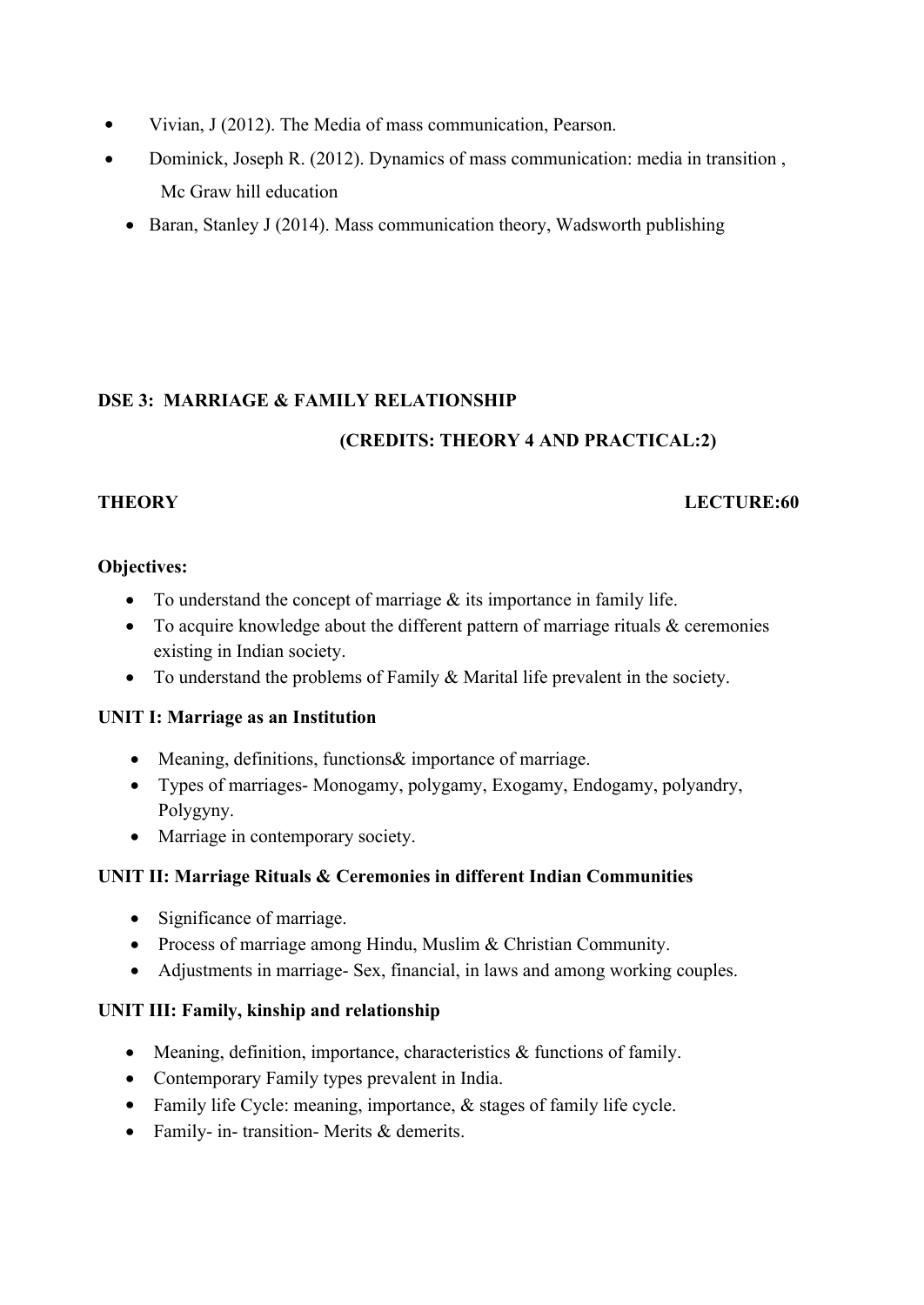- Vivian, J (2012). The Media of mass communication, Pearson.
- Dominick, Joseph R. (2012). Dynamics of mass communication: media in transition , Mc Graw hill education
	- Baran, Stanley J (2014). Mass communication theory, Wadsworth publishing

## **DSE 3: MARRIAGE & FAMILY RELATIONSHIP**

## **(CREDITS: THEORY 4 AND PRACTICAL:2)**

## **THEORY LECTURE:60**

## **Objectives:**

- To understand the concept of marriage  $&$  its importance in family life.
- To acquire knowledge about the different pattern of marriage rituals & ceremonies existing in Indian society.
- To understand the problems of Family & Marital life prevalent in the society.

## **UNIT I: Marriage as an Institution**

- Meaning, definitions, functions& importance of marriage.
- Types of marriages- Monogamy, polygamy, Exogamy, Endogamy, polyandry, Polygyny.
- Marriage in contemporary society.

## **UNIT II: Marriage Rituals & Ceremonies in different Indian Communities**

- Significance of marriage.
- Process of marriage among Hindu, Muslim & Christian Community.
- Adjustments in marriage- Sex, financial, in laws and among working couples.

## **UNIT III: Family, kinship and relationship**

- Meaning, definition, importance, characteristics & functions of family.
- Contemporary Family types prevalent in India.
- Family life Cycle: meaning, importance,  $\&$  stages of family life cycle.
- Family- in- transition- Merits & demerits.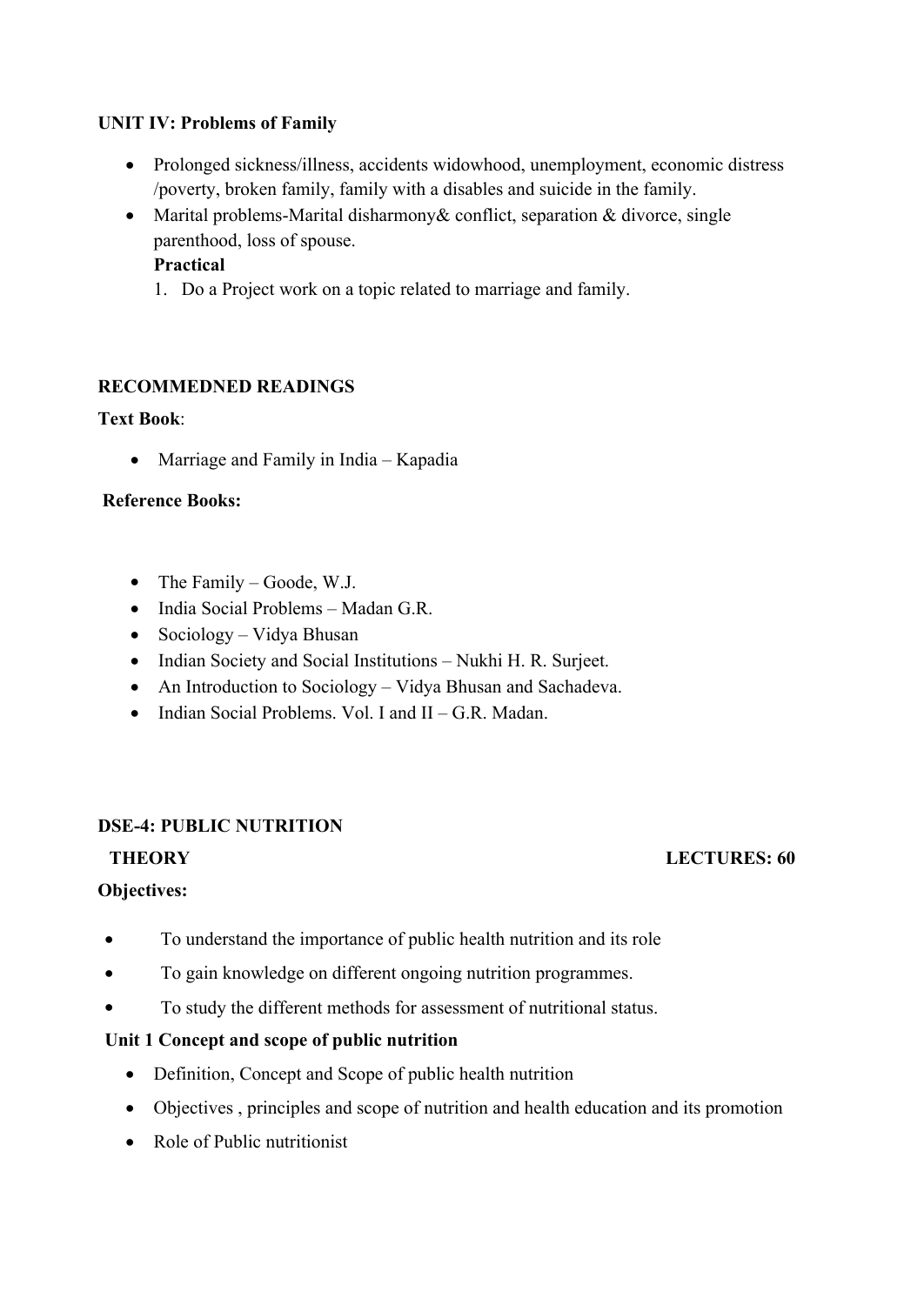## **UNIT IV: Problems of Family**

- Prolonged sickness/illness, accidents widowhood, unemployment, economic distress /poverty, broken family, family with a disables and suicide in the family.
- Marital problems-Marital disharmony & conflict, separation  $&$  divorce, single parenthood, loss of spouse. **Practical**
	- 1. Do a Project work on a topic related to marriage and family.

## **RECOMMEDNED READINGS**

## **Text Book**:

• Marriage and Family in India – Kapadia

## **Reference Books:**

- $\bullet$  The Family Goode, W.J.
- India Social Problems Madan G.R.
- $\bullet$  Sociology Vidya Bhusan
- Indian Society and Social Institutions Nukhi H. R. Surjeet.
- An Introduction to Sociology Vidya Bhusan and Sachadeva.
- $\bullet$  Indian Social Problems. Vol. I and II G.R. Madan.

## **DSE-4: PUBLIC NUTRITION**

## **Objectives:**

- To understand the importance of public health nutrition and its role
- To gain knowledge on different ongoing nutrition programmes.
- To study the different methods for assessment of nutritional status.

## **Unit 1 Concept and scope of public nutrition**

- Definition, Concept and Scope of public health nutrition
- Objectives , principles and scope of nutrition and health education and its promotion
- Role of Public nutritionist

#### **THEORY** LECTURES: 60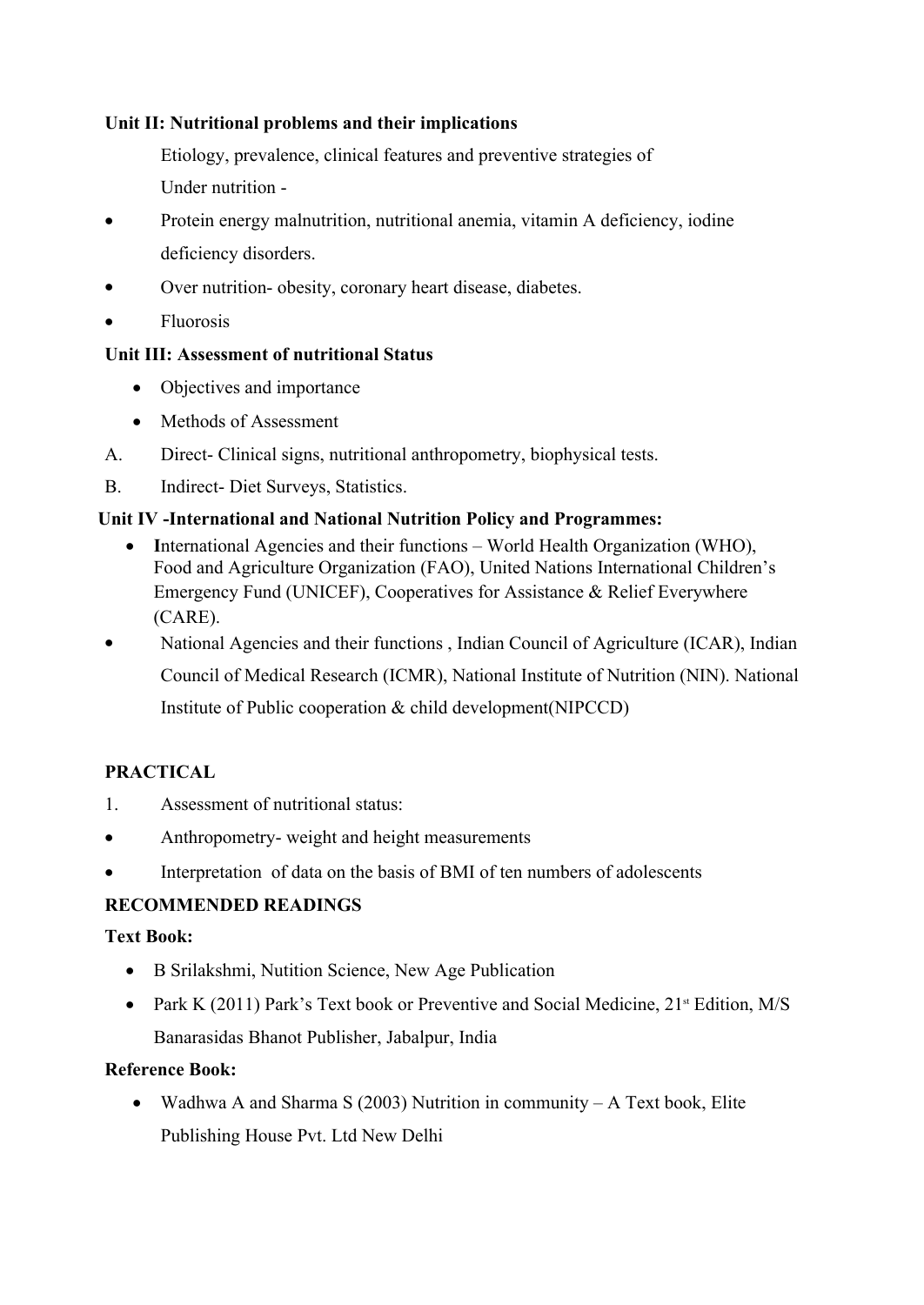## **Unit II: Nutritional problems and their implications**

Etiology, prevalence, clinical features and preventive strategies of Under nutrition -

- Protein energy malnutrition, nutritional anemia, vitamin A deficiency, iodine deficiency disorders.
- Over nutrition- obesity, coronary heart disease, diabetes.
- Fluorosis

## **Unit III: Assessment of nutritional Status**

- Objectives and importance
- Methods of Assessment
- A. Direct- Clinical signs, nutritional anthropometry, biophysical tests.
- B. Indirect- Diet Surveys, Statistics.

## **Unit IV -International and National Nutrition Policy and Programmes:**

- International Agencies and their functions World Health Organization (WHO), Food and Agriculture Organization (FAO), United Nations International Children's Emergency Fund (UNICEF), Cooperatives for Assistance & Relief Everywhere (CARE).
- National Agencies and their functions, Indian Council of Agriculture (ICAR), Indian Council of Medical Research (ICMR), National Institute of Nutrition (NIN). National Institute of Public cooperation & child development(NIPCCD)

## **PRACTICAL**

- 1. Assessment of nutritional status:
- Anthropometry- weight and height measurements
- Interpretation of data on the basis of BMI of ten numbers of adolescents

## **RECOMMENDED READINGS**

## **Text Book:**

- B Srilakshmi, Nutition Science, New Age Publication
- Park K (2011) Park's Text book or Preventive and Social Medicine,  $21^{\text{st}}$  Edition, M/S Banarasidas Bhanot Publisher, Jabalpur, India

## **Reference Book:**

• Wadhwa A and Sharma S (2003) Nutrition in community  $-A$  Text book, Elite Publishing House Pvt. Ltd New Delhi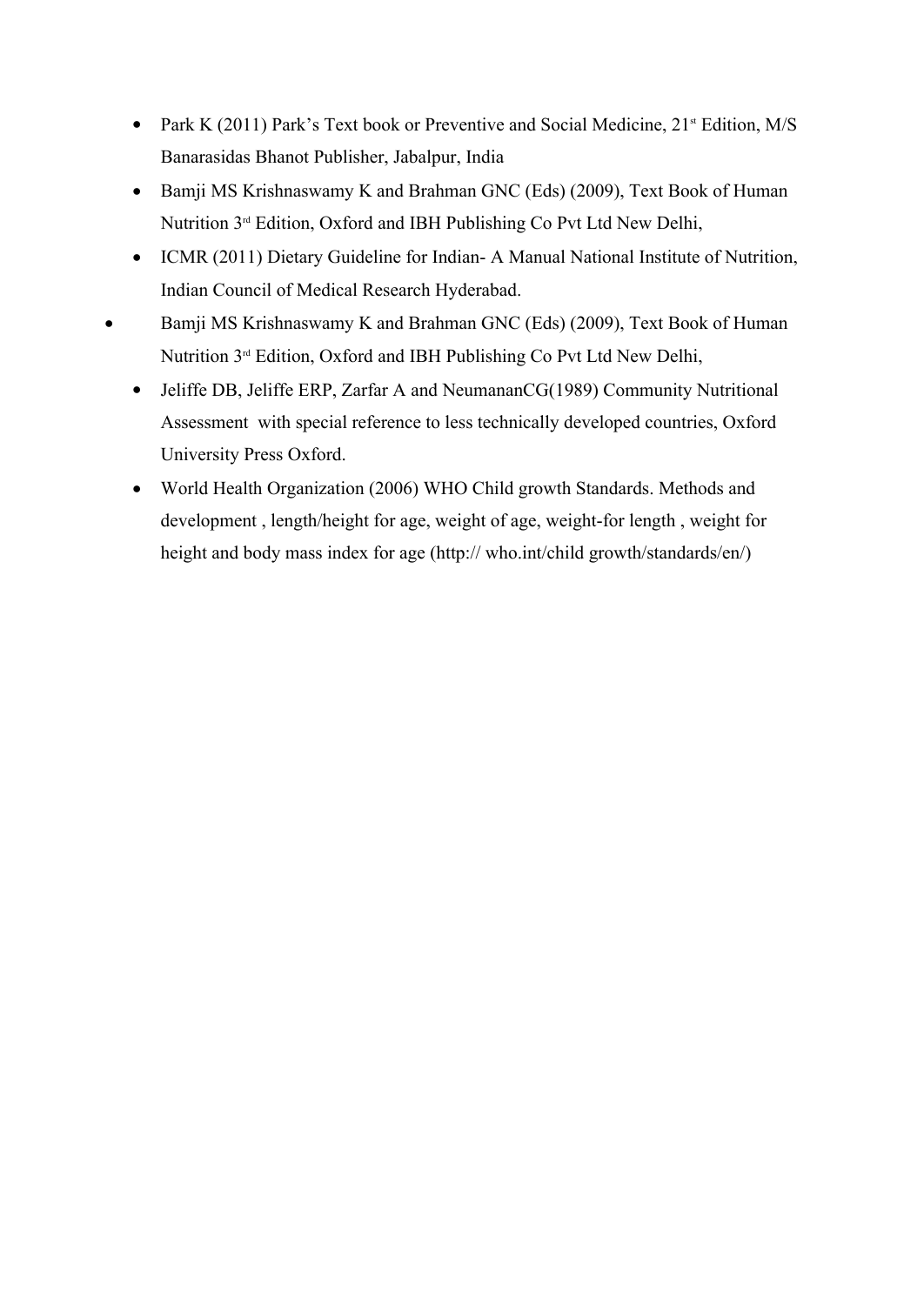- Park K (2011) Park's Text book or Preventive and Social Medicine,  $21$ <sup>st</sup> Edition, M/S Banarasidas Bhanot Publisher, Jabalpur, India
- Bamji MS Krishnaswamy K and Brahman GNC (Eds) (2009), Text Book of Human Nutrition 3rd Edition, Oxford and IBH Publishing Co Pvt Ltd New Delhi,
- ICMR (2011) Dietary Guideline for Indian- A Manual National Institute of Nutrition, Indian Council of Medical Research Hyderabad.
- Bamji MS Krishnaswamy K and Brahman GNC (Eds) (2009), Text Book of Human Nutrition 3rd Edition, Oxford and IBH Publishing Co Pvt Ltd New Delhi,
	- Jeliffe DB, Jeliffe ERP, Zarfar A and NeumananCG(1989) Community Nutritional Assessment with special reference to less technically developed countries, Oxford University Press Oxford.
	- World Health Organization (2006) WHO Child growth Standards. Methods and development , length/height for age, weight of age, weight-for length , weight for height and body mass index for age (http:// who.int/child growth/standards/en/)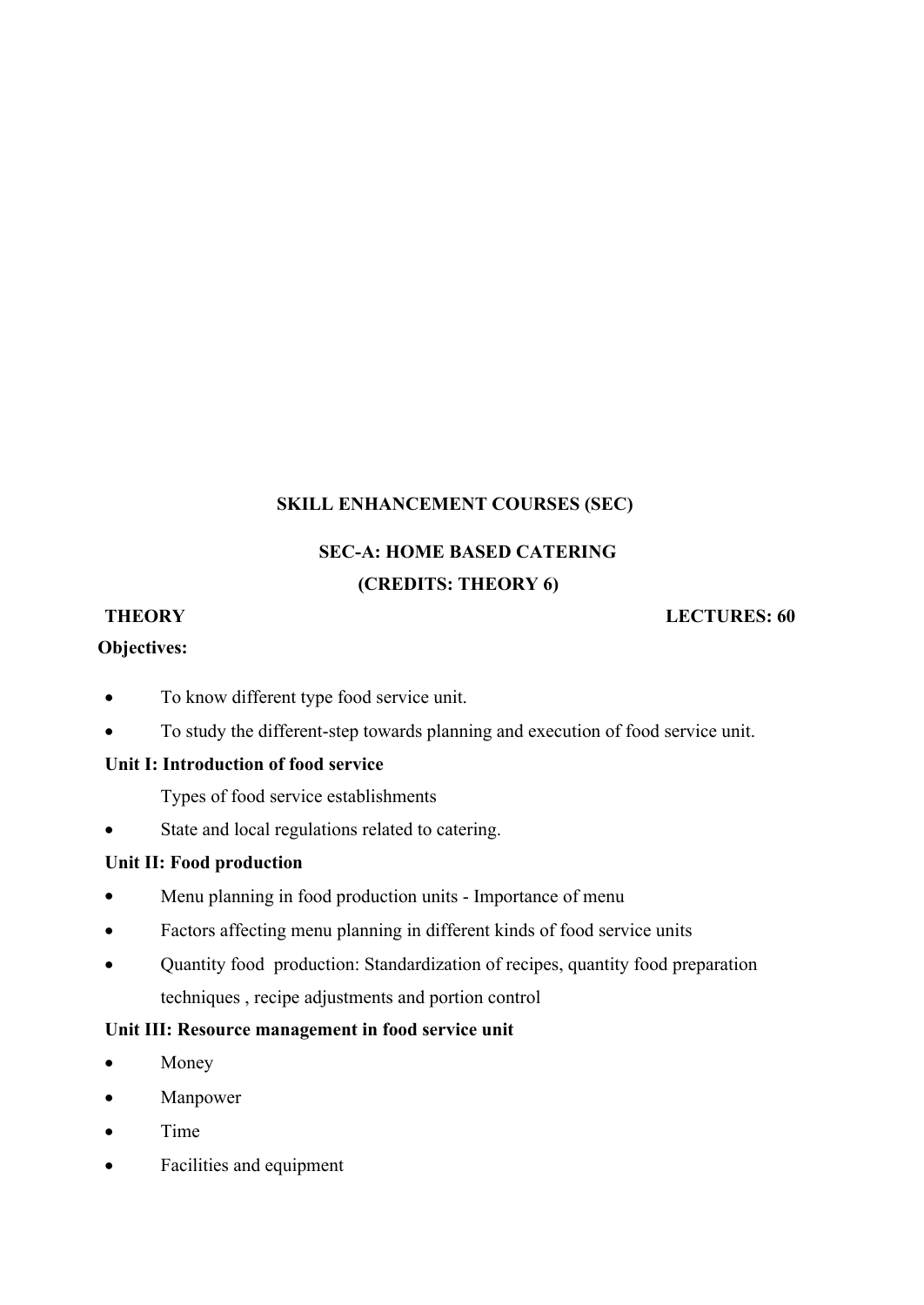## **SKILL ENHANCEMENT COURSES (SEC)**

# **SEC-A: HOME BASED CATERING (CREDITS: THEORY 6)**

## **Objectives:**

#### **THEORY LECTURES: 60**

- To know different type food service unit.
- To study the different-step towards planning and execution of food service unit.

## **Unit I: Introduction of food service**

Types of food service establishments

State and local regulations related to catering.

## **Unit II: Food production**

- Menu planning in food production units Importance of menu
- Factors affecting menu planning in different kinds of food service units
- Quantity food production: Standardization of recipes, quantity food preparation techniques , recipe adjustments and portion control

## **Unit III: Resource management in food service unit**

- Money
- Manpower
- Time
- Facilities and equipment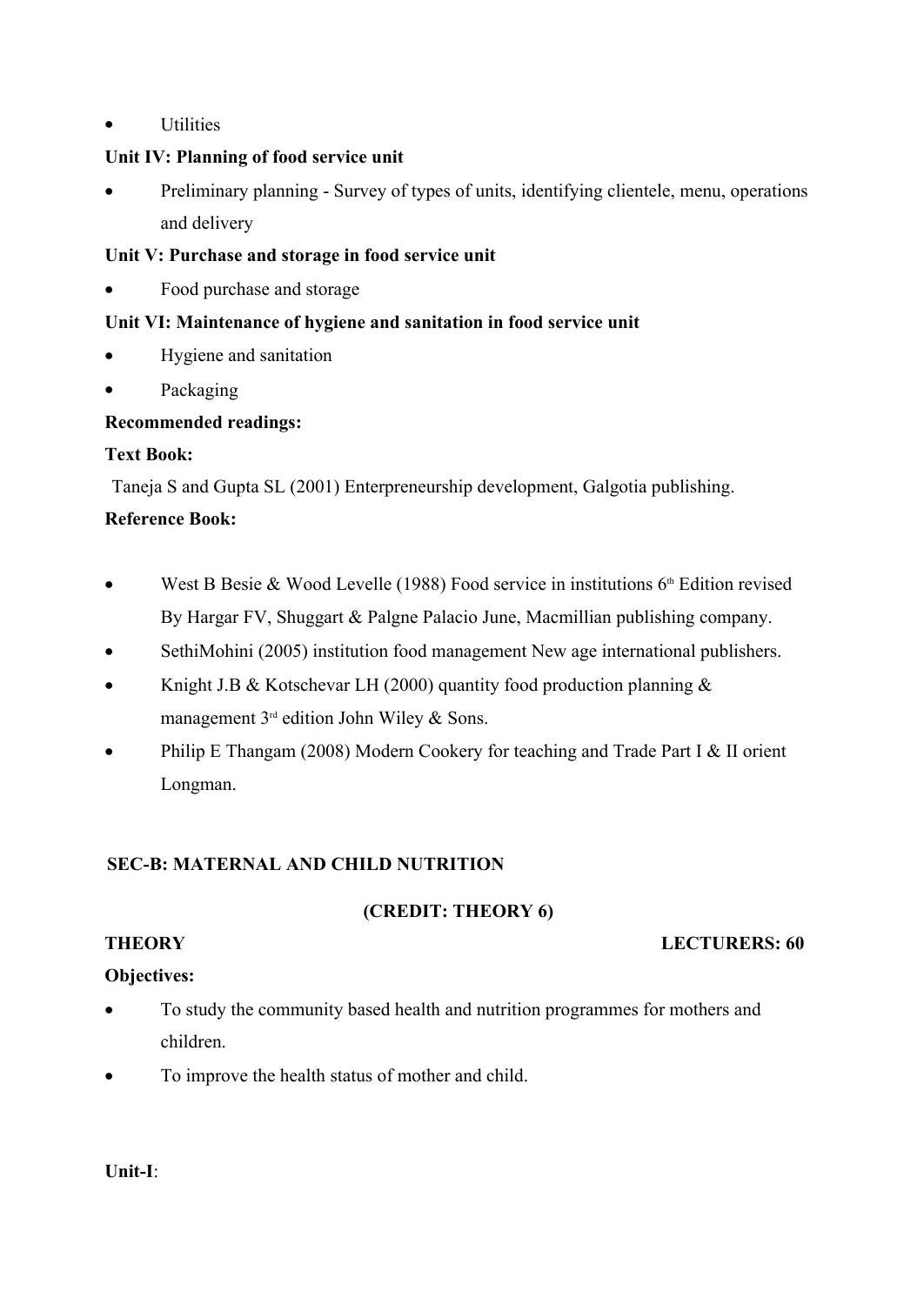Utilities

# **Unit IV: Planning of food service unit**

 Preliminary planning - Survey of types of units, identifying clientele, menu, operations and delivery

# **Unit V: Purchase and storage in food service unit**

• Food purchase and storage

# **Unit VI: Maintenance of hygiene and sanitation in food service unit**

- Hygiene and sanitation
- Packaging

# **Recommended readings:**

# **Text Book:**

Taneja S and Gupta SL (2001) Enterpreneurship development, Galgotia publishing.

# **Reference Book:**

- West B Besie & Wood Levelle (1988) Food service in institutions  $6<sup>th</sup>$  Edition revised By Hargar FV, Shuggart & Palgne Palacio June, Macmillian publishing company.
- SethiMohini (2005) institution food management New age international publishers.
- Knight J.B & Kotschevar LH (2000) quantity food production planning & management  $3^{rd}$  edition John Wiley & Sons.
- Philip E Thangam (2008) Modern Cookery for teaching and Trade Part I & II orient Longman.

# **SEC-B: MATERNAL AND CHILD NUTRITION**

# **(CREDIT: THEORY 6)**

## **THEORY LECTURERS: 60**

# **Objectives:**

- To study the community based health and nutrition programmes for mothers and children.
- To improve the health status of mother and child.

# **Unit-I**: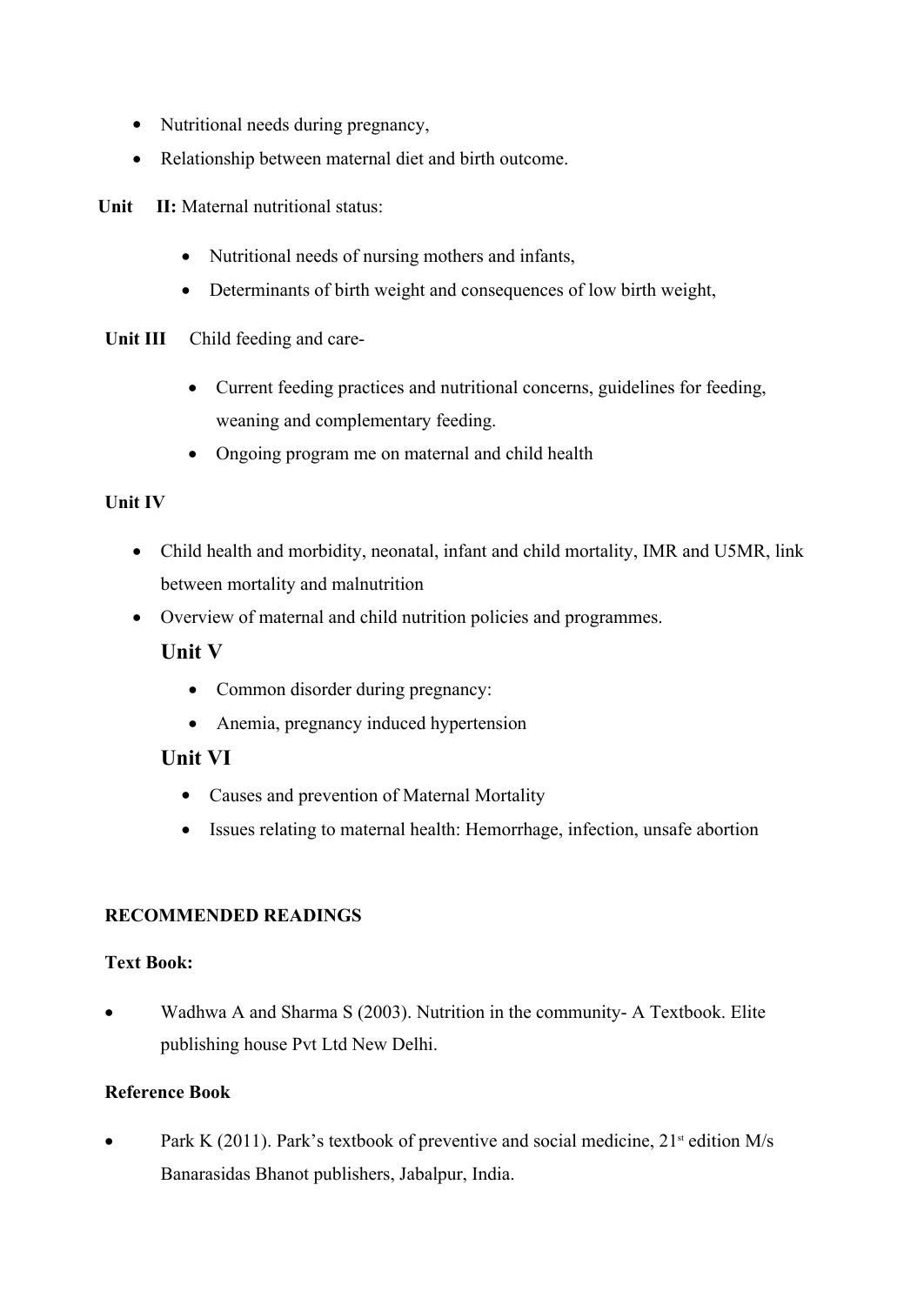- Nutritional needs during pregnancy,
- Relationship between maternal diet and birth outcome.

**Unit II:** Maternal nutritional status:

- Nutritional needs of nursing mothers and infants,
- Determinants of birth weight and consequences of low birth weight,

**Unit III** Child feeding and care-

- Current feeding practices and nutritional concerns, guidelines for feeding, weaning and complementary feeding.
- Ongoing program me on maternal and child health

## **Unit IV**

- Child health and morbidity, neonatal, infant and child mortality, IMR and U5MR, link between mortality and malnutrition
- Overview of maternal and child nutrition policies and programmes.

## **Unit V**

- Common disorder during pregnancy:
- Anemia, pregnancy induced hypertension

## **Unit VI**

- Causes and prevention of Maternal Mortality
- Issues relating to maternal health: Hemorrhage, infection, unsafe abortion

## **RECOMMENDED READINGS**

## **Text Book:**

 Wadhwa A and Sharma S (2003). Nutrition in the community- A Textbook. Elite publishing house Pvt Ltd New Delhi.

## **Reference Book**

• Park K (2011). Park's textbook of preventive and social medicine,  $21^{st}$  edition M/s Banarasidas Bhanot publishers, Jabalpur, India.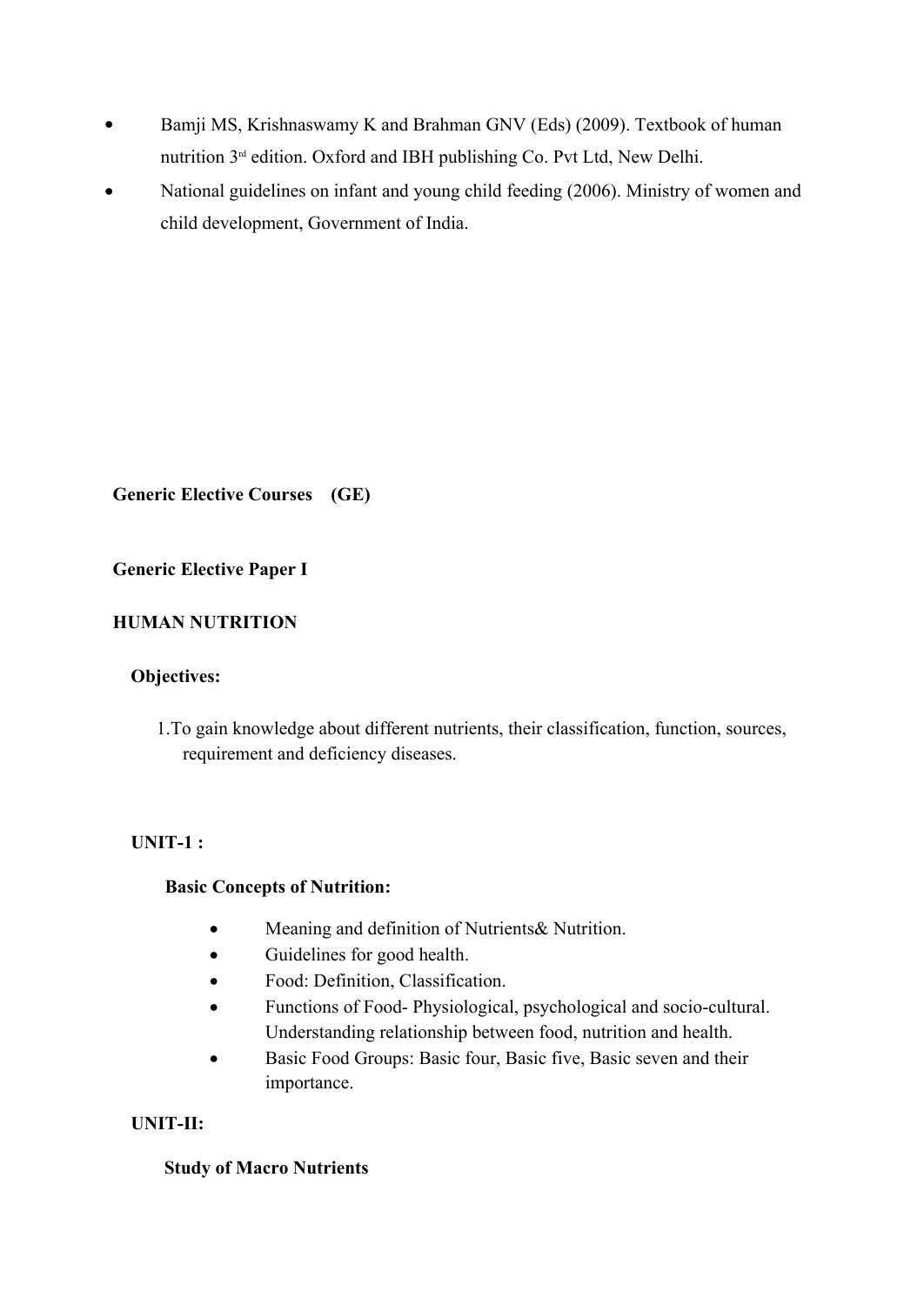- Bamji MS, Krishnaswamy K and Brahman GNV (Eds) (2009). Textbook of human nutrition 3rd edition. Oxford and IBH publishing Co. Pvt Ltd, New Delhi.
- National guidelines on infant and young child feeding (2006). Ministry of women and child development, Government of India.

**Generic Elective Courses (GE)**

## **Generic Elective Paper I**

## **HUMAN NUTRITION**

#### **Objectives:**

1.To gain knowledge about different nutrients, their classification, function, sources, requirement and deficiency diseases.

## **UNIT-1 :**

#### **Basic Concepts of Nutrition:**

- Meaning and definition of Nutrients& Nutrition.
- Guidelines for good health.
- Food: Definition, Classification.
- Functions of Food- Physiological, psychological and socio-cultural. Understanding relationship between food, nutrition and health.
- Basic Food Groups: Basic four, Basic five, Basic seven and their importance.

## **UNIT-II:**

#### **Study of Macro Nutrients**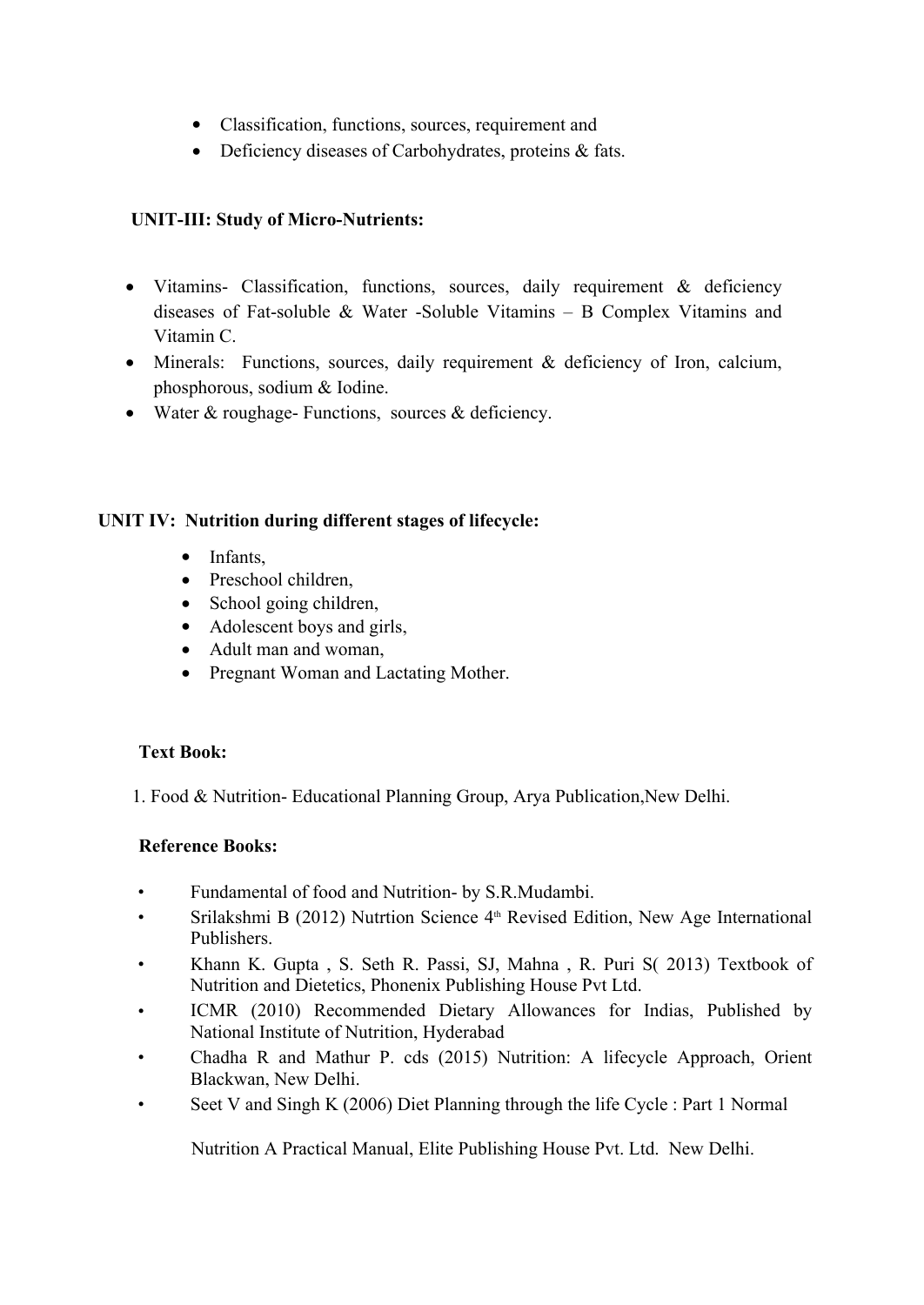- Classification, functions, sources, requirement and
- Deficiency diseases of Carbohydrates, proteins & fats.

## **UNIT-III: Study of Micro-Nutrients:**

- Vitamins- Classification, functions, sources, daily requirement & deficiency diseases of Fat-soluble  $\&$  Water -Soluble Vitamins – B Complex Vitamins and Vitamin C.
- Minerals: Functions, sources, daily requirement & deficiency of Iron, calcium, phosphorous, sodium & Iodine.
- Water & roughage- Functions, sources & deficiency.

## **UNIT IV: Nutrition during different stages of lifecycle:**

- Infants,
- Preschool children,
- School going children,
- Adolescent boys and girls,
- Adult man and woman,
- Pregnant Woman and Lactating Mother.

## **Text Book:**

1. Food & Nutrition- Educational Planning Group, Arya Publication,New Delhi.

## **Reference Books:**

- Fundamental of food and Nutrition- by S.R.Mudambi.
- Srilakshmi B (2012) Nutrtion Science 4<sup>th</sup> Revised Edition, New Age International Publishers.
- Khann K. Gupta , S. Seth R. Passi, SJ, Mahna , R. Puri S( 2013) Textbook of Nutrition and Dietetics, Phonenix Publishing House Pvt Ltd.
- ICMR (2010) Recommended Dietary Allowances for Indias, Published by National Institute of Nutrition, Hyderabad
- Chadha R and Mathur P. cds (2015) Nutrition: A lifecycle Approach, Orient Blackwan, New Delhi.
- Seet V and Singh K (2006) Diet Planning through the life Cycle : Part 1 Normal

Nutrition A Practical Manual, Elite Publishing House Pvt. Ltd. New Delhi.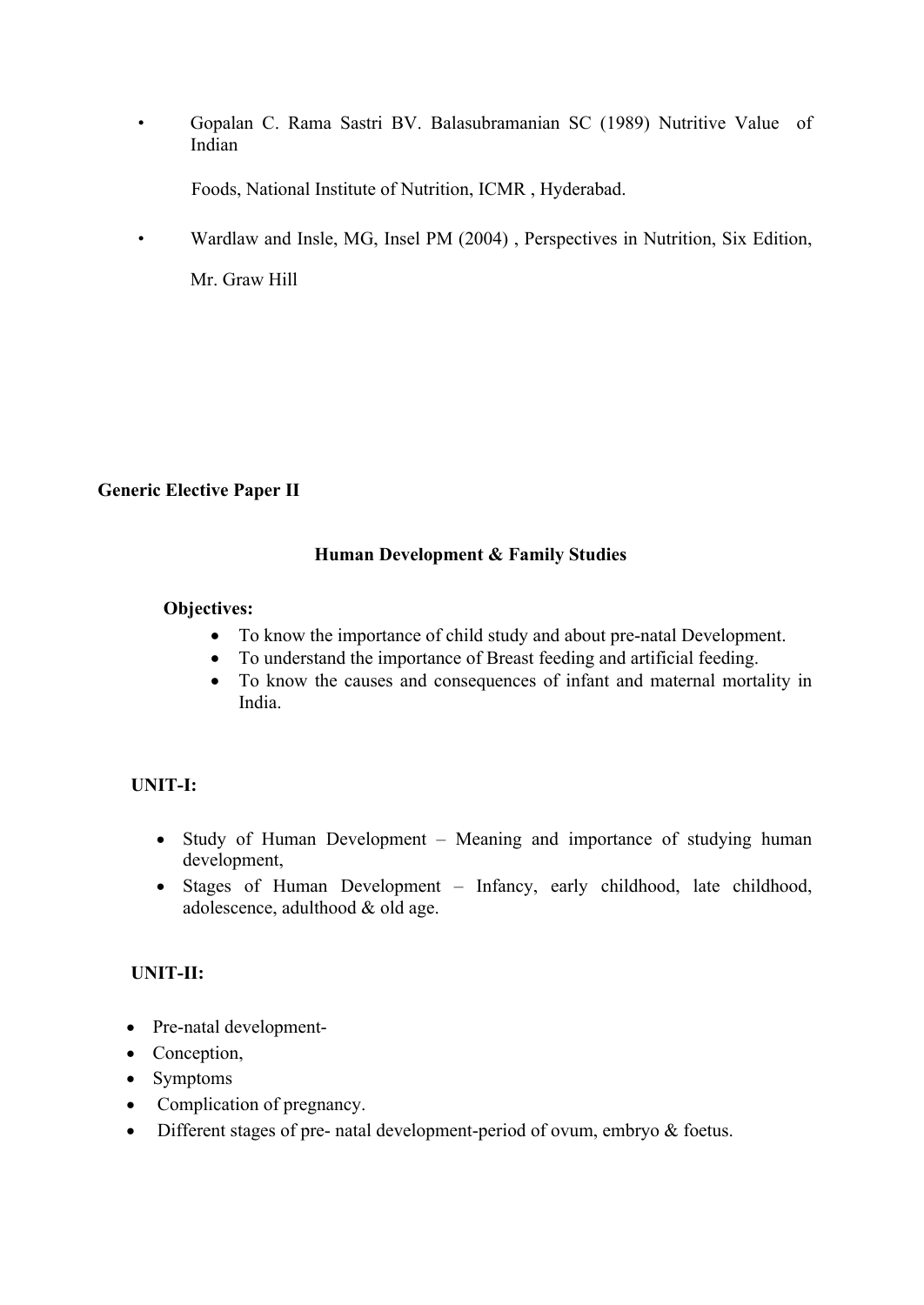• Gopalan C. Rama Sastri BV. Balasubramanian SC (1989) Nutritive Value of Indian

Foods, National Institute of Nutrition, ICMR , Hyderabad.

• Wardlaw and Insle, MG, Insel PM (2004) , Perspectives in Nutrition, Six Edition,

Mr. Graw Hill

## **Generic Elective Paper II**

#### **Human Development & Family Studies**

#### **Objectives:**

- To know the importance of child study and about pre-natal Development.
- To understand the importance of Breast feeding and artificial feeding.
- To know the causes and consequences of infant and maternal mortality in India.

## **UNIT-I:**

- Study of Human Development Meaning and importance of studying human development,
- Stages of Human Development Infancy, early childhood, late childhood, adolescence, adulthood & old age.

## **UNIT-II:**

- Pre-natal development-
- Conception,
- Symptoms
- Complication of pregnancy.
- Different stages of pre- natal development-period of ovum, embryo & foetus.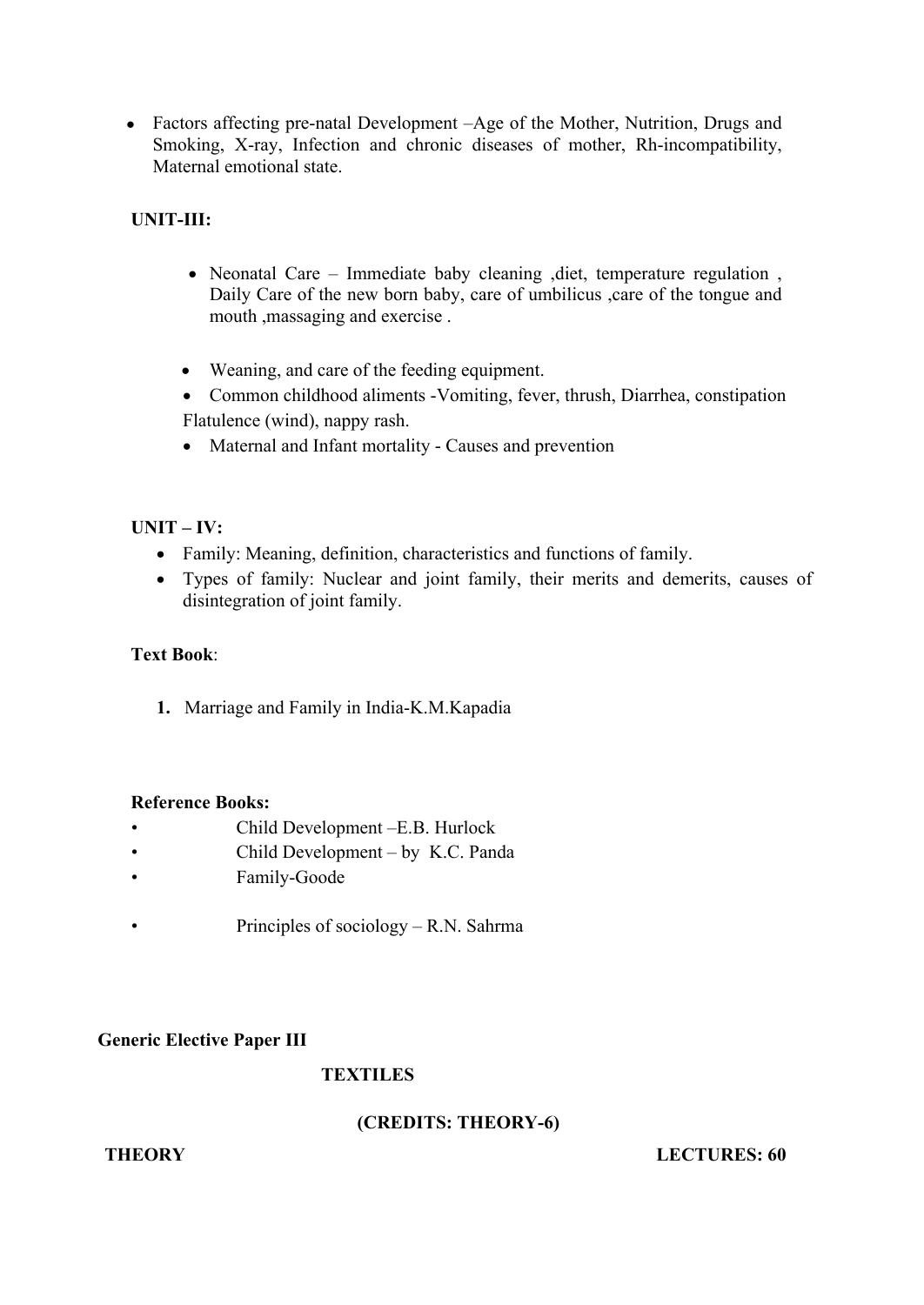Factors affecting pre-natal Development –Age of the Mother, Nutrition, Drugs and Smoking, X-ray, Infection and chronic diseases of mother, Rh-incompatibility, Maternal emotional state.

## **UNIT-III:**

- Neonatal Care Immediate baby cleaning ,diet, temperature regulation , Daily Care of the new born baby, care of umbilicus ,care of the tongue and mouth ,massaging and exercise .
- Weaning, and care of the feeding equipment.
- Common childhood aliments -Vomiting, fever, thrush, Diarrhea, constipation Flatulence (wind), nappy rash.
- Maternal and Infant mortality Causes and prevention

## **UNIT – IV:**

- Family: Meaning, definition, characteristics and functions of family.
- Types of family: Nuclear and joint family, their merits and demerits, causes of disintegration of joint family.

## **Text Book**:

**1.** Marriage and Family in India-K.M.Kapadia

#### **Reference Books:**

- 
- 
- 
- Child Development –E.B. Hurlock<br>
Child Development by K.C. Panda<br>
Principles of sociology R.N. Sahrma

#### **Generic Elective Paper III**

## **TEXTILES**

## **(CREDITS: THEORY-6)**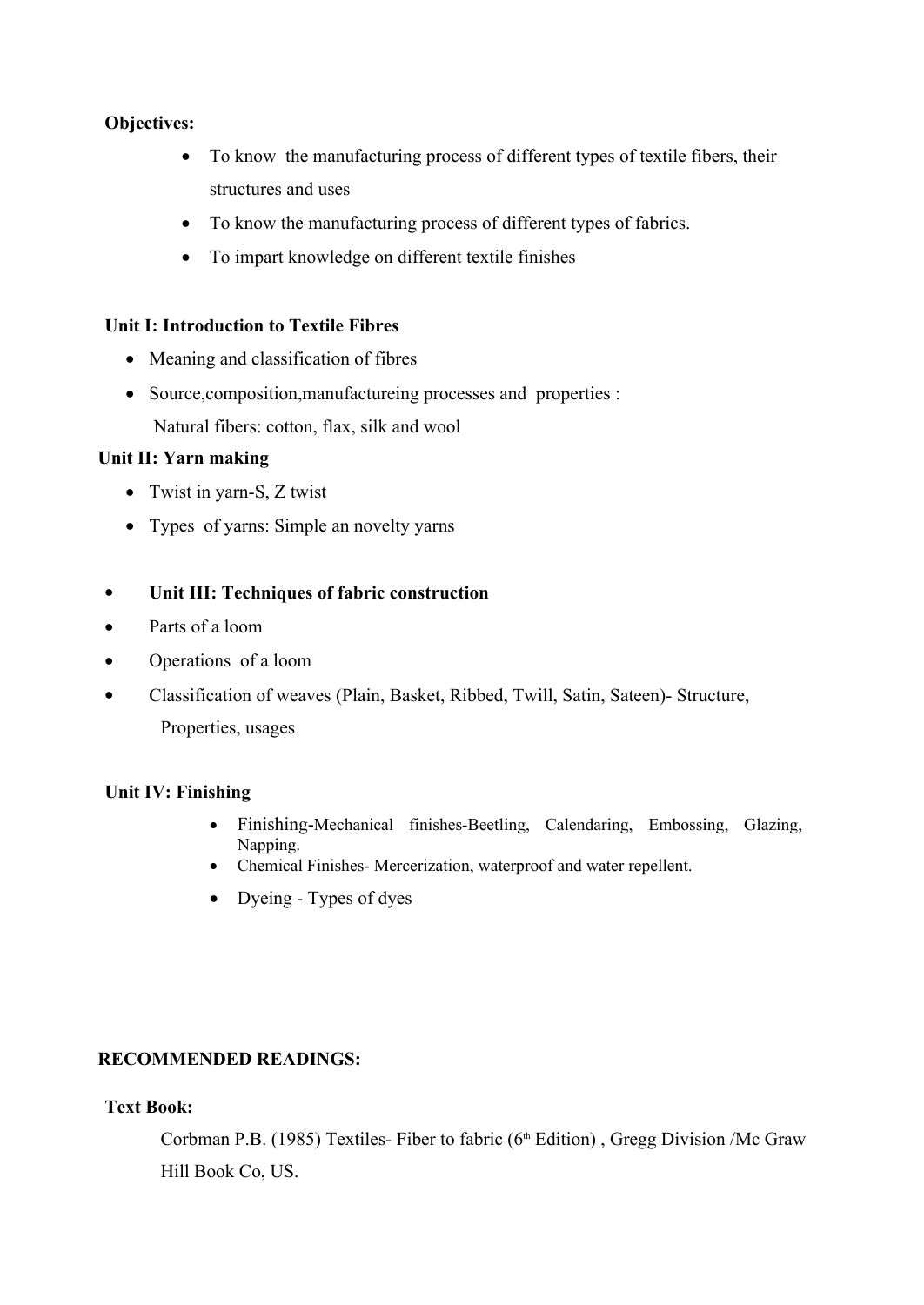## **Objectives:**

- To know the manufacturing process of different types of textile fibers, their structures and uses
- To know the manufacturing process of different types of fabrics.
- To impart knowledge on different textile finishes

#### **Unit I: Introduction to Textile Fibres**

- Meaning and classification of fibres
- Source, composition, manufactureing processes and properties : Natural fibers: cotton, flax, silk and wool

## **Unit II: Yarn making**

- Twist in yarn-S, Z twist
- Types of yarns: Simple an novelty yarns
- **Unit III: Techniques of fabric construction**
- Parts of a loom
- Operations of a loom
- Classification of weaves (Plain, Basket, Ribbed, Twill, Satin, Sateen)- Structure, Properties, usages

## **Unit IV: Finishing**

- Finishing-Mechanical finishes-Beetling, Calendaring, Embossing, Glazing, Napping.
- Chemical Finishes- Mercerization, waterproof and water repellent.
- Dyeing Types of dyes

## **RECOMMENDED READINGS:**

#### **Text Book:**

Corbman P.B. (1985) Textiles- Fiber to fabric ( $6<sup>th</sup>$  Edition), Gregg Division /Mc Graw Hill Book Co, US.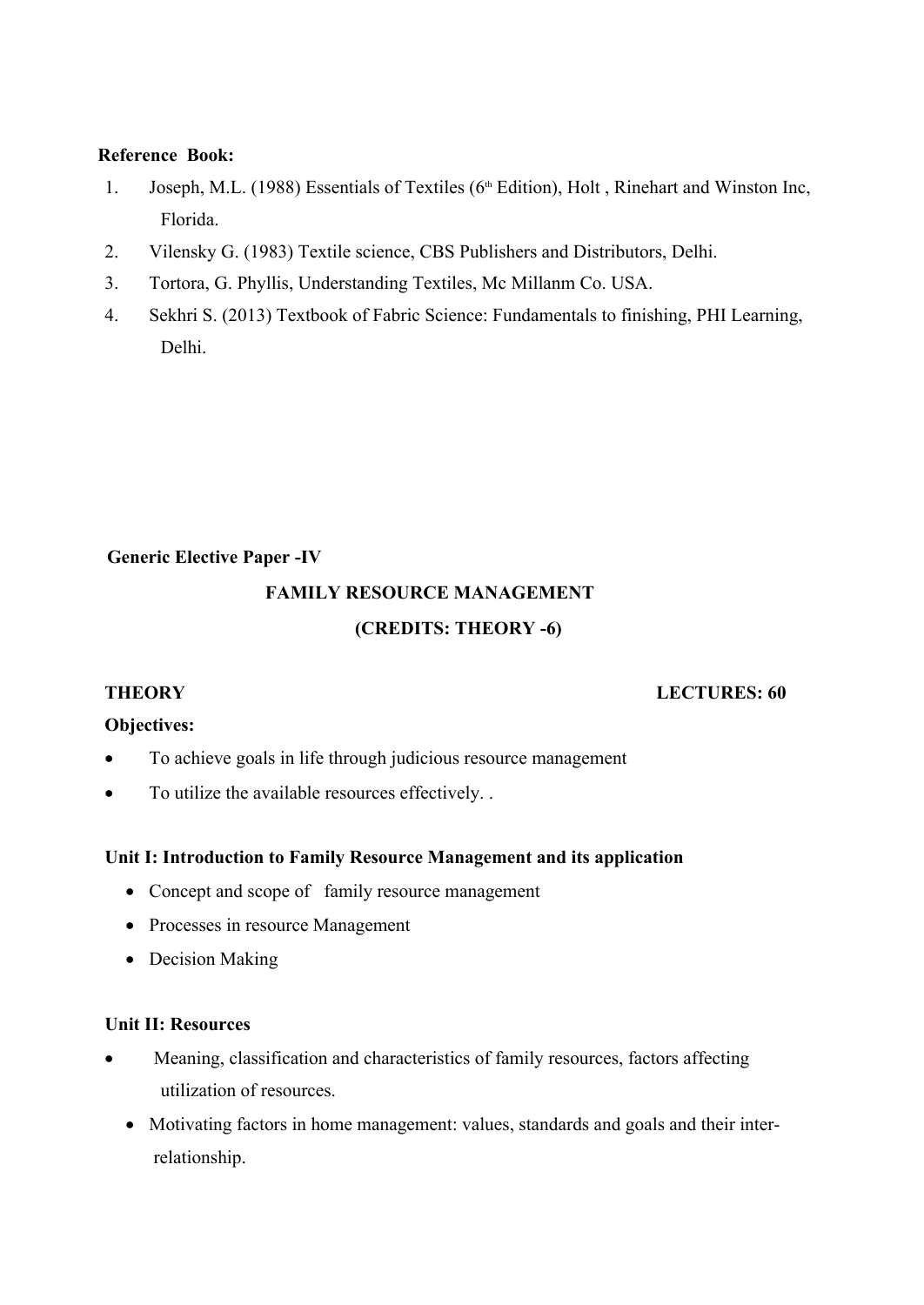#### **Reference Book:**

- 1. Joseph, M.L. (1988) Essentials of Textiles (6th Edition), Holt , Rinehart and Winston Inc, Florida.
- 2. Vilensky G. (1983) Textile science, CBS Publishers and Distributors, Delhi.
- 3. Tortora, G. Phyllis, Understanding Textiles, Mc Millanm Co. USA.
- 4. Sekhri S. (2013) Textbook of Fabric Science: Fundamentals to finishing, PHI Learning, Delhi.

## **Generic Elective Paper -IV**

# **FAMILY RESOURCE MANAGEMENT (CREDITS: THEORY -6)**

#### **THEORY LECTURES: 60**

## **Objectives:**

- To achieve goals in life through judicious resource management
- To utilize the available resources effectively. .

## **Unit I: Introduction to Family Resource Management and its application**

- Concept and scope of family resource management
- Processes in resource Management
- Decision Making

## **Unit II: Resources**

- Meaning, classification and characteristics of family resources, factors affecting utilization of resources.
	- Motivating factors in home management: values, standards and goals and their interrelationship.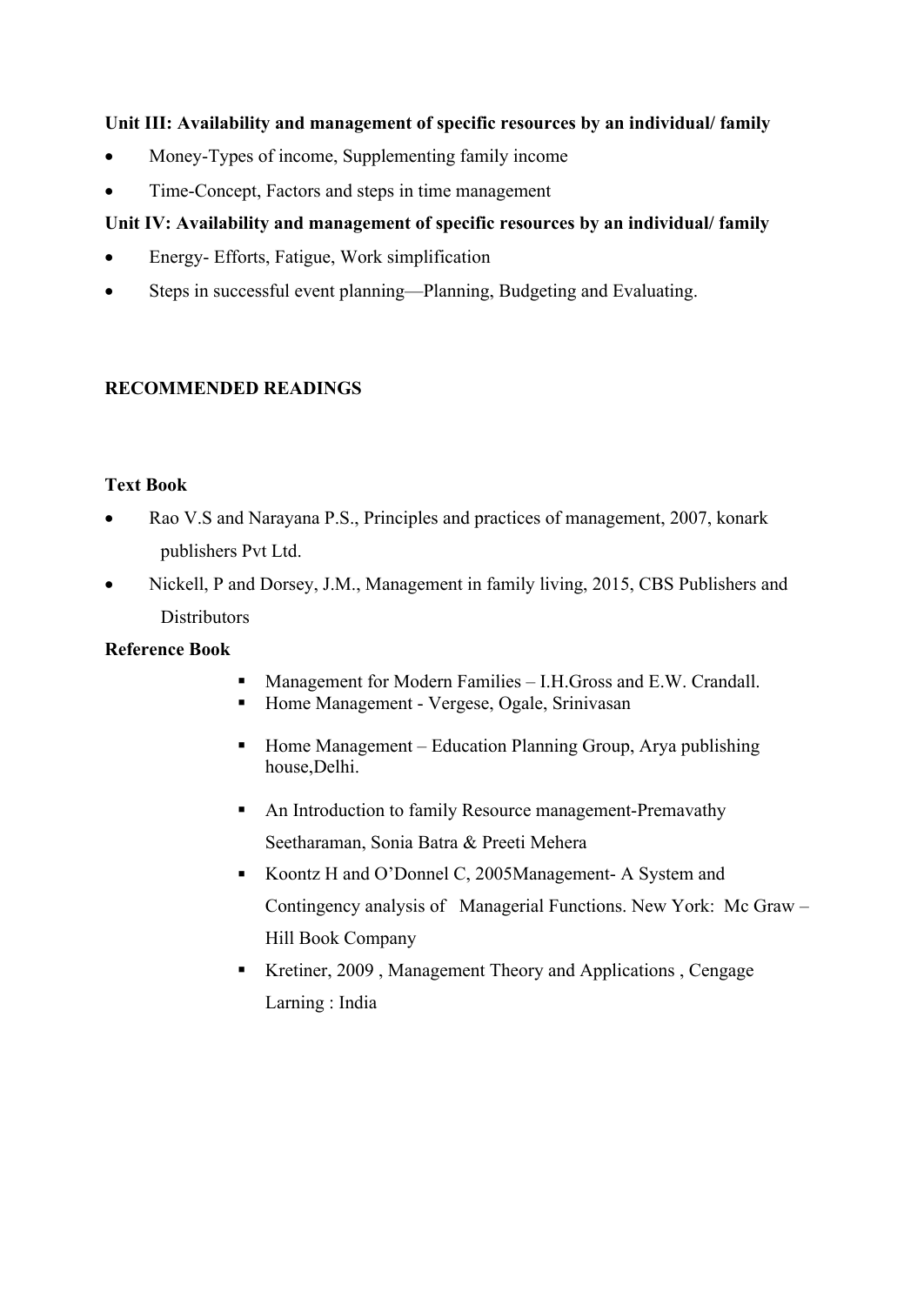## **Unit III: Availability and management of specific resources by an individual/ family**

- Money-Types of income, Supplementing family income
- Time-Concept, Factors and steps in time management

## **Unit IV: Availability and management of specific resources by an individual/ family**

- Energy- Efforts, Fatigue, Work simplification
- Steps in successful event planning—Planning, Budgeting and Evaluating.

## **RECOMMENDED READINGS**

## **Text Book**

- Rao V.S and Narayana P.S., Principles and practices of management, 2007, konark publishers Pvt Ltd.
- Nickell, P and Dorsey, J.M., Management in family living, 2015, CBS Publishers and **Distributors**

## **Reference Book**

- Management for Modern Families I.H.Gross and E.W. Crandall.
- Home Management Vergese, Ogale, Srinivasan
- $\blacksquare$  Home Management Education Planning Group, Arya publishing house,Delhi.
- An Introduction to family Resource management-Premavathy Seetharaman, Sonia Batra & Preeti Mehera
- Koontz H and O'Donnel C, 2005Management-A System and Contingency analysis of Managerial Functions. New York: Mc Graw – Hill Book Company
- Kretiner, 2009, Management Theory and Applications, Cengage Larning : India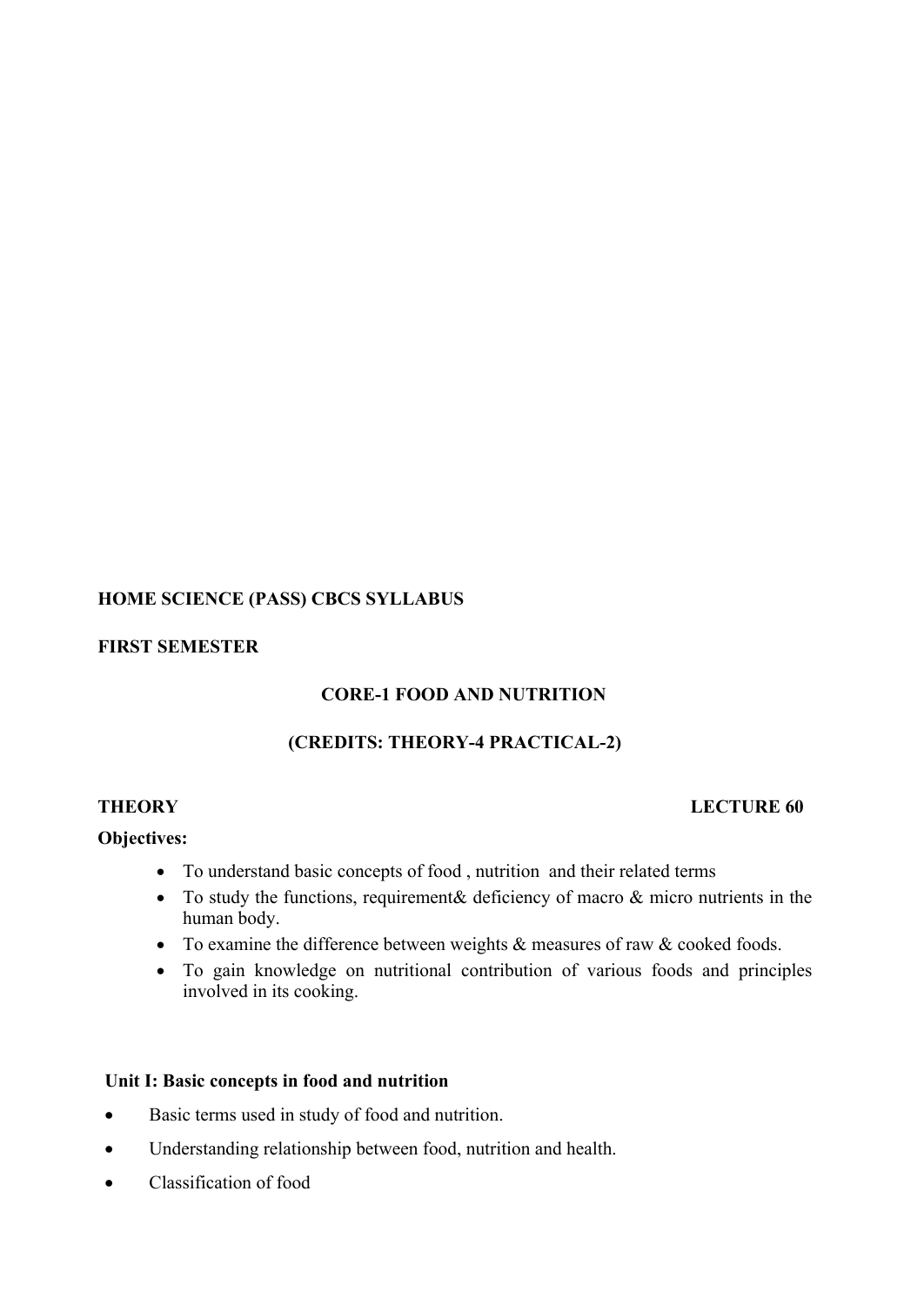## **HOME SCIENCE (PASS) CBCS SYLLABUS**

## **FIRST SEMESTER**

## **CORE-1 FOOD AND NUTRITION**

## **(CREDITS: THEORY-4 PRACTICAL-2)**

## **THEORY LECTURE 60**

## **Objectives:**

- To understand basic concepts of food , nutrition and their related terms
- To study the functions, requirement & deficiency of macro  $\&$  micro nutrients in the human body.
- To examine the difference between weights  $\&$  measures of raw  $\&$  cooked foods.
- To gain knowledge on nutritional contribution of various foods and principles involved in its cooking.

#### **Unit I: Basic concepts in food and nutrition**

- Basic terms used in study of food and nutrition.
- Understanding relationship between food, nutrition and health.
- Classification of food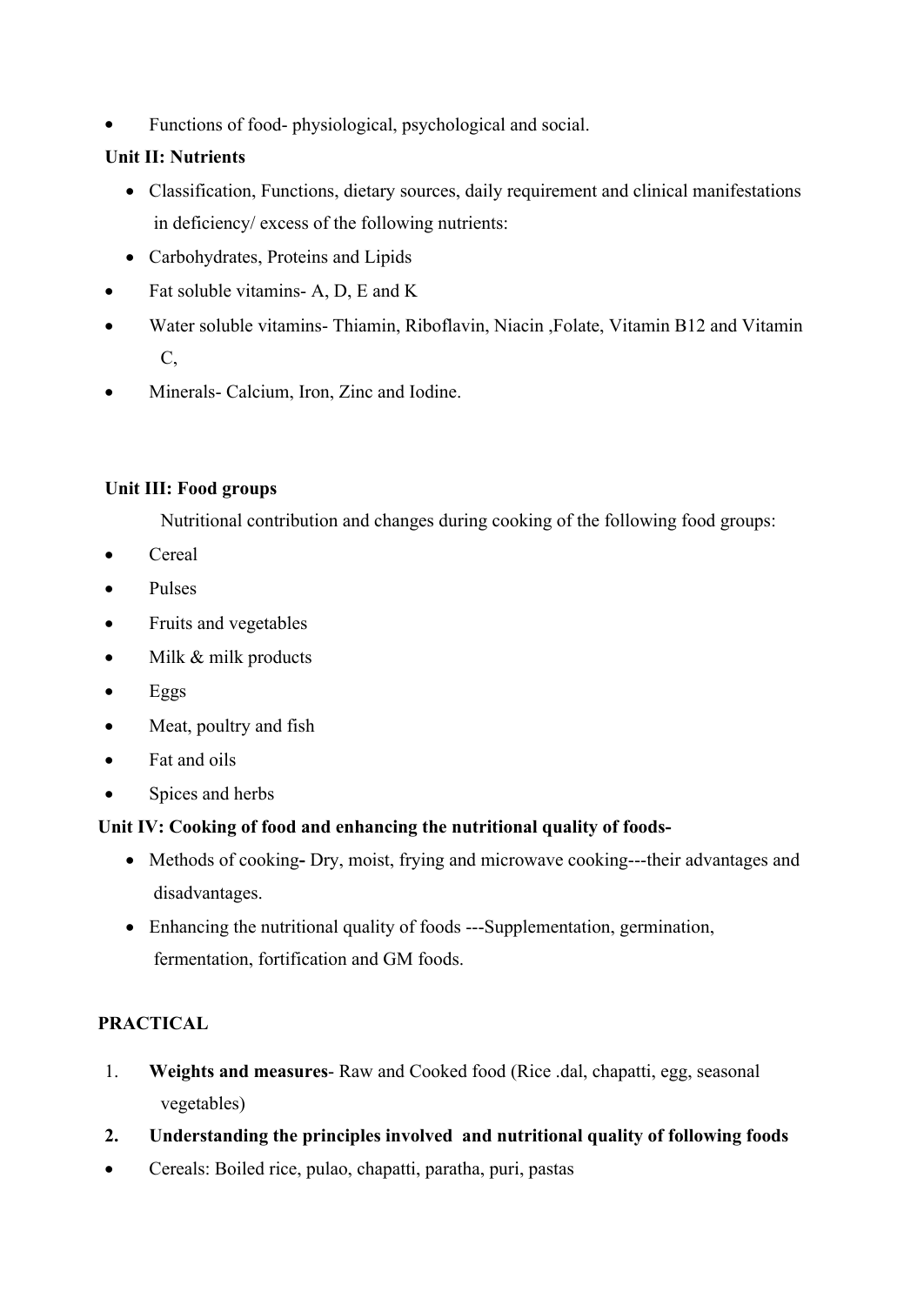Functions of food- physiological, psychological and social.

## **Unit II: Nutrients**

- Classification, Functions, dietary sources, daily requirement and clinical manifestations in deficiency/ excess of the following nutrients:
- Carbohydrates, Proteins and Lipids
- Fat soluble vitamins- A, D, E and K
- Water soluble vitamins- Thiamin, Riboflavin, Niacin ,Folate, Vitamin B12 and Vitamin C,
- Minerals- Calcium, Iron, Zinc and Iodine.

## **Unit III: Food groups**

Nutritional contribution and changes during cooking of the following food groups:

- Cereal
- Pulses
- Fruits and vegetables
- Milk & milk products
- Eggs
- Meat, poultry and fish
- Fat and oils
- Spices and herbs

## **Unit IV: Cooking of food and enhancing the nutritional quality of foods-**

- Methods of cookingDry, moist, frying and microwave cooking---their advantages and disadvantages.
- Enhancing the nutritional quality of foods ---Supplementation, germination, fermentation, fortification and GM foods.

## **PRACTICAL**

- 1. **Weights and measures** Raw and Cooked food (Rice .dal, chapatti, egg, seasonal vegetables)
- **2. Understanding the principles involved and nutritional quality of following foods**
- Cereals: Boiled rice, pulao, chapatti, paratha, puri, pastas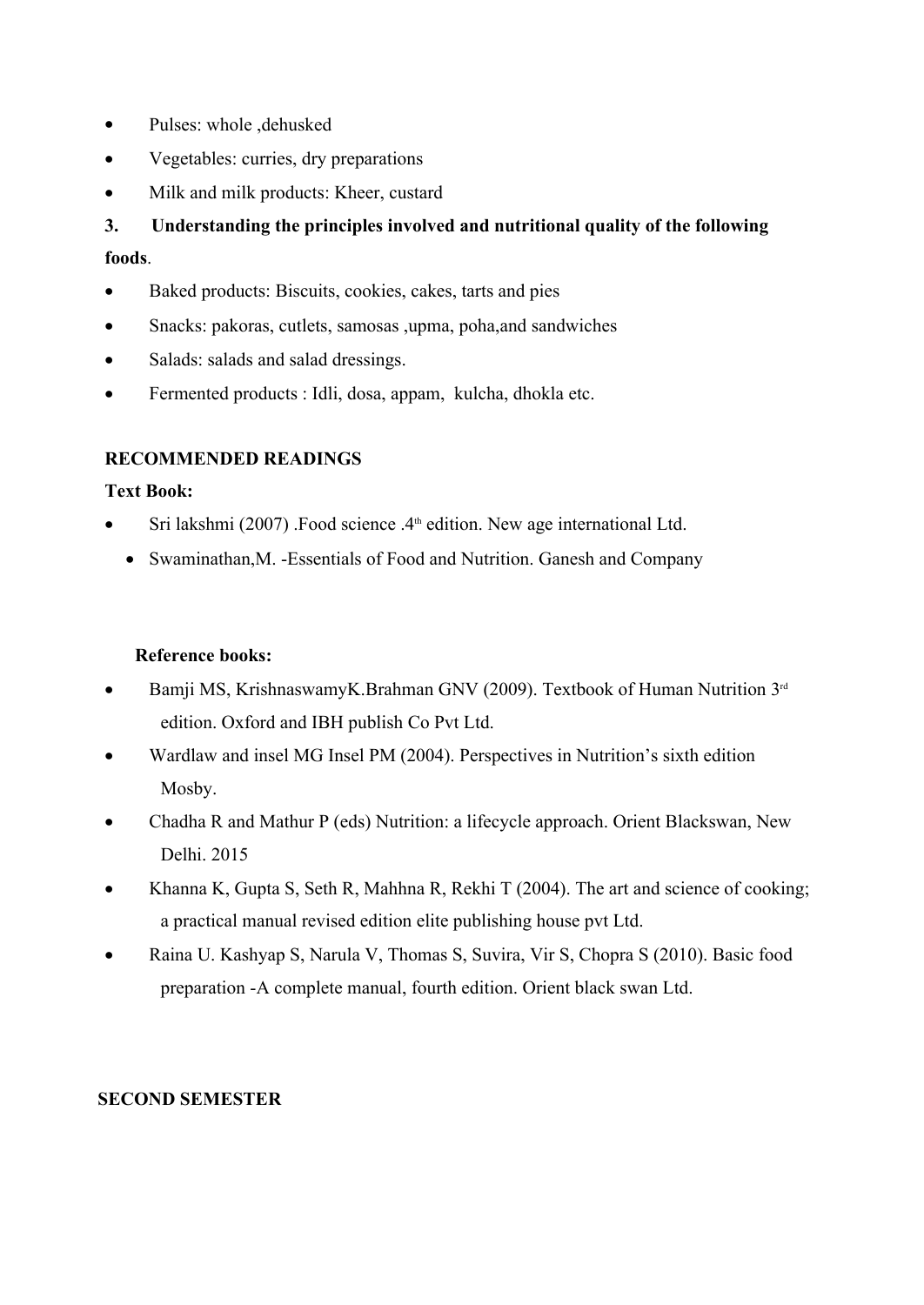- Pulses: whole , dehusked
- Vegetables: curries, dry preparations
- Milk and milk products: Kheer, custard

**3. Understanding the principles involved and nutritional quality of the following foods**.

- Baked products: Biscuits, cookies, cakes, tarts and pies
- Snacks: pakoras, cutlets, samosas ,upma, poha,and sandwiches
- Salads: salads and salad dressings.
- Fermented products : Idli, dosa, appam, kulcha, dhokla etc.

## **RECOMMENDED READINGS**

## **Text Book:**

- Sri lakshmi (2007) .Food science  $.4<sup>th</sup>$  edition. New age international Ltd.
	- Swaminathan, M. Essentials of Food and Nutrition. Ganesh and Company

## **Reference books:**

- Bamji MS, KrishnaswamyK.Brahman GNV (2009). Textbook of Human Nutrition 3<sup>rd</sup> edition. Oxford and IBH publish Co Pvt Ltd.
- Wardlaw and insel MG Insel PM (2004). Perspectives in Nutrition's sixth edition Mosby.
- Chadha R and Mathur P (eds) Nutrition: a lifecycle approach. Orient Blackswan, New Delhi. 2015
- Khanna K, Gupta S, Seth R, Mahhna R, Rekhi T (2004). The art and science of cooking; a practical manual revised edition elite publishing house pvt Ltd.
- Raina U. Kashyap S, Narula V, Thomas S, Suvira, Vir S, Chopra S (2010). Basic food preparation -A complete manual, fourth edition. Orient black swan Ltd.

## **SECOND SEMESTER**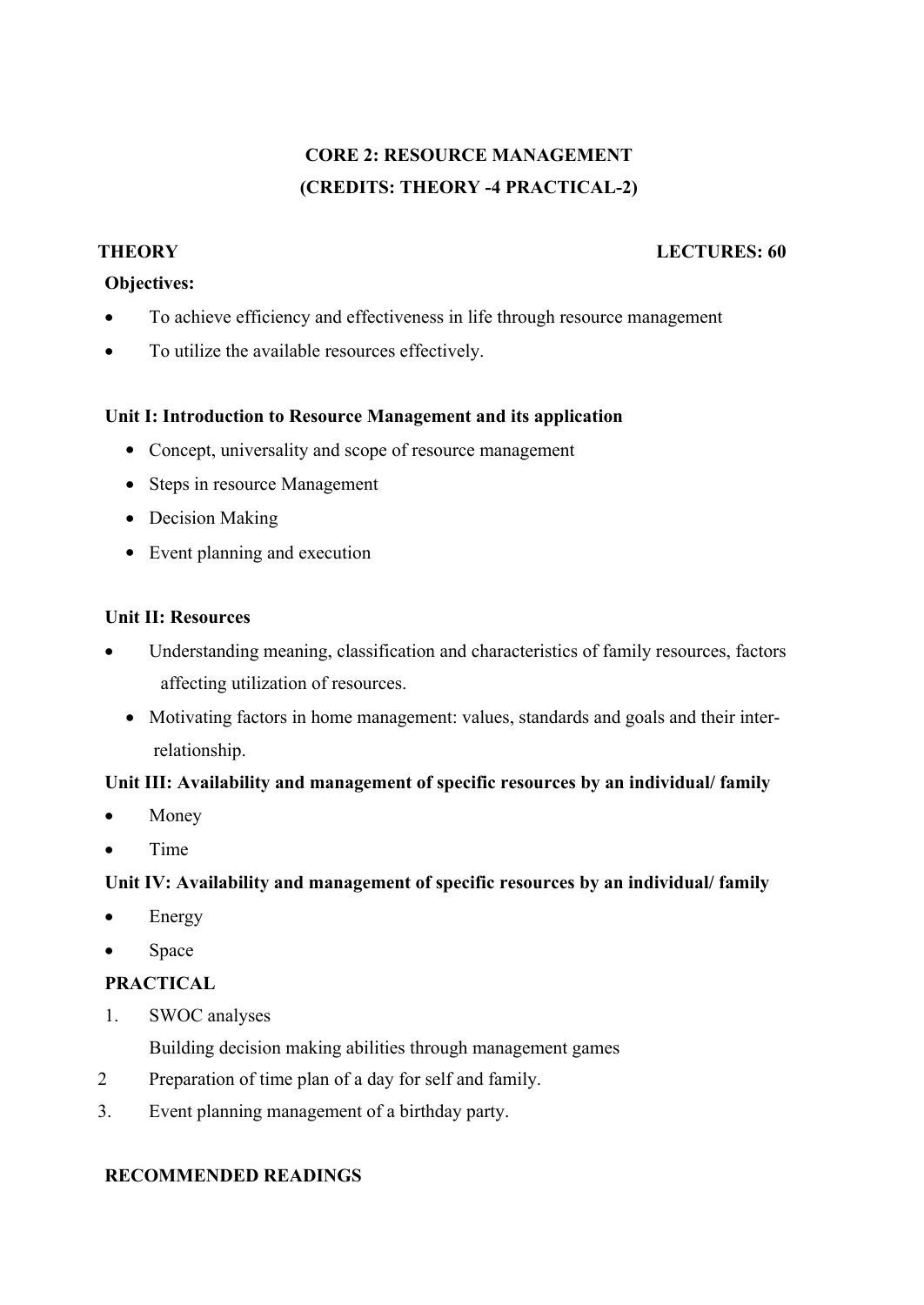# **CORE 2: RESOURCE MANAGEMENT (CREDITS: THEORY -4 PRACTICAL-2)**

#### **THEORY LECTURES: 60**

#### **Objectives:**

- To achieve efficiency and effectiveness in life through resource management
- To utilize the available resources effectively.

#### **Unit I: Introduction to Resource Management and its application**

- Concept, universality and scope of resource management
- Steps in resource Management
- Decision Making
- Event planning and execution

## **Unit II: Resources**

- Understanding meaning, classification and characteristics of family resources, factors affecting utilization of resources.
	- Motivating factors in home management: values, standards and goals and their interrelationship.

## **Unit III: Availability and management of specific resources by an individual/ family**

- Money
- Time

## **Unit IV: Availability and management of specific resources by an individual/ family**

- Energy
- Space

## **PRACTICAL**

1. SWOC analyses

Building decision making abilities through management games

- 2 Preparation of time plan of a day for self and family.
- 3. Event planning management of a birthday party.

#### **RECOMMENDED READINGS**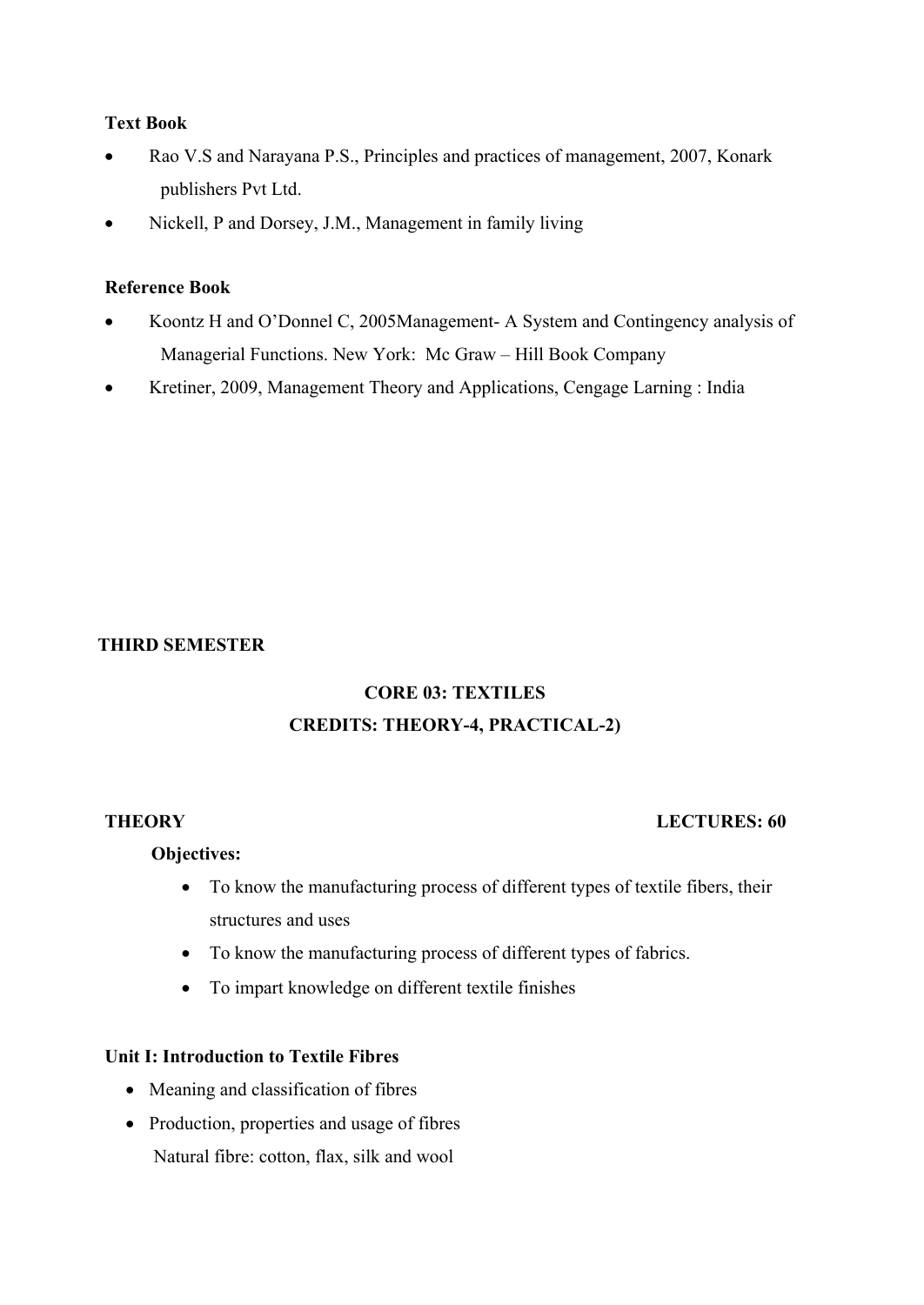#### **Text Book**

- Rao V.S and Narayana P.S., Principles and practices of management, 2007, Konark publishers Pvt Ltd.
- Nickell, P and Dorsey, J.M., Management in family living

#### **Reference Book**

- Koontz H and O'Donnel C, 2005Management- A System and Contingency analysis of Managerial Functions. New York: Mc Graw – Hill Book Company
- Kretiner, 2009, Management Theory and Applications, Cengage Larning : India

## **THIRD SEMESTER**

# **CORE 03: TEXTILES CREDITS: THEORY-4, PRACTICAL-2)**

## **THEORY LECTURES: 60**

## **Objectives:**

- To know the manufacturing process of different types of textile fibers, their structures and uses
- To know the manufacturing process of different types of fabrics.
- To impart knowledge on different textile finishes

## **Unit I: Introduction to Textile Fibres**

- Meaning and classification of fibres
- Production, properties and usage of fibres Natural fibre: cotton, flax, silk and wool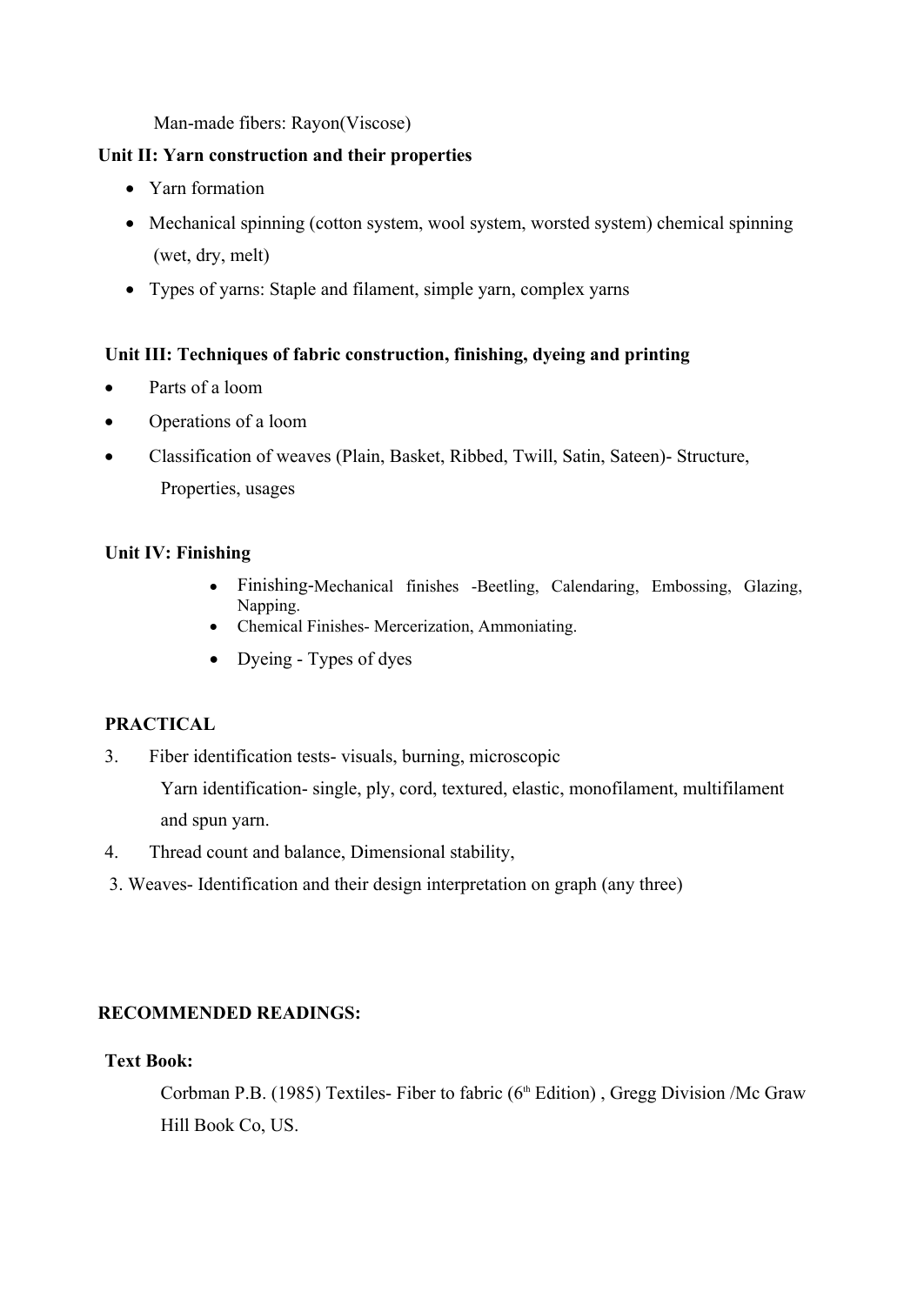Man-made fibers: Rayon(Viscose)

## **Unit II: Yarn construction and their properties**

- Yarn formation
- Mechanical spinning (cotton system, wool system, worsted system) chemical spinning (wet, dry, melt)
- Types of yarns: Staple and filament, simple yarn, complex yarns

## **Unit III: Techniques of fabric construction, finishing, dyeing and printing**

- Parts of a loom
- Operations of a loom
- Classification of weaves (Plain, Basket, Ribbed, Twill, Satin, Sateen)- Structure, Properties, usages

## **Unit IV: Finishing**

- Finishing-Mechanical finishes -Beetling, Calendaring, Embossing, Glazing, Napping.
- Chemical Finishes- Mercerization, Ammoniating.
- Dyeing Types of dyes

## **PRACTICAL**

3. Fiber identification tests- visuals, burning, microscopic

Yarn identification- single, ply, cord, textured, elastic, monofilament, multifilament and spun yarn.

- 4. Thread count and balance, Dimensional stability,
- 3. Weaves- Identification and their design interpretation on graph (any three)

## **RECOMMENDED READINGS:**

## **Text Book:**

Corbman P.B. (1985) Textiles- Fiber to fabric ( $6<sup>th</sup>$  Edition), Gregg Division /Mc Graw Hill Book Co, US.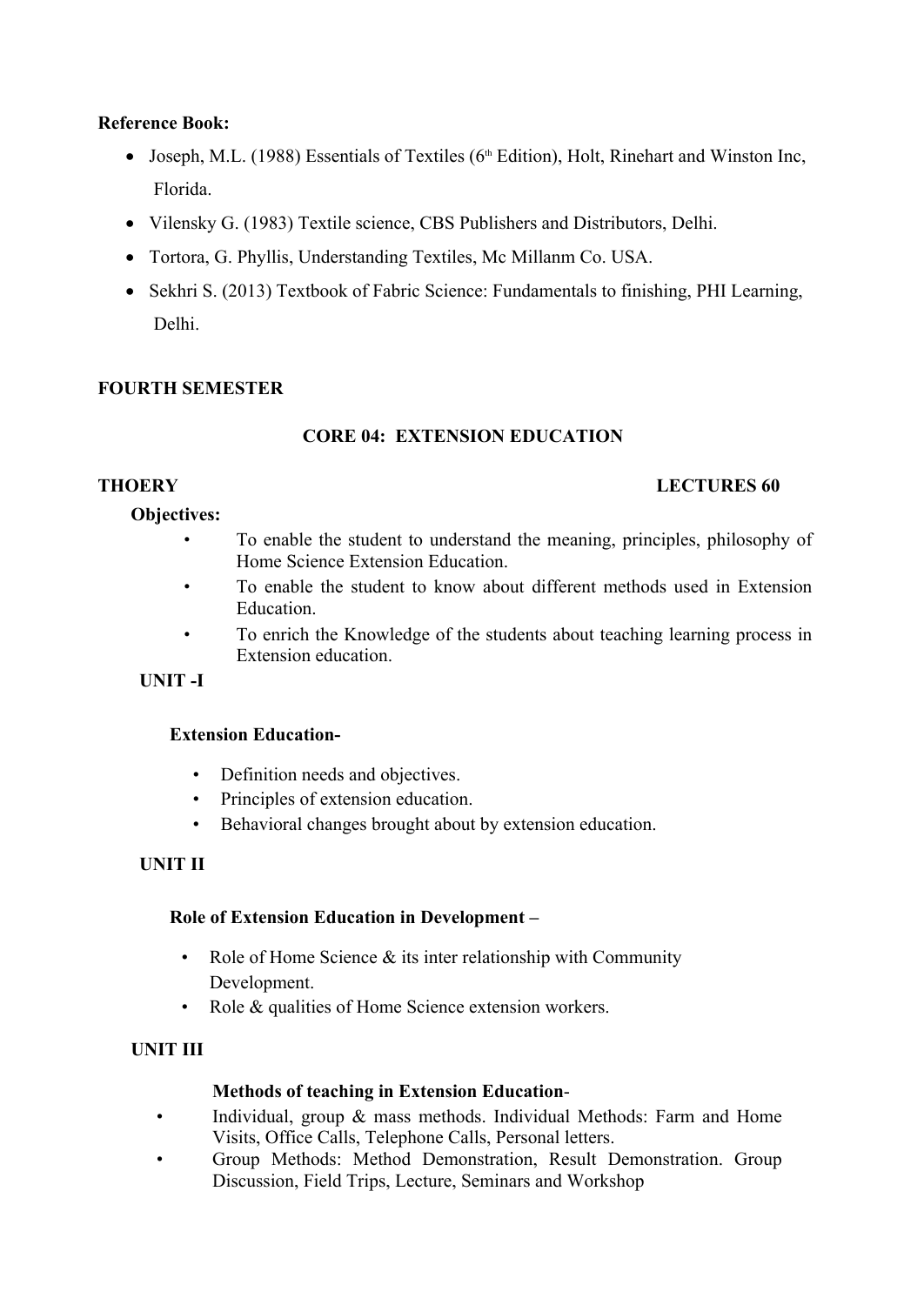## **Reference Book:**

- Joseph, M.L. (1988) Essentials of Textiles ( $6<sup>th</sup>$  Edition), Holt, Rinehart and Winston Inc, Florida.
- Vilensky G. (1983) Textile science, CBS Publishers and Distributors, Delhi.
- Tortora, G. Phyllis, Understanding Textiles, Mc Millanm Co. USA.
- Sekhri S. (2013) Textbook of Fabric Science: Fundamentals to finishing, PHI Learning, Delhi.

## **FOURTH SEMESTER**

## **CORE 04: EXTENSION EDUCATION**

## **Objectives:**

- To enable the student to understand the meaning, principles, philosophy of Home Science Extension Education.
- To enable the student to know about different methods used in Extension Education.
- To enrich the Knowledge of the students about teaching learning process in Extension education.

## **UNIT -I**

- **Extension Education-** Definition needs and objectives.
	-
	- Principles of extension education.<br>• Behavioral changes brought about by extension education.

## **UNIT II**

## **Role of Extension Education in Development –**

- Role of Home Science  $\&$  its inter relationship with Community Development.
- Role & qualities of Home Science extension workers.

## **UNIT III**

## **Methods of teaching in Extension Education**-

- Individual, group & mass methods. Individual Methods: Farm and Home Visits, Office Calls, Telephone Calls, Personal letters. • Group Methods: Method Demonstration, Result Demonstration. Group
- Discussion, Field Trips, Lecture, Seminars and Workshop

#### **THOERY LECTURES 60**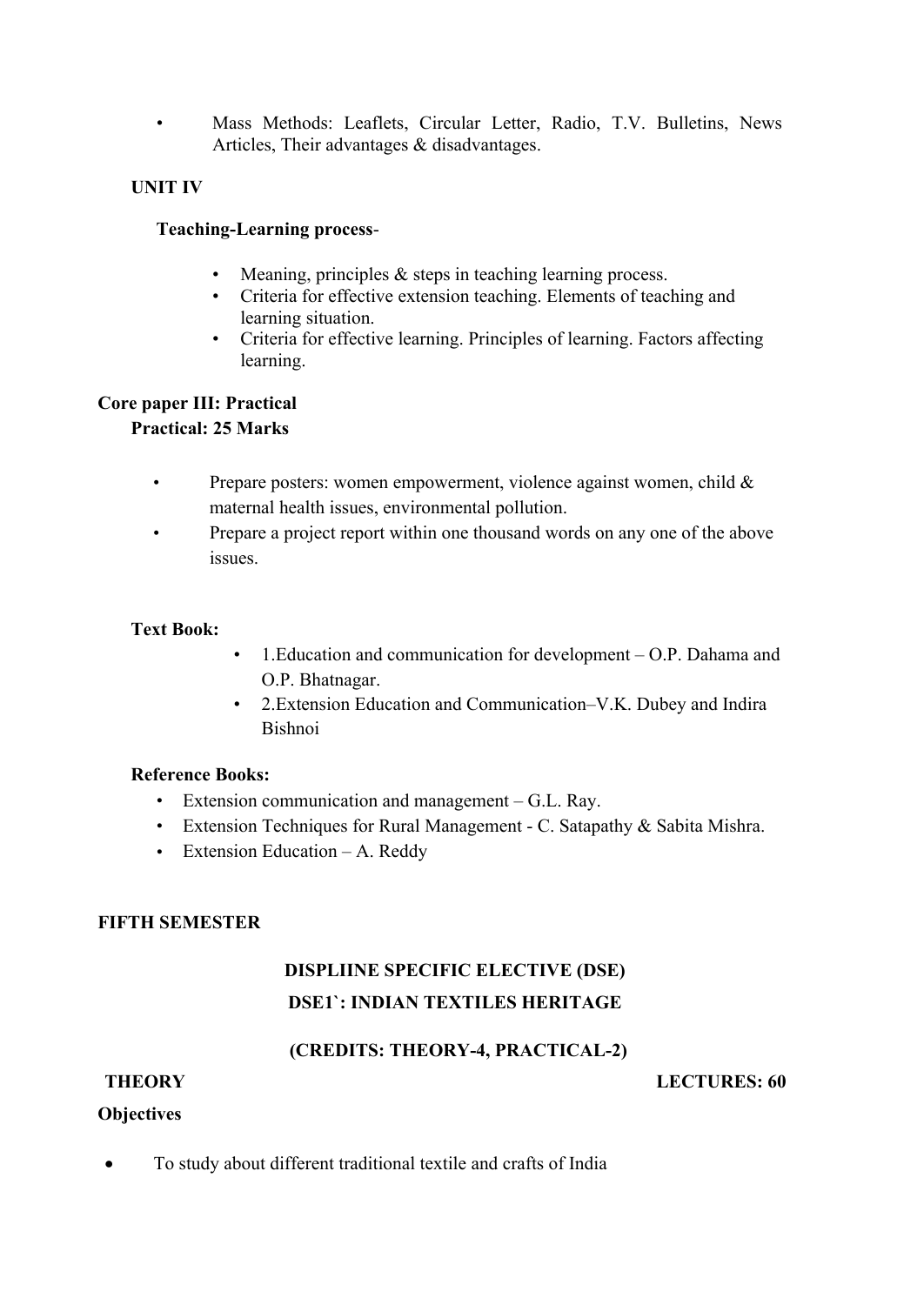• Mass Methods: Leaflets, Circular Letter, Radio, T.V. Bulletins, News Articles, Their advantages & disadvantages.

## **UNIT IV**

- **Teaching-Learning process-**<br>• Meaning, principles & steps in teaching learning process.
	- Criteria for effective extension teaching. Elements of teaching and
	- learning situation. Criteria for effective learning. Principles of learning. Factors affecting learning.

## **Core paper III: Practical**

## **Practical: 25 Marks**

- Prepare posters: women empowerment, violence against women, child  $\&$ maternal health issues, environmental pollution.
- Prepare a project report within one thousand words on any one of the above issues.

## **Text Book:**

- 1.Education and communication for development O.P. Dahama and O.P. Bhatnagar.
- 2.Extension Education and Communication–V.K. Dubey and Indira Bishnoi

## **Reference Books:**

- Extension communication and management G.L. Ray.
- Extension Techniques for Rural Management C. Satapathy & Sabita Mishra.
- Extension Education A. Reddy

## **FIFTH SEMESTER**

# **DISPLIINE SPECIFIC ELECTIVE (DSE) DSE1`: INDIAN TEXTILES HERITAGE**

## **(CREDITS: THEORY-4, PRACTICAL-2)**

## **THEORY LECTURES: 60**

## **Objectives**

To study about different traditional textile and crafts of India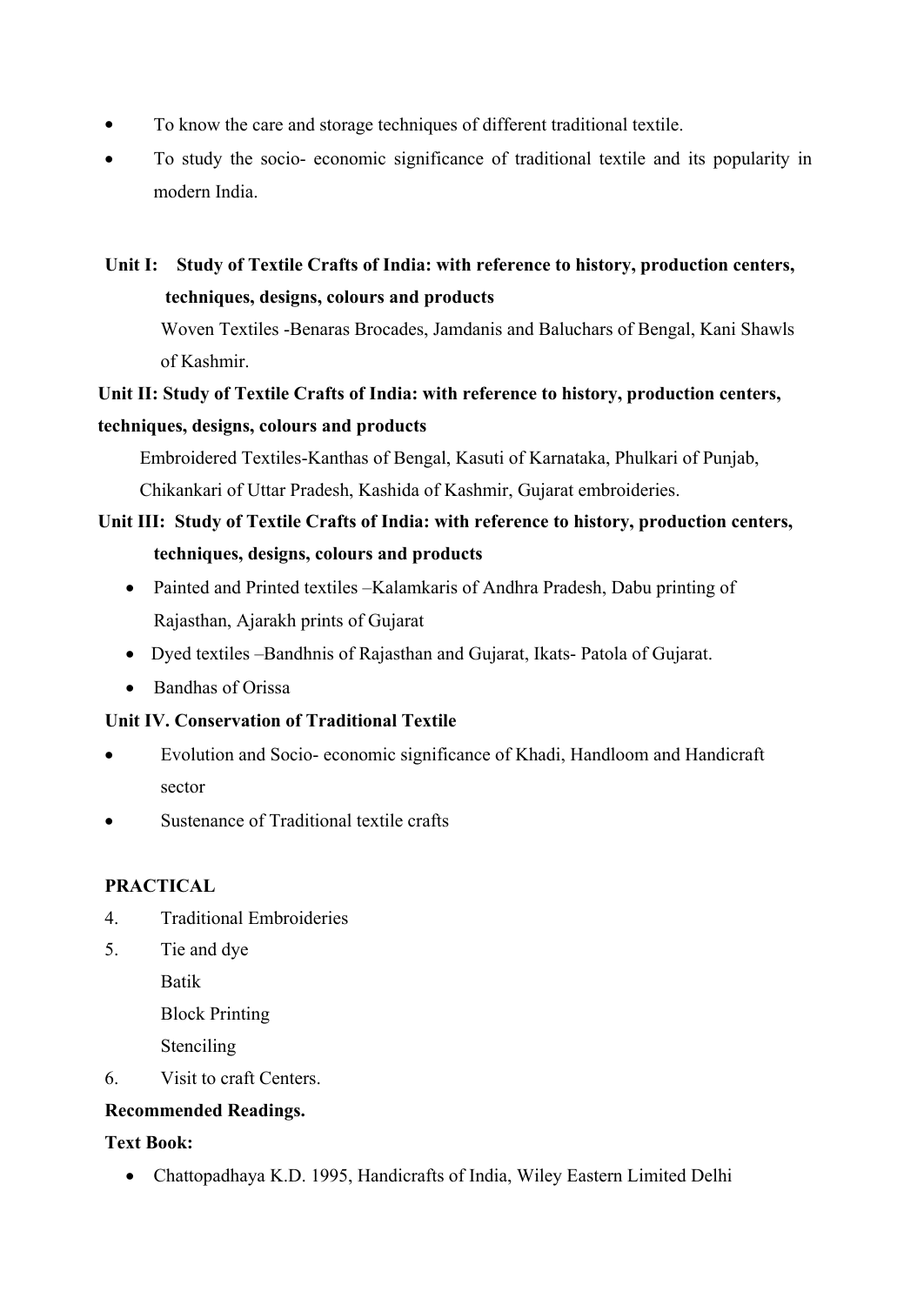- To know the care and storage techniques of different traditional textile.
- To study the socio- economic significance of traditional textile and its popularity in modern India.

# **Unit I: Study of Textile Crafts of India: with reference to history, production centers, techniques, designs, colours and products**

Woven Textiles -Benaras Brocades, Jamdanis and Baluchars of Bengal, Kani Shawls of Kashmir.

# **Unit II: Study of Textile Crafts of India: with reference to history, production centers, techniques, designs, colours and products**

Embroidered Textiles-Kanthas of Bengal, Kasuti of Karnataka, Phulkari of Punjab, Chikankari of Uttar Pradesh, Kashida of Kashmir, Gujarat embroideries.

# **Unit III: Study of Textile Crafts of India: with reference to history, production centers, techniques, designs, colours and products**

- Painted and Printed textiles –Kalamkaris of Andhra Pradesh, Dabu printing of Rajasthan, Ajarakh prints of Gujarat
- Dyed textiles –Bandhnis of Rajasthan and Gujarat, Ikats- Patola of Gujarat.
- Bandhas of Orissa

## **Unit IV. Conservation of Traditional Textile**

- Evolution and Socio- economic significance of Khadi, Handloom and Handicraft sector
- Sustenance of Traditional textile crafts

## **PRACTICAL**

- 4. Traditional Embroideries
- 5. Tie and dye

Batik

Block Printing

Stenciling

6. Visit to craft Centers.

## **Recommended Readings.**

## **Text Book:**

Chattopadhaya K.D. 1995, Handicrafts of India, Wiley Eastern Limited Delhi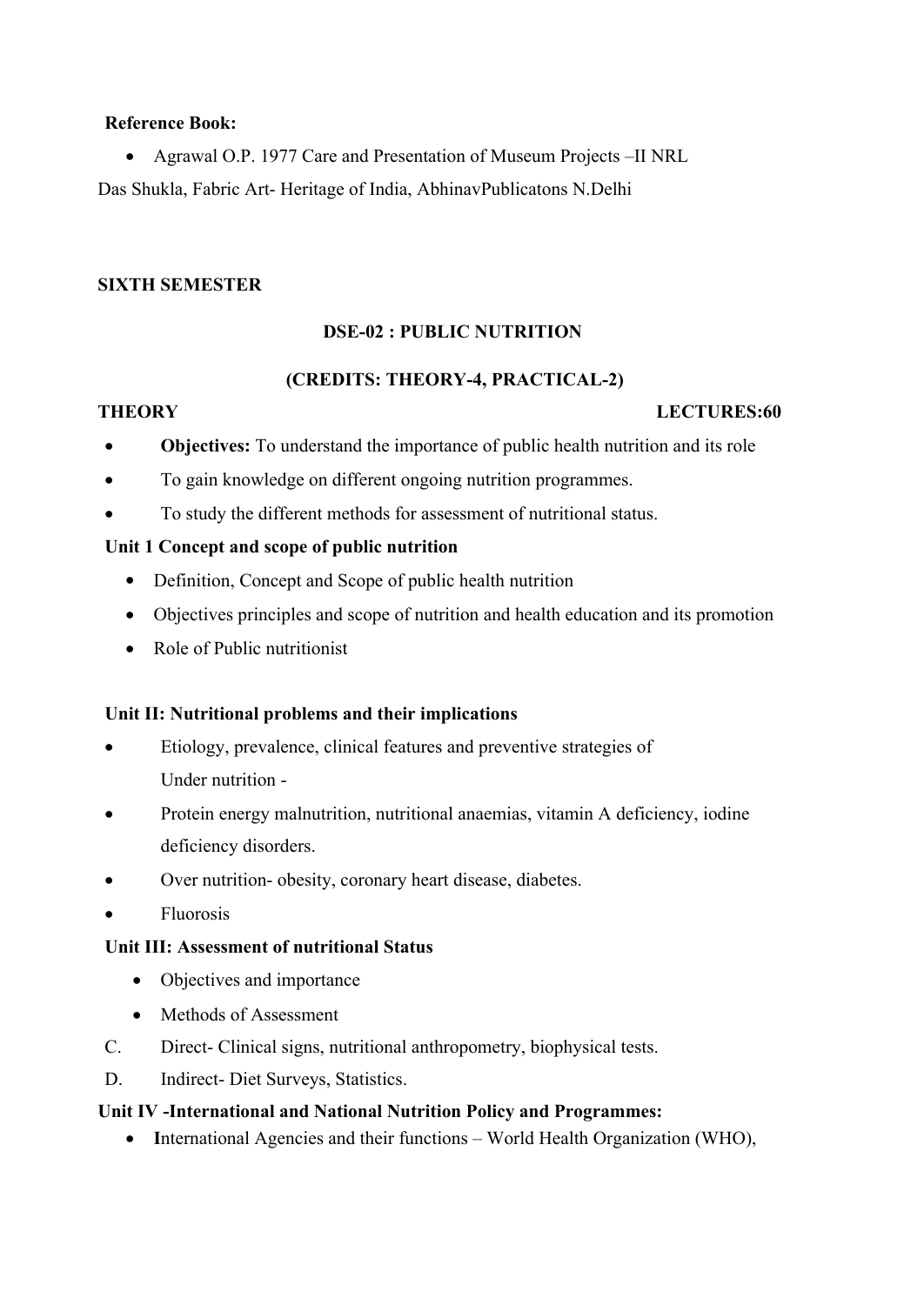## **Reference Book:**

 Agrawal O.P. 1977 Care and Presentation of Museum Projects –II NRL Das Shukla, Fabric Art- Heritage of India, AbhinavPublicatons N.Delhi

#### **SIXTH SEMESTER**

## **DSE-02 : PUBLIC NUTRITION**

## **(CREDITS: THEORY-4, PRACTICAL-2)**

## **THEORY LECTURES:60**

- **Objectives:** To understand the importance of public health nutrition and its role
- To gain knowledge on different ongoing nutrition programmes.
- To study the different methods for assessment of nutritional status.

## **Unit 1 Concept and scope of public nutrition**

- Definition, Concept and Scope of public health nutrition
- Objectives principles and scope of nutrition and health education and its promotion
- Role of Public nutritionist

## **Unit II: Nutritional problems and their implications**

- Etiology, prevalence, clinical features and preventive strategies of Under nutrition -
- Protein energy malnutrition, nutritional anaemias, vitamin A deficiency, iodine deficiency disorders.
- Over nutrition- obesity, coronary heart disease, diabetes.
- Fluorosis

## **Unit III: Assessment of nutritional Status**

- Objectives and importance
- Methods of Assessment
- C. Direct- Clinical signs, nutritional anthropometry, biophysical tests.
- D. Indirect- Diet Surveys, Statistics.

## **Unit IV -International and National Nutrition Policy and Programmes:**

• International Agencies and their functions – World Health Organization (WHO),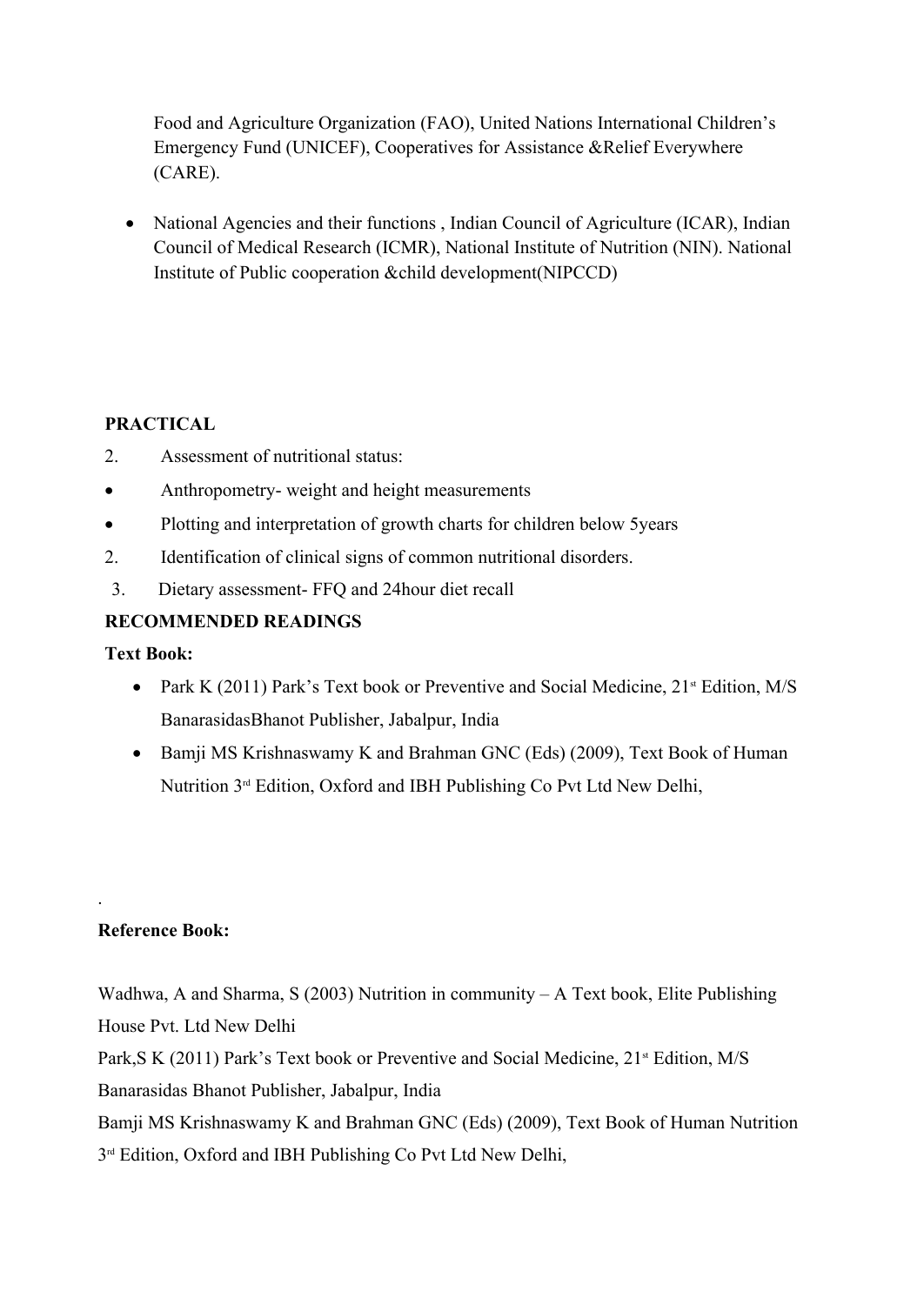Food and Agriculture Organization (FAO), United Nations International Children's Emergency Fund (UNICEF), Cooperatives for Assistance &Relief Everywhere (CARE).

• National Agencies and their functions, Indian Council of Agriculture (ICAR), Indian Council of Medical Research (ICMR), National Institute of Nutrition (NIN). National Institute of Public cooperation &child development(NIPCCD)

## **PRACTICAL**

- 2. Assessment of nutritional status:
- Anthropometry- weight and height measurements
- Plotting and interpretation of growth charts for children below 5 years
- 2. Identification of clinical signs of common nutritional disorders.
- 3. Dietary assessment- FFQ and 24hour diet recall

## **RECOMMENDED READINGS**

**Text Book:**

- Park K (2011) Park's Text book or Preventive and Social Medicine,  $21^{\text{st}}$  Edition, M/S BanarasidasBhanot Publisher, Jabalpur, India
- Bamji MS Krishnaswamy K and Brahman GNC (Eds) (2009), Text Book of Human Nutrition 3rd Edition, Oxford and IBH Publishing Co Pvt Ltd New Delhi,

## **Reference Book:**

.

Wadhwa, A and Sharma, S (2003) Nutrition in community – A Text book, Elite Publishing House Pvt. Ltd New Delhi Park, S K (2011) Park's Text book or Preventive and Social Medicine, 21<sup>st</sup> Edition, M/S Banarasidas Bhanot Publisher, Jabalpur, India Bamji MS Krishnaswamy K and Brahman GNC (Eds) (2009), Text Book of Human Nutrition 3<sup>rd</sup> Edition, Oxford and IBH Publishing Co Pvt Ltd New Delhi,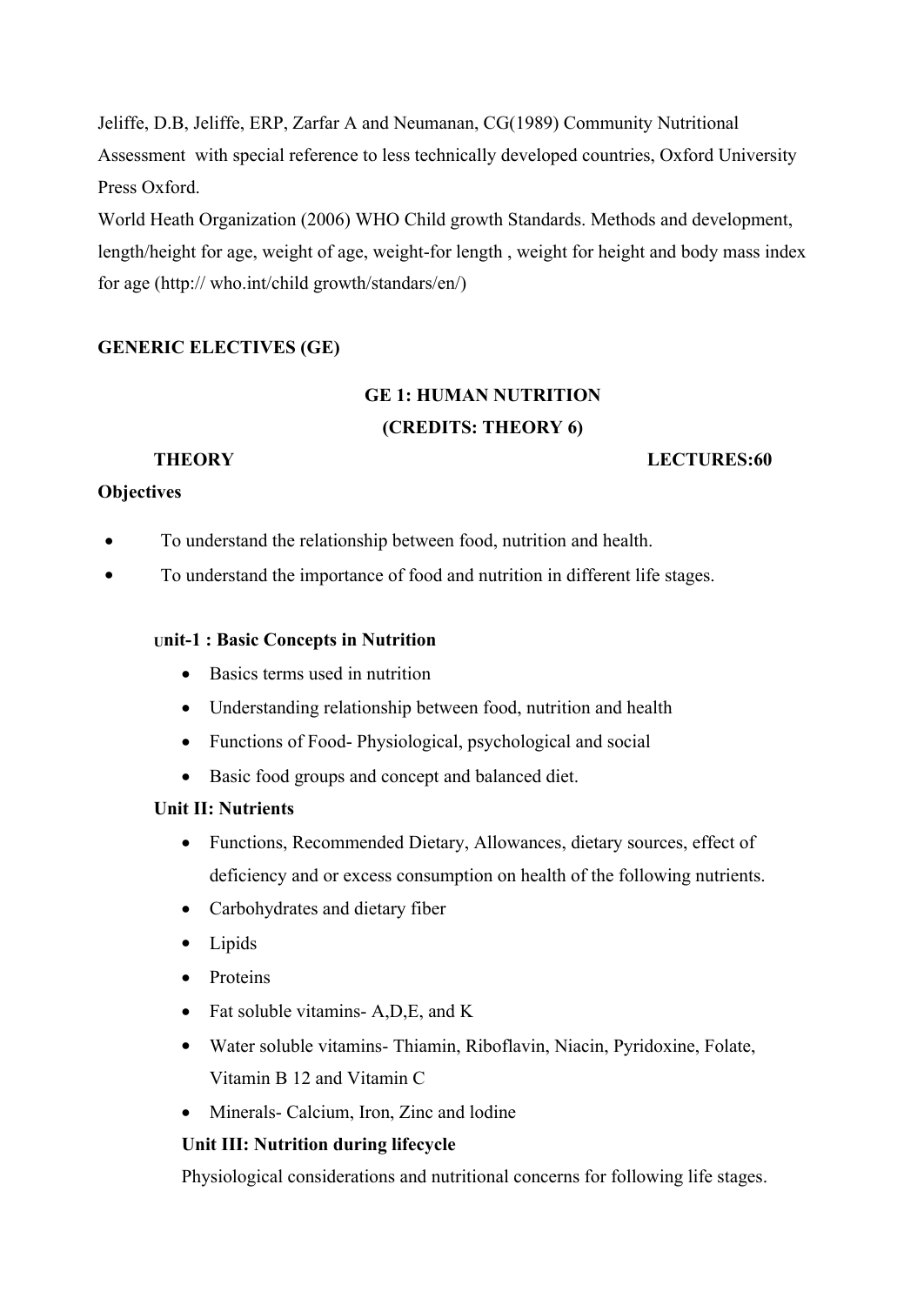Jeliffe, D.B, Jeliffe, ERP, Zarfar A and Neumanan, CG(1989) Community Nutritional Assessment with special reference to less technically developed countries, Oxford University Press Oxford.

World Heath Organization (2006) WHO Child growth Standards. Methods and development, length/height for age, weight of age, weight-for length , weight for height and body mass index for age (http:// who.int/child growth/standars/en/)

## **GENERIC ELECTIVES (GE)**

# **GE 1: HUMAN NUTRITION (CREDITS: THEORY 6)**

## **THEORY LECTURES:60**

## **Objectives**

- To understand the relationship between food, nutrition and health.
- To understand the importance of food and nutrition in different life stages.

#### **Unit-1 : Basic Concepts in Nutrition**

- Basics terms used in nutrition
- Understanding relationship between food, nutrition and health
- Functions of Food-Physiological, psychological and social
- Basic food groups and concept and balanced diet.

#### **Unit II: Nutrients**

- Functions, Recommended Dietary, Allowances, dietary sources, effect of deficiency and or excess consumption on health of the following nutrients.
- Carbohydrates and dietary fiber
- Lipids
- Proteins
- Fat soluble vitamins-A,D,E, and K
- Water soluble vitamins- Thiamin, Riboflavin, Niacin, Pyridoxine, Folate, Vitamin B 12 and Vitamin C
- Minerals- Calcium, Iron, Zinc and lodine

#### **Unit III: Nutrition during lifecycle**

Physiological considerations and nutritional concerns for following life stages.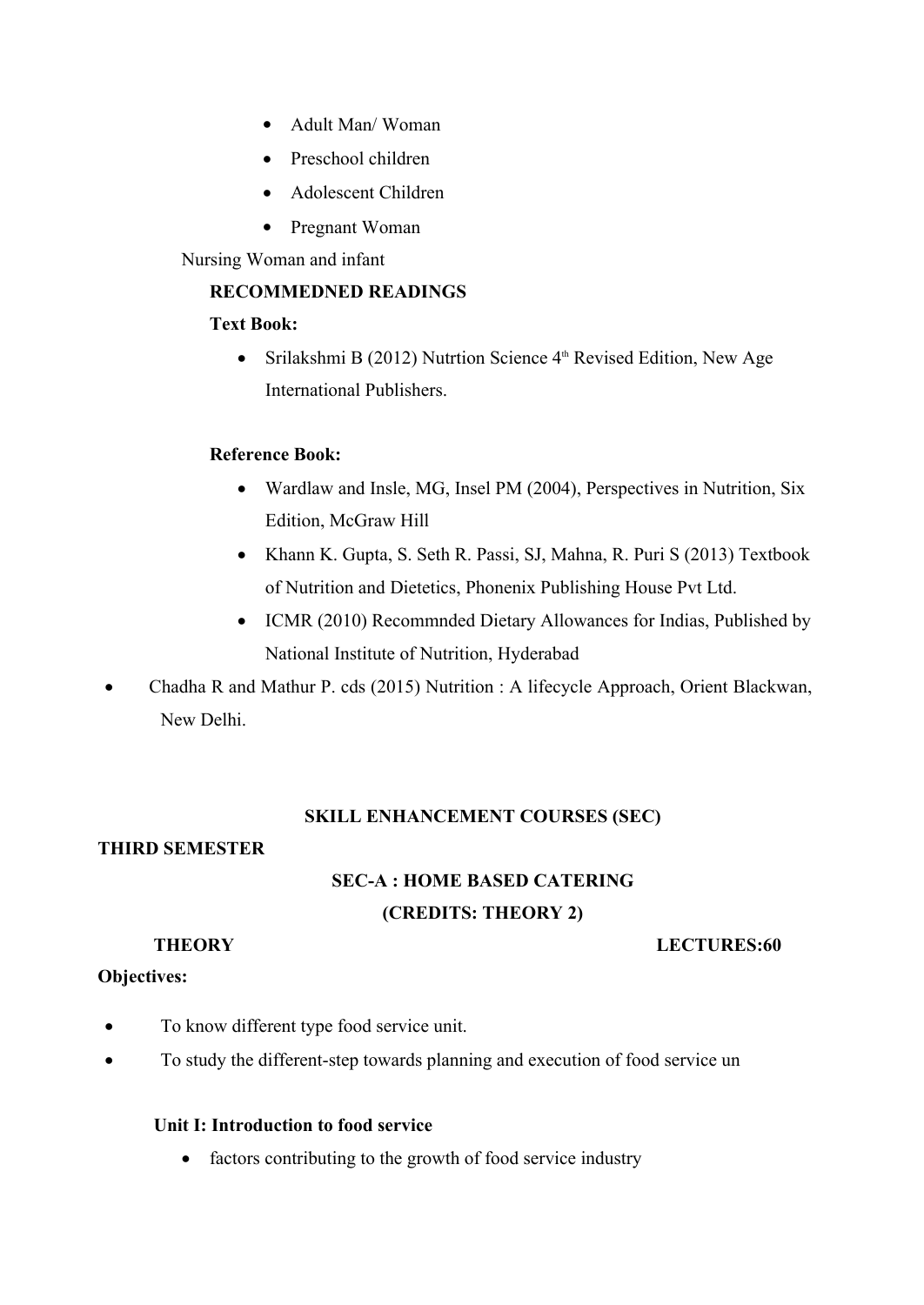- Adult Man/ Woman
- Preschool children
- Adolescent Children
- Pregnant Woman

Nursing Woman and infant

## **RECOMMEDNED READINGS**

#### **Text Book:**

• Srilakshmi B (2012) Nutrtion Science  $4<sup>th</sup>$  Revised Edition, New Age International Publishers.

## **Reference Book:**

- Wardlaw and Insle, MG, Insel PM (2004), Perspectives in Nutrition, Six Edition, McGraw Hill
- Khann K. Gupta, S. Seth R. Passi, SJ, Mahna, R. Puri S (2013) Textbook of Nutrition and Dietetics, Phonenix Publishing House Pvt Ltd.
- ICMR (2010) Recommnded Dietary Allowances for Indias, Published by National Institute of Nutrition, Hyderabad
- Chadha R and Mathur P. cds (2015) Nutrition : A lifecycle Approach, Orient Blackwan, New Delhi.

## **SKILL ENHANCEMENT COURSES (SEC)**

## **THIRD SEMESTER**

# **SEC-A : HOME BASED CATERING (CREDITS: THEORY 2)**

**Objectives:**

#### **THEORY LECTURES:60**

- To know different type food service unit.
- To study the different-step towards planning and execution of food service un

#### **Unit I: Introduction to food service**

• factors contributing to the growth of food service industry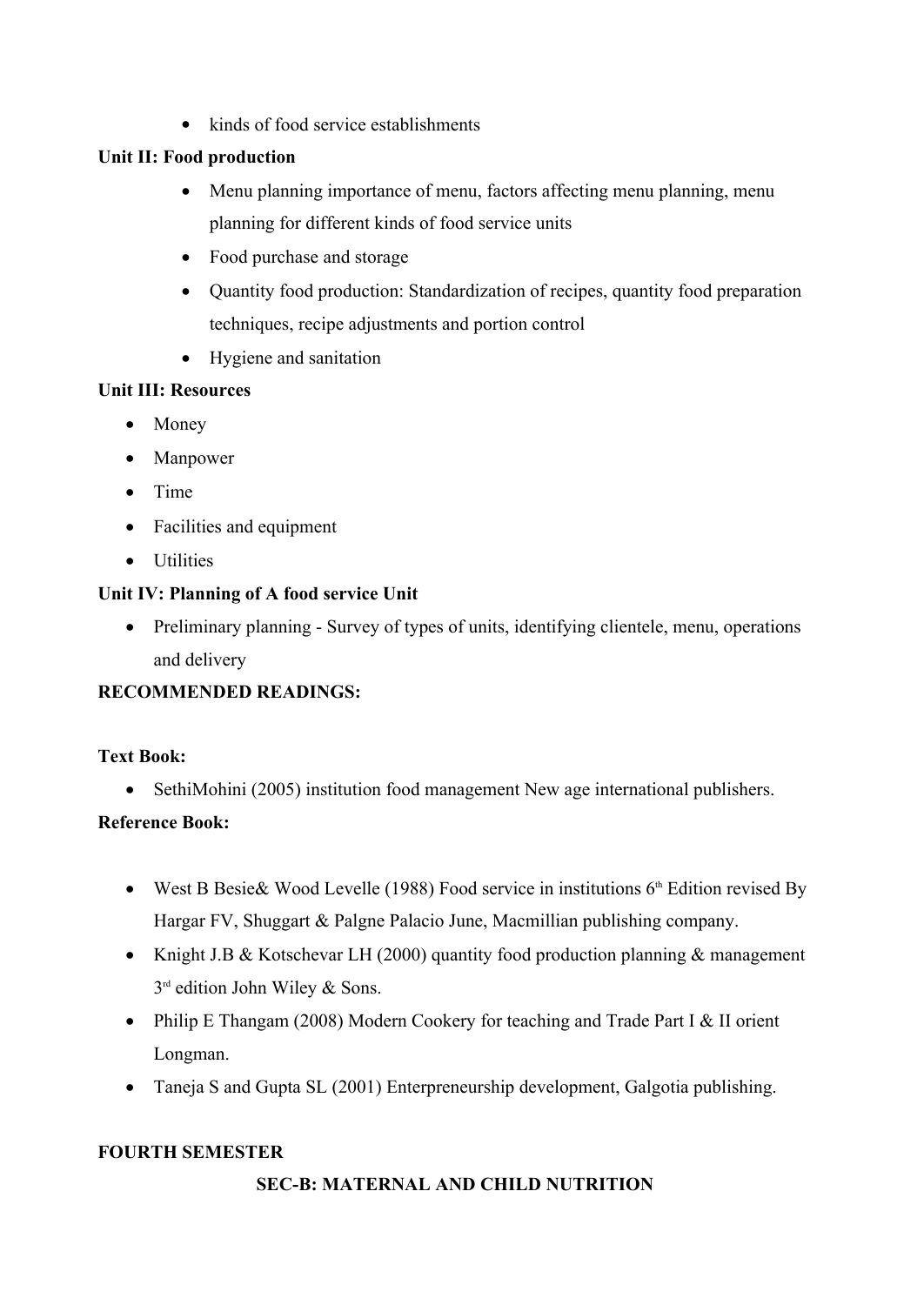• kinds of food service establishments

## **Unit II: Food production**

- Menu planning importance of menu, factors affecting menu planning, menu planning for different kinds of food service units
- Food purchase and storage
- Quantity food production: Standardization of recipes, quantity food preparation techniques, recipe adjustments and portion control
- Hygiene and sanitation

## **Unit III: Resources**

- Money
- Manpower
- $\bullet$  Time
- Facilities and equipment
- Utilities

## **Unit IV: Planning of A food service Unit**

• Preliminary planning - Survey of types of units, identifying clientele, menu, operations and delivery

## **RECOMMENDED READINGS:**

## **Text Book:**

• SethiMohini (2005) institution food management New age international publishers.

## **Reference Book:**

- West B Besie & Wood Levelle (1988) Food service in institutions  $6<sup>th</sup>$  Edition revised By Hargar FV, Shuggart & Palgne Palacio June, Macmillian publishing company.
- Knight J.B & Kotschevar LH (2000) quantity food production planning  $&$  management 3 rd edition John Wiley & Sons.
- Philip E Thangam (2008) Modern Cookery for teaching and Trade Part I & II orient Longman.
- Taneja S and Gupta SL (2001) Enterpreneurship development, Galgotia publishing.

## **FOURTH SEMESTER**

## **SEC-B: MATERNAL AND CHILD NUTRITION**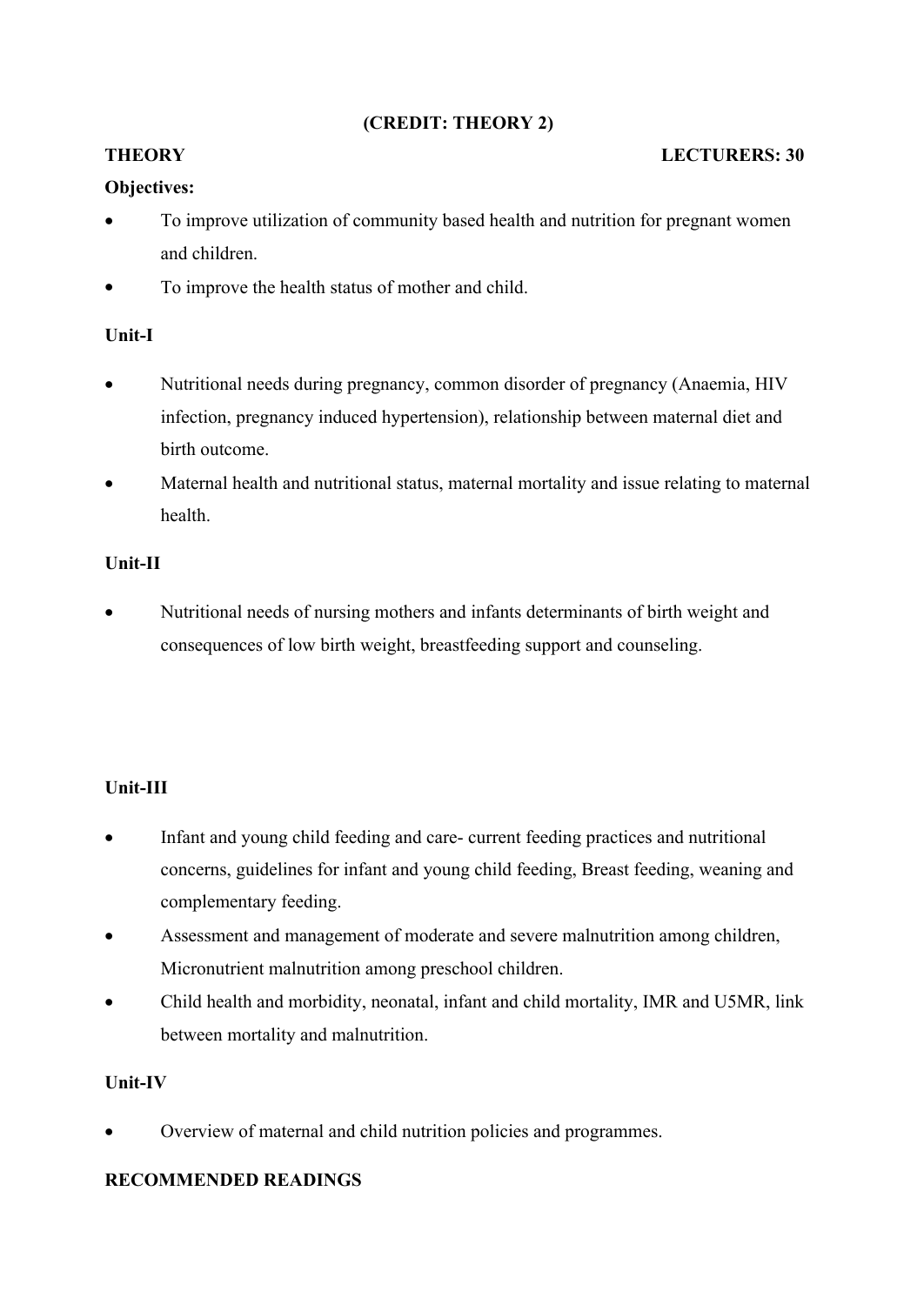## **(CREDIT: THEORY 2)**

## **THEORY** LECTURERS: 30

## **Objectives:**

- To improve utilization of community based health and nutrition for pregnant women and children.
- To improve the health status of mother and child.

## **Unit-I**

- Nutritional needs during pregnancy, common disorder of pregnancy (Anaemia, HIV infection, pregnancy induced hypertension), relationship between maternal diet and birth outcome.
- Maternal health and nutritional status, maternal mortality and issue relating to maternal health.

## **Unit-II**

 Nutritional needs of nursing mothers and infants determinants of birth weight and consequences of low birth weight, breastfeeding support and counseling.

## **Unit-III**

- Infant and young child feeding and care- current feeding practices and nutritional concerns, guidelines for infant and young child feeding, Breast feeding, weaning and complementary feeding.
- Assessment and management of moderate and severe malnutrition among children, Micronutrient malnutrition among preschool children.
- Child health and morbidity, neonatal, infant and child mortality, IMR and U5MR, link between mortality and malnutrition.

## **Unit-IV**

Overview of maternal and child nutrition policies and programmes.

## **RECOMMENDED READINGS**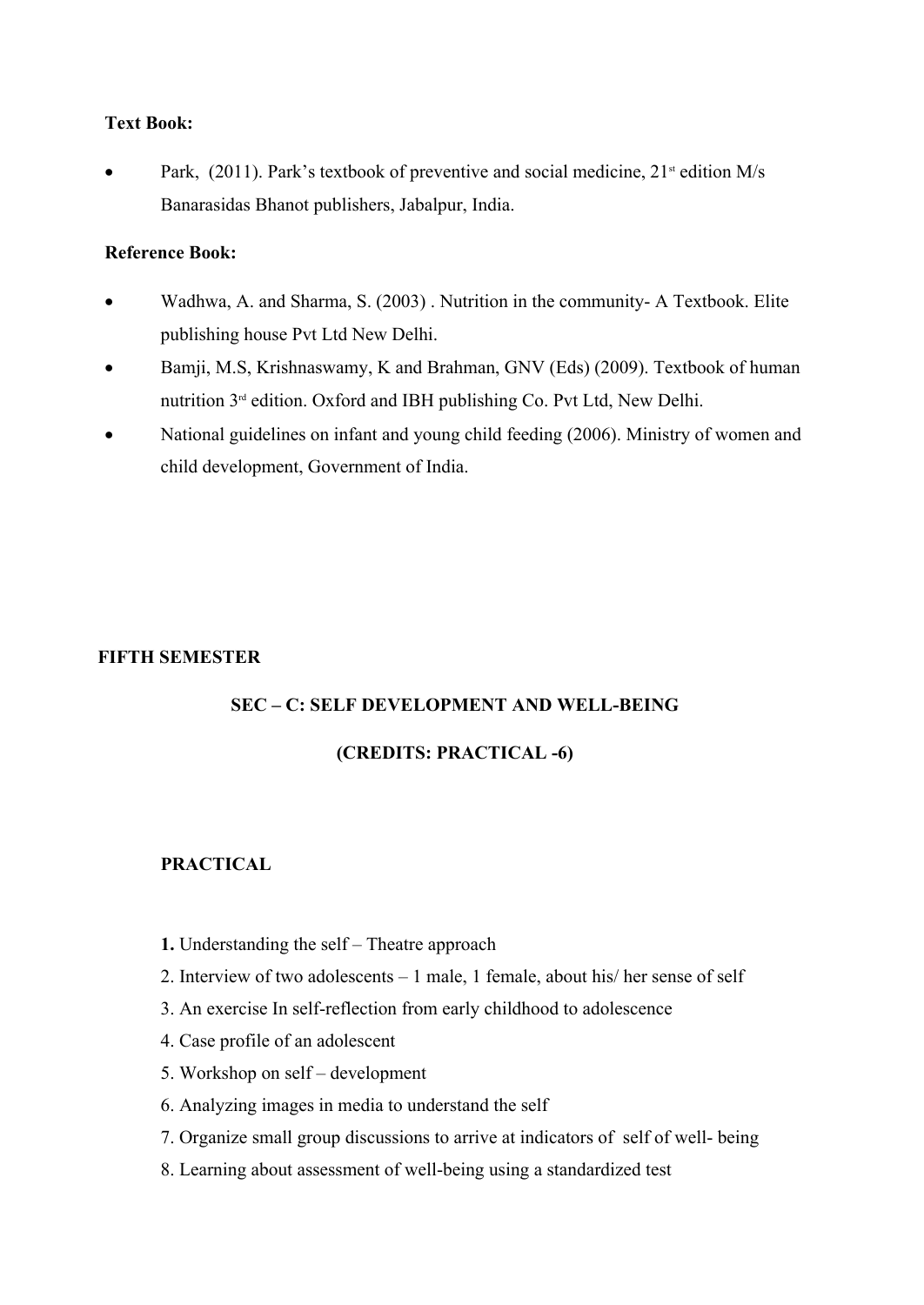## **Text Book:**

Park,  $(2011)$ . Park's textbook of preventive and social medicine,  $21<sup>st</sup>$  edition M/s Banarasidas Bhanot publishers, Jabalpur, India.

## **Reference Book:**

- Wadhwa, A. and Sharma, S. (2003) . Nutrition in the community- A Textbook. Elite publishing house Pvt Ltd New Delhi.
- Bamji, M.S, Krishnaswamy, K and Brahman, GNV (Eds) (2009). Textbook of human nutrition 3rd edition. Oxford and IBH publishing Co. Pvt Ltd, New Delhi.
- National guidelines on infant and young child feeding (2006). Ministry of women and child development, Government of India.

## **FIFTH SEMESTER**

## **SEC – C: SELF DEVELOPMENT AND WELL-BEING**

## **(CREDITS: PRACTICAL -6)**

## **PRACTICAL**

- **1.** Understanding the self Theatre approach
- 2. Interview of two adolescents 1 male, 1 female, about his/ her sense of self
- 3. An exercise In self-reflection from early childhood to adolescence
- 4. Case profile of an adolescent
- 5. Workshop on self development
- 6. Analyzing images in media to understand the self
- 7. Organize small group discussions to arrive at indicators of self of well- being
- 8. Learning about assessment of well-being using a standardized test